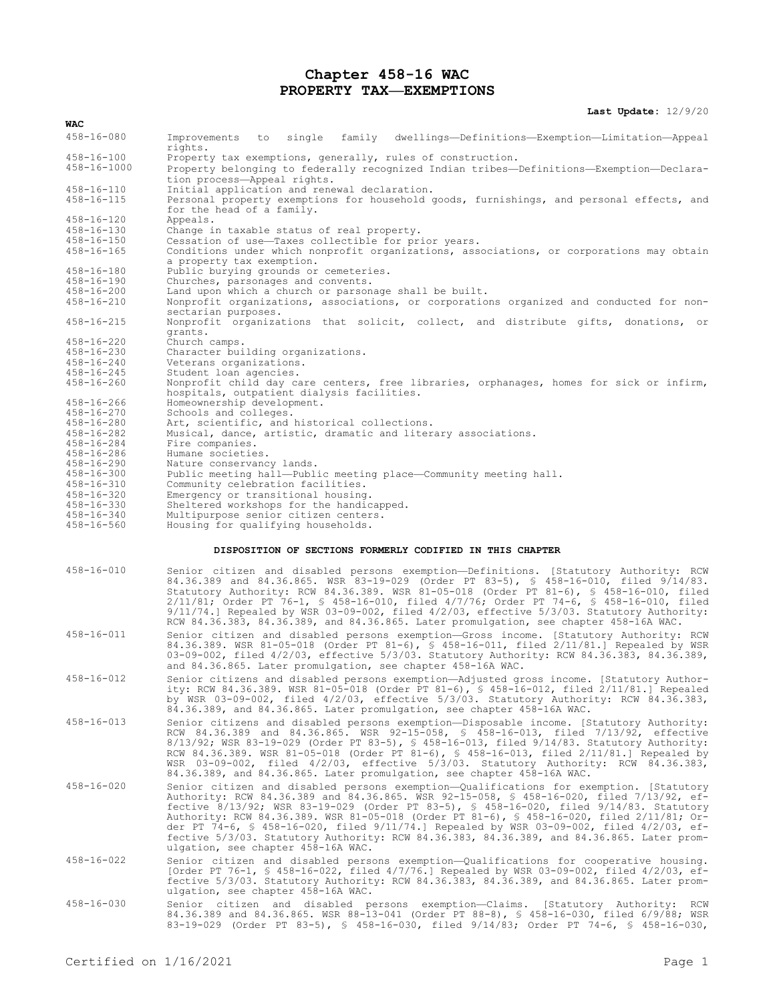## **Chapter 458-16 WAC PROPERTY TAX—EXEMPTIONS**

**Last Update:** 12/9/20

| WAC                                  |                                                                                                                                                                                                                                                                                                                                                                                                                                                                                                                                                                                                          |
|--------------------------------------|----------------------------------------------------------------------------------------------------------------------------------------------------------------------------------------------------------------------------------------------------------------------------------------------------------------------------------------------------------------------------------------------------------------------------------------------------------------------------------------------------------------------------------------------------------------------------------------------------------|
| $458 - 16 - 080$                     | Improvements to single family dwellings—Definitions—Exemption—Limitation—Appeal<br>rights.                                                                                                                                                                                                                                                                                                                                                                                                                                                                                                               |
| 458-16-100<br>458-16-1000            | Property tax exemptions, generally, rules of construction.<br>Property belonging to federally recognized Indian tribes-Definitions-Exemption-Declara-<br>tion process-Appeal rights.                                                                                                                                                                                                                                                                                                                                                                                                                     |
| $458 - 16 - 110$<br>$458 - 16 - 115$ | Initial application and renewal declaration.<br>Personal property exemptions for household goods, furnishings, and personal effects, and<br>for the head of a family.                                                                                                                                                                                                                                                                                                                                                                                                                                    |
| $458 - 16 - 120$<br>458-16-130       | Appeals.<br>Change in taxable status of real property.                                                                                                                                                                                                                                                                                                                                                                                                                                                                                                                                                   |
| $458 - 16 - 150$<br>$458 - 16 - 165$ | Cessation of use-Taxes collectible for prior years.<br>Conditions under which nonprofit organizations, associations, or corporations may obtain<br>a property tax exemption.                                                                                                                                                                                                                                                                                                                                                                                                                             |
| $458 - 16 - 180$                     | Public burying grounds or cemeteries.                                                                                                                                                                                                                                                                                                                                                                                                                                                                                                                                                                    |
| $458 - 16 - 190$<br>$458 - 16 - 200$ | Churches, parsonages and convents.<br>Land upon which a church or parsonage shall be built.                                                                                                                                                                                                                                                                                                                                                                                                                                                                                                              |
| $458 - 16 - 210$                     | Nonprofit organizations, associations, or corporations organized and conducted for non-<br>sectarian purposes.                                                                                                                                                                                                                                                                                                                                                                                                                                                                                           |
| $458 - 16 - 215$                     | Nonprofit organizations that solicit, collect, and distribute gifts, donations, or<br>grants.                                                                                                                                                                                                                                                                                                                                                                                                                                                                                                            |
| $458 - 16 - 220$                     | Church camps.                                                                                                                                                                                                                                                                                                                                                                                                                                                                                                                                                                                            |
| 458-16-230<br>$458 - 16 - 240$       | Character building organizations.<br>Veterans organizations.                                                                                                                                                                                                                                                                                                                                                                                                                                                                                                                                             |
| $458 - 16 - 245$                     | Student loan agencies.                                                                                                                                                                                                                                                                                                                                                                                                                                                                                                                                                                                   |
| $458 - 16 - 260$<br>$458 - 16 - 266$ | Nonprofit child day care centers, free libraries, orphanages, homes for sick or infirm,<br>hospitals, outpatient dialysis facilities.<br>Homeownership development.                                                                                                                                                                                                                                                                                                                                                                                                                                      |
| $458 - 16 - 270$                     | Schools and colleges.                                                                                                                                                                                                                                                                                                                                                                                                                                                                                                                                                                                    |
| 458-16-280                           | Art, scientific, and historical collections.                                                                                                                                                                                                                                                                                                                                                                                                                                                                                                                                                             |
| $458 - 16 - 282$<br>$458 - 16 - 284$ | Musical, dance, artistic, dramatic and literary associations.<br>Fire companies.                                                                                                                                                                                                                                                                                                                                                                                                                                                                                                                         |
| $458 - 16 - 286$                     | Humane societies.                                                                                                                                                                                                                                                                                                                                                                                                                                                                                                                                                                                        |
| $458 - 16 - 290$                     | Nature conservancy lands.                                                                                                                                                                                                                                                                                                                                                                                                                                                                                                                                                                                |
| $458 - 16 - 300$<br>$458 - 16 - 310$ | Public meeting hall—Public meeting place—Community meeting hall.<br>Community celebration facilities.                                                                                                                                                                                                                                                                                                                                                                                                                                                                                                    |
| $458 - 16 - 320$                     | Emergency or transitional housing.                                                                                                                                                                                                                                                                                                                                                                                                                                                                                                                                                                       |
| $458 - 16 - 330$                     | Sheltered workshops for the handicapped.                                                                                                                                                                                                                                                                                                                                                                                                                                                                                                                                                                 |
| 458-16-340                           | Multipurpose senior citizen centers.                                                                                                                                                                                                                                                                                                                                                                                                                                                                                                                                                                     |
|                                      |                                                                                                                                                                                                                                                                                                                                                                                                                                                                                                                                                                                                          |
| $458 - 16 - 560$                     | Housing for qualifying households.                                                                                                                                                                                                                                                                                                                                                                                                                                                                                                                                                                       |
|                                      | DISPOSITION OF SECTIONS FORMERLY CODIFIED IN THIS CHAPTER                                                                                                                                                                                                                                                                                                                                                                                                                                                                                                                                                |
| $458 - 16 - 010$                     | Senior citizen and disabled persons exemption-Definitions. [Statutory Authority: RCW<br>84.36.389 and 84.36.865. WSR 83-19-029 (Order PT 83-5), \$ 458-16-010, filed 9/14/83.<br>Statutory Authority: RCW 84.36.389. WSR 81-05-018 (Order PT 81-6), § 458-16-010, filed<br>$2/11/81$ ; Order PT 76-1, § 458-16-010, filed 4/7/76; Order PT 74-6, § 458-16-010, filed<br>$9/11/74$ .] Repealed by WSR 03-09-002, filed $4/2/03$ , effective $5/3/03$ . Statutory Authority:<br>RCW 84.36.383, 84.36.389, and 84.36.865. Later promulgation, see chapter 458-16A WAC.                                      |
| $458 - 16 - 011$                     | Senior citizen and disabled persons exemption-Gross income. [Statutory Authority: RCW<br>84.36.389. WSR 81-05-018 (Order PT 81-6), \$ 458-16-011, filed 2/11/81.] Repealed by WSR<br>03-09-002, filed 4/2/03, effective 5/3/03. Statutory Authority: RCW 84.36.383, 84.36.389,<br>and 84.36.865. Later promulgation, see chapter 458-16A WAC.                                                                                                                                                                                                                                                            |
| $458 - 16 - 012$                     | Senior citizens and disabled persons exemption-Adjusted gross income. [Statutory Author-<br>ity: RCW 84.36.389. WSR 81-05-018 (Order PT 81-6), § 458-16-012, filed 2/11/81.] Repealed<br>by WSR 03-09-002, filed $4/2/03$ , effective $5/3/03$ . Statutory Authority: RCW 84.36.383,<br>84.36.389, and 84.36.865. Later promulgation, see chapter 458-16A WAC.                                                                                                                                                                                                                                           |
| $458 - 16 - 013$                     | Senior citizens and disabled persons exemption-Disposable income. [Statutory Authority:<br>RCW 84.36.389 and 84.36.865. WSR 92-15-058, § 458-16-013, filed 7/13/92, effective<br>8/13/92; WSR 83-19-029 (Order PT 83-5), § 458-16-013, filed 9/14/83. Statutory Authority:<br>RCW 84.36.389. WSR 81-05-018 (Order PT 81-6), § 458-16-013, filed 2/11/81.] Repealed by<br>WSR 03-09-002, filed 4/2/03, effective 5/3/03. Statutory Authority: RCW 84.36.383,<br>84.36.389, and 84.36.865. Later promulgation, see chapter 458-16A WAC.                                                                    |
| $458 - 16 - 020$                     | Senior citizen and disabled persons exemption-Qualifications for exemption. [Statutory<br>Authority: RCW 84.36.389 and 84.36.865. WSR 92-15-058, § 458-16-020, filed 7/13/92, ef-<br>fective 8/13/92; WSR 83-19-029 (Order PT 83-5), § 458-16-020, filed 9/14/83. Statutory<br>Authority: RCW 84.36.389. WSR 81-05-018 (Order PT 81-6), § 458-16-020, filed 2/11/81; Or-<br>der PT 74-6, § 458-16-020, filed $9/11/74$ . Repealed by WSR 03-09-002, filed 4/2/03, ef-<br>fective 5/3/03. Statutory Authority: RCW 84.36.383, 84.36.389, and 84.36.865. Later prom-<br>ulgation, see chapter 458-16A WAC. |
| $458 - 16 - 022$<br>$458 - 16 - 030$ | Senior citizen and disabled persons exemption-Qualifications for cooperative housing.<br>[Order PT 76-1, § 458-16-022, filed 4/7/76.] Repealed by WSR 03-09-002, filed 4/2/03, ef-<br>fective 5/3/03. Statutory Authority: RCW 84.36.383, 84.36.389, and 84.36.865. Later prom-<br>ulgation, see chapter 458-16A WAC.<br>Senior citizen and disabled persons exemption-Claims. [Statutory Authority: RCW                                                                                                                                                                                                 |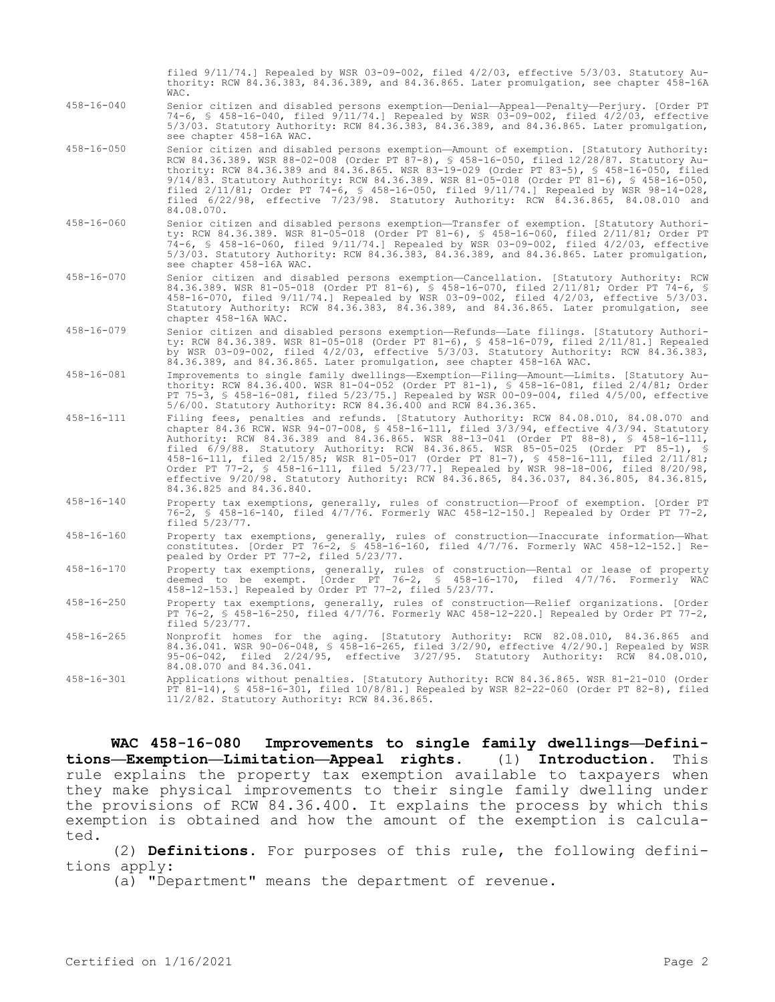|                  | filed 9/11/74.] Repealed by WSR 03-09-002, filed 4/2/03, effective 5/3/03. Statutory Au-<br>thority: RCW 84.36.383, 84.36.389, and 84.36.865. Later promulgation, see chapter 458-16A<br>WAC.                                                                                                                                                                                                                                                                                                                                                                                                                                                                                |
|------------------|------------------------------------------------------------------------------------------------------------------------------------------------------------------------------------------------------------------------------------------------------------------------------------------------------------------------------------------------------------------------------------------------------------------------------------------------------------------------------------------------------------------------------------------------------------------------------------------------------------------------------------------------------------------------------|
| $458 - 16 - 040$ | Senior citizen and disabled persons exemption-Denial-Appeal-Penalty-Perjury. [Order PT<br>74-6, § 458-16-040, filed 9/11/74.] Repealed by WSR 03-09-002, filed 4/2/03, effective<br>5/3/03. Statutory Authority: RCW 84.36.383, 84.36.389, and 84.36.865. Later promulgation,<br>see chapter 458-16A WAC.                                                                                                                                                                                                                                                                                                                                                                    |
| $458 - 16 - 050$ | Senior citizen and disabled persons exemption-Amount of exemption. [Statutory Authority:<br>RCW 84.36.389. WSR 88-02-008 (Order PT 87-8), § 458-16-050, filed 12/28/87. Statutory Au-<br>thority: RCW 84.36.389 and 84.36.865. WSR 83-19-029 (Order PT 83-5), \$ 458-16-050, filed<br>9/14/83. Statutory Authority: RCW 84.36.389. WSR 81-05-018 (Order PT 81-6), § 458-16-050,<br>filed 2/11/81; Order PT 74-6, \$ 458-16-050, filed 9/11/74.] Repealed by WSR 98-14-028,<br>filed $6/22/98$ , effective $7/23/98$ . Statutory Authority: RCW 84.36.865, 84.08.010 and<br>84.08.070.                                                                                        |
| $458 - 16 - 060$ | Senior citizen and disabled persons exemption-Transfer of exemption. [Statutory Authori-<br>ty: RCW 84.36.389. WSR 81-05-018 (Order PT 81-6), § 458-16-060, filed 2/11/81; Order PT<br>74-6, § 458-16-060, filed 9/11/74.] Repealed by WSR 03-09-002, filed 4/2/03, effective<br>5/3/03. Statutory Authority: RCW 84.36.383, 84.36.389, and 84.36.865. Later promulgation,<br>see chapter 458-16A WAC.                                                                                                                                                                                                                                                                       |
| $458 - 16 - 070$ | Senior citizen and disabled persons exemption-Cancellation. [Statutory Authority: RCW<br>84.36.389. WSR 81-05-018 (Order PT 81-6), § 458-16-070, filed 2/11/81; Order PT 74-6, §<br>458-16-070, filed 9/11/74.] Repealed by WSR 03-09-002, filed 4/2/03, effective 5/3/03.<br>Statutory Authority: RCW 84.36.383, 84.36.389, and 84.36.865. Later promulgation, see<br>chapter 458-16A WAC.                                                                                                                                                                                                                                                                                  |
| $458 - 16 - 079$ | Senior citizen and disabled persons exemption-Refunds-Late filings. [Statutory Authori-<br>ty: RCW 84.36.389. WSR 81-05-018 (Order PT 81-6), § 458-16-079, filed 2/11/81.] Repealed<br>by WSR 03-09-002, filed $4/2/03$ , effective $5/3/03$ . Statutory Authority: RCW 84.36.383,<br>84.36.389, and 84.36.865. Later promulgation, see chapter 458-16A WAC.                                                                                                                                                                                                                                                                                                                 |
| $458 - 16 - 081$ | Improvements to single family dwellings—Exemption—Filing—Amount—Limits. [Statutory Au-<br>thority: RCW 84.36.400. WSR 81-04-052 (Order PT 81-1), § 458-16-081, filed 2/4/81; Order<br>PT 75-3, § 458-16-081, filed 5/23/75.] Repealed by WSR 00-09-004, filed 4/5/00, effective<br>5/6/00. Statutory Authority: RCW 84.36.400 and RCW 84.36.365.                                                                                                                                                                                                                                                                                                                             |
| $458 - 16 - 111$ | Filing fees, penalties and refunds. [Statutory Authority: RCW 84.08.010, 84.08.070 and<br>chapter 84.36 RCW. WSR 94-07-008, § 458-16-111, filed 3/3/94, effective 4/3/94. Statutory<br>Authority: RCW 84.36.389 and 84.36.865. WSR 88-13-041 (Order PT 88-8), § 458-16-111,<br>filed 6/9/88. Statutory Authority: RCW 84.36.865. WSR 85-05-025 (Order PT 85-1), §<br>458-16-111, filed 2/15/85; WSR 81-05-017 (Order PT 81-7), § 458-16-111, filed 2/11/81;<br>Order PT 77-2, § 458-16-111, filed 5/23/77.] Repealed by WSR 98-18-006, filed 8/20/98,<br>effective 9/20/98. Statutory Authority: RCW 84.36.865, 84.36.037, 84.36.805, 84.36.815,<br>84.36.825 and 84.36.840. |
| $458 - 16 - 140$ | Property tax exemptions, generally, rules of construction-Proof of exemption. [Order PT<br>76-2, § 458-16-140, filed 4/7/76. Formerly WAC 458-12-150.] Repealed by Order PT 77-2,<br>filed 5/23/77.                                                                                                                                                                                                                                                                                                                                                                                                                                                                          |
| $458 - 16 - 160$ | Property tax exemptions, generally, rules of construction-Inaccurate information-What<br>constitutes. [Order PT 76-2, § 458-16-160, filed 4/7/76. Formerly WAC 458-12-152.] Re-<br>pealed by Order PT 77-2, filed 5/23/77.                                                                                                                                                                                                                                                                                                                                                                                                                                                   |
| $458 - 16 - 170$ | Property tax exemptions, generally, rules of construction-Rental or lease of property<br>deemed to be exempt. [Order PT 76-2, § 458-16-170, filed 4/7/76. Formerly WAC<br>458-12-153.] Repealed by Order PT 77-2, filed 5/23/77.                                                                                                                                                                                                                                                                                                                                                                                                                                             |
| $458 - 16 - 250$ | Property tax exemptions, generally, rules of construction-Relief organizations. [Order<br>PT 76-2, § 458-16-250, filed 4/7/76. Formerly WAC 458-12-220.] Repealed by Order PT 77-2,<br>filed $5/23/77$ .                                                                                                                                                                                                                                                                                                                                                                                                                                                                     |
| $458 - 16 - 265$ | Nonprofit homes for the aging. [Statutory Authority: RCW 82.08.010, 84.36.865 and<br>84.36.041. WSR 90-06-048, § 458-16-265, filed 3/2/90, effective 4/2/90.] Repealed by WSR<br>95-06-042, filed 2/24/95, effective 3/27/95. Statutory Authority: RCW 84.08.010,<br>84.08.070 and 84.36.041.                                                                                                                                                                                                                                                                                                                                                                                |
| $458 - 16 - 301$ | Applications without penalties. [Statutory Authority: RCW 84.36.865. WSR 81-21-010 (Order<br>PT 81-14), § 458-16-301, filed 10/8/81.] Repealed by WSR 82-22-060 (Order PT 82-8), filed<br>11/2/82. Statutory Authority: RCW 84.36.865.                                                                                                                                                                                                                                                                                                                                                                                                                                       |

**WAC 458-16-080 Improvements to single family dwellings—Definitions—Exemption—Limitation—Appeal rights.** (1) **Introduction.** This rule explains the property tax exemption available to taxpayers when they make physical improvements to their single family dwelling under the provisions of RCW 84.36.400. It explains the process by which this exemption is obtained and how the amount of the exemption is calculated.

(2) **Definitions.** For purposes of this rule, the following definitions apply:

(a) "Department" means the department of revenue.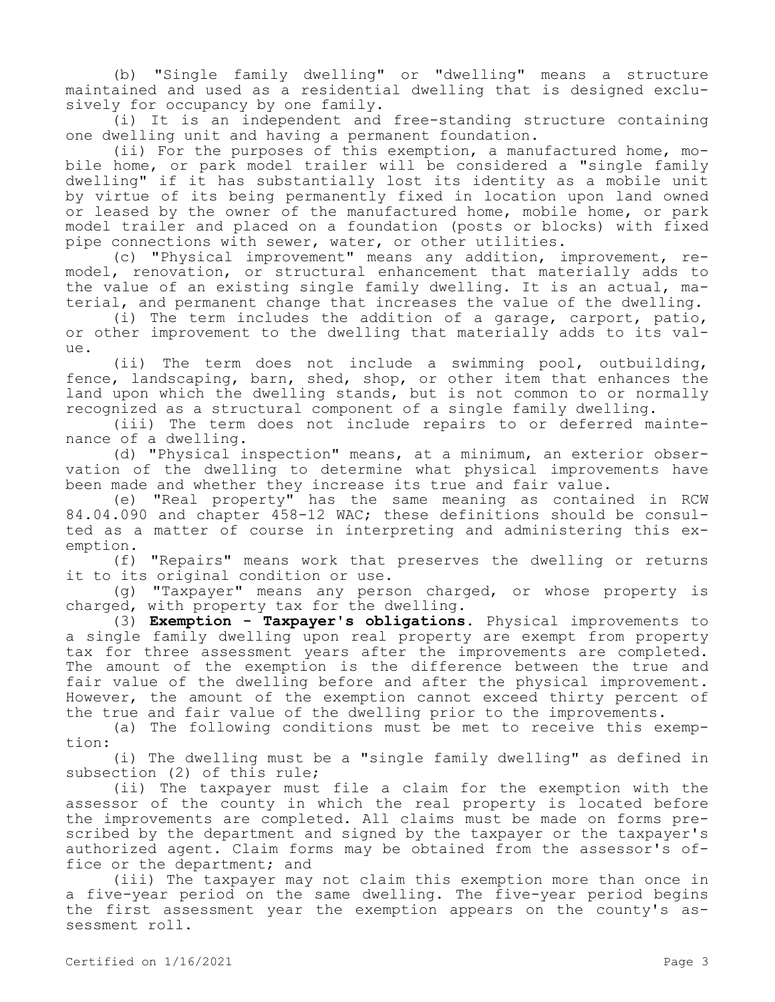(b) "Single family dwelling" or "dwelling" means a structure maintained and used as a residential dwelling that is designed exclusively for occupancy by one family.

(i) It is an independent and free-standing structure containing one dwelling unit and having a permanent foundation.

(ii) For the purposes of this exemption, a manufactured home, mobile home, or park model trailer will be considered a "single family dwelling" if it has substantially lost its identity as a mobile unit by virtue of its being permanently fixed in location upon land owned or leased by the owner of the manufactured home, mobile home, or park model trailer and placed on a foundation (posts or blocks) with fixed pipe connections with sewer, water, or other utilities.

(c) "Physical improvement" means any addition, improvement, remodel, renovation, or structural enhancement that materially adds to the value of an existing single family dwelling. It is an actual, material, and permanent change that increases the value of the dwelling.

(i) The term includes the addition of a garage, carport, patio, or other improvement to the dwelling that materially adds to its value.

(ii) The term does not include a swimming pool, outbuilding, fence, landscaping, barn, shed, shop, or other item that enhances the land upon which the dwelling stands, but is not common to or normally recognized as a structural component of a single family dwelling.

(iii) The term does not include repairs to or deferred maintenance of a dwelling.

(d) "Physical inspection" means, at a minimum, an exterior observation of the dwelling to determine what physical improvements have been made and whether they increase its true and fair value.

(e) "Real property" has the same meaning as contained in RCW 84.04.090 and chapter 458-12 WAC; these definitions should be consulted as a matter of course in interpreting and administering this exemption.

(f) "Repairs" means work that preserves the dwelling or returns it to its original condition or use.

(g) "Taxpayer" means any person charged, or whose property is charged, with property tax for the dwelling.

(3) **Exemption - Taxpayer's obligations.** Physical improvements to a single family dwelling upon real property are exempt from property tax for three assessment years after the improvements are completed. The amount of the exemption is the difference between the true and fair value of the dwelling before and after the physical improvement. However, the amount of the exemption cannot exceed thirty percent of the true and fair value of the dwelling prior to the improvements.

(a) The following conditions must be met to receive this exemption:

(i) The dwelling must be a "single family dwelling" as defined in subsection (2) of this rule;

(ii) The taxpayer must file a claim for the exemption with the assessor of the county in which the real property is located before the improvements are completed. All claims must be made on forms prescribed by the department and signed by the taxpayer or the taxpayer's authorized agent. Claim forms may be obtained from the assessor's office or the department; and

(iii) The taxpayer may not claim this exemption more than once in a five-year period on the same dwelling. The five-year period begins the first assessment year the exemption appears on the county's assessment roll.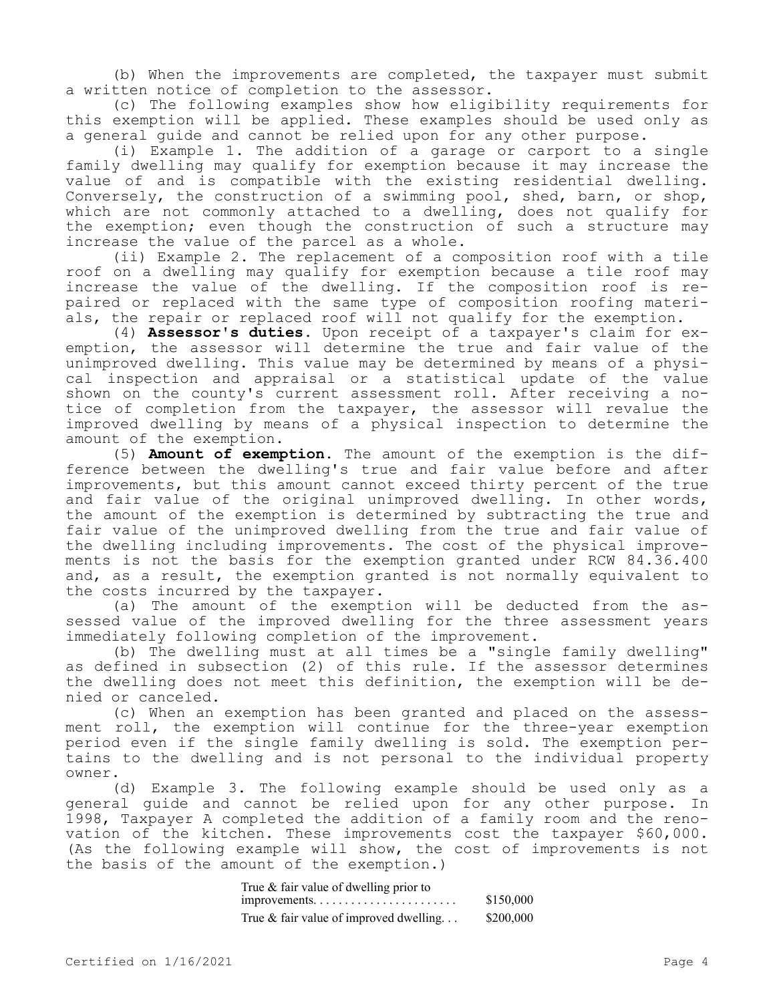(b) When the improvements are completed, the taxpayer must submit a written notice of completion to the assessor.

(c) The following examples show how eligibility requirements for this exemption will be applied. These examples should be used only as a general guide and cannot be relied upon for any other purpose.

(i) Example 1. The addition of a garage or carport to a single family dwelling may qualify for exemption because it may increase the value of and is compatible with the existing residential dwelling. Conversely, the construction of a swimming pool, shed, barn, or shop, which are not commonly attached to a dwelling, does not qualify for the exemption; even though the construction of such a structure may increase the value of the parcel as a whole.

(ii) Example 2. The replacement of a composition roof with a tile roof on a dwelling may qualify for exemption because a tile roof may increase the value of the dwelling. If the composition roof is repaired or replaced with the same type of composition roofing materials, the repair or replaced roof will not qualify for the exemption.

(4) **Assessor's duties.** Upon receipt of a taxpayer's claim for exemption, the assessor will determine the true and fair value of the unimproved dwelling. This value may be determined by means of a physical inspection and appraisal or a statistical update of the value shown on the county's current assessment roll. After receiving a notice of completion from the taxpayer, the assessor will revalue the improved dwelling by means of a physical inspection to determine the amount of the exemption.

(5) **Amount of exemption.** The amount of the exemption is the difference between the dwelling's true and fair value before and after improvements, but this amount cannot exceed thirty percent of the true and fair value of the original unimproved dwelling. In other words, the amount of the exemption is determined by subtracting the true and fair value of the unimproved dwelling from the true and fair value of the dwelling including improvements. The cost of the physical improvements is not the basis for the exemption granted under RCW 84.36.400 and, as a result, the exemption granted is not normally equivalent to the costs incurred by the taxpayer.

(a) The amount of the exemption will be deducted from the assessed value of the improved dwelling for the three assessment years immediately following completion of the improvement.

(b) The dwelling must at all times be a "single family dwelling" as defined in subsection (2) of this rule. If the assessor determines the dwelling does not meet this definition, the exemption will be denied or canceled.

(c) When an exemption has been granted and placed on the assessment roll, the exemption will continue for the three-year exemption period even if the single family dwelling is sold. The exemption pertains to the dwelling and is not personal to the individual property owner.

(d) Example 3. The following example should be used only as a general guide and cannot be relied upon for any other purpose. In 1998, Taxpayer A completed the addition of a family room and the renovation of the kitchen. These improvements cost the taxpayer \$60,000. (As the following example will show, the cost of improvements is not the basis of the amount of the exemption.)

| True & fair value of dwelling prior to    |           |
|-------------------------------------------|-----------|
|                                           | \$150,000 |
| True $\&$ fair value of improved dwelling | \$200,000 |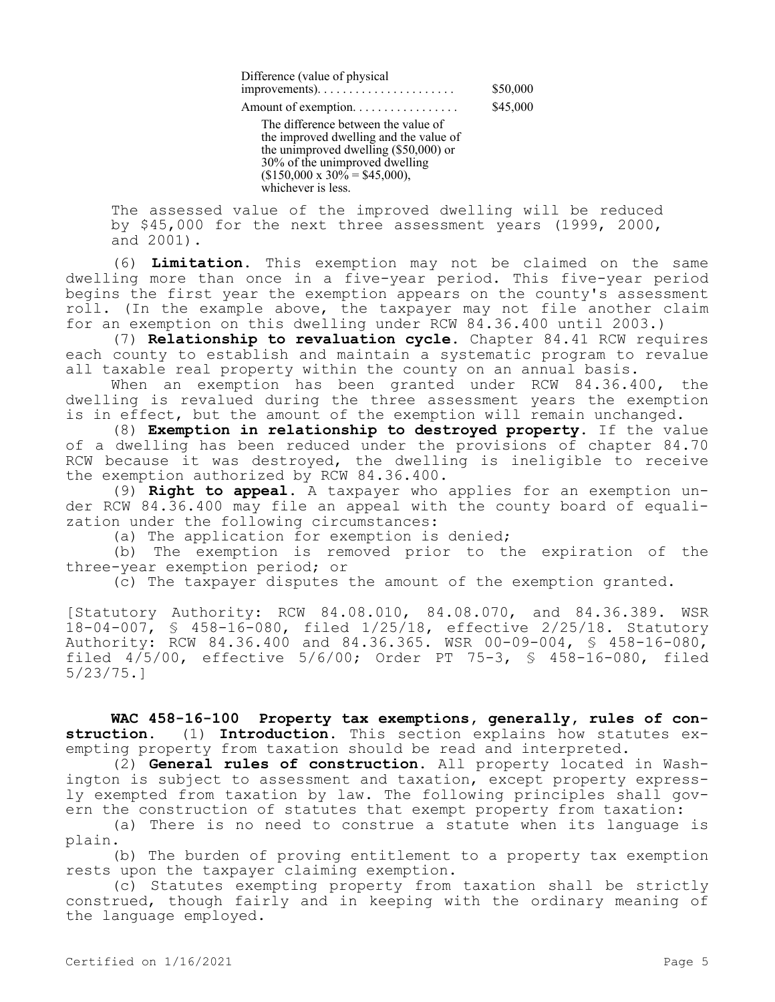Difference (value of physical improvements). . . . . . . . . . . . . . . . . . . . . . \$50,000 Amount of exemption. . . . . . . . . . . . . . . . . \$45,000

The difference between the value of the improved dwelling and the value of the unimproved dwelling (\$50,000) or 30% of the unimproved dwelling  $$150,000 \times 30\% = $45,000$ , whichever is less.

The assessed value of the improved dwelling will be reduced by \$45,000 for the next three assessment years (1999, 2000, and 2001).

(6) **Limitation.** This exemption may not be claimed on the same dwelling more than once in a five-year period. This five-year period begins the first year the exemption appears on the county's assessment roll. (In the example above, the taxpayer may not file another claim for an exemption on this dwelling under RCW 84.36.400 until 2003.)

(7) **Relationship to revaluation cycle.** Chapter 84.41 RCW requires each county to establish and maintain a systematic program to revalue all taxable real property within the county on an annual basis.

When an exemption has been granted under RCW 84.36.400, the dwelling is revalued during the three assessment years the exemption is in effect, but the amount of the exemption will remain unchanged.

(8) **Exemption in relationship to destroyed property.** If the value of a dwelling has been reduced under the provisions of chapter 84.70 RCW because it was destroyed, the dwelling is ineligible to receive the exemption authorized by RCW 84.36.400.

(9) **Right to appeal.** A taxpayer who applies for an exemption under RCW 84.36.400 may file an appeal with the county board of equalization under the following circumstances:

(a) The application for exemption is denied;

(b) The exemption is removed prior to the expiration of the three-year exemption period; or

(c) The taxpayer disputes the amount of the exemption granted.

[Statutory Authority: RCW 84.08.010, 84.08.070, and 84.36.389. WSR 18-04-007, § 458-16-080, filed 1/25/18, effective 2/25/18. Statutory Authority: RCW 84.36.400 and 84.36.365. WSR 00-09-004, § 458-16-080, filed 4/5/00, effective 5/6/00; Order PT 75-3, § 458-16-080, filed 5/23/75.]

**WAC 458-16-100 Property tax exemptions, generally, rules of construction.** (1) **Introduction.** This section explains how statutes exempting property from taxation should be read and interpreted.

(2) **General rules of construction.** All property located in Washington is subject to assessment and taxation, except property expressly exempted from taxation by law. The following principles shall govern the construction of statutes that exempt property from taxation:

(a) There is no need to construe a statute when its language is plain.

(b) The burden of proving entitlement to a property tax exemption rests upon the taxpayer claiming exemption.

(c) Statutes exempting property from taxation shall be strictly construed, though fairly and in keeping with the ordinary meaning of the language employed.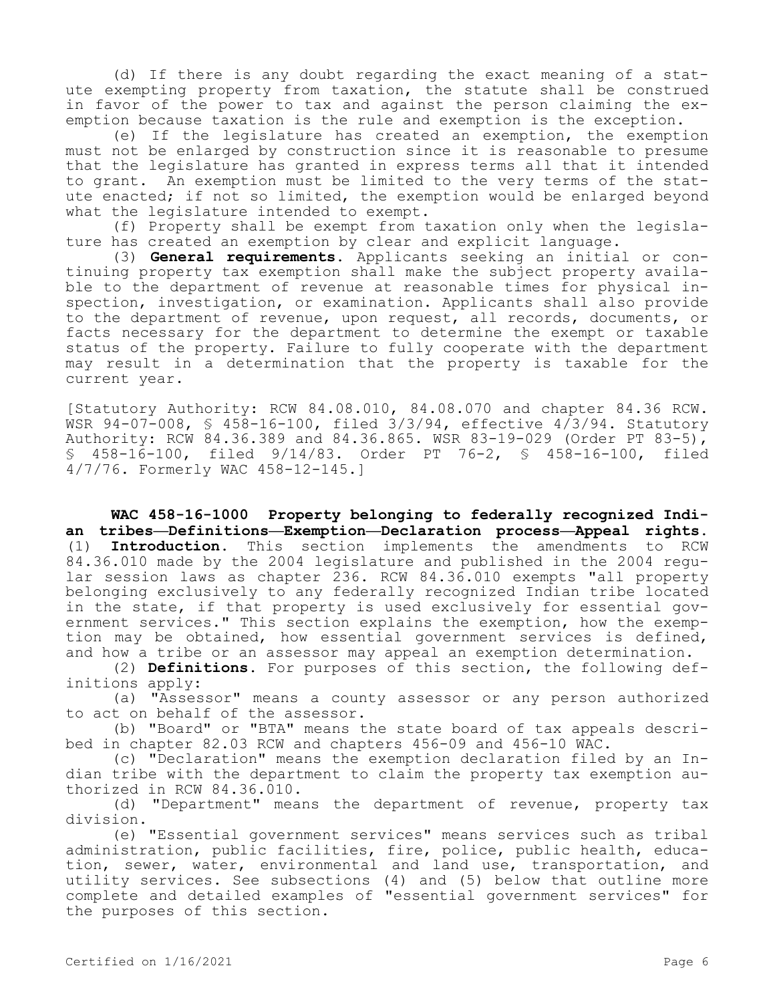(d) If there is any doubt regarding the exact meaning of a statute exempting property from taxation, the statute shall be construed in favor of the power to tax and against the person claiming the exemption because taxation is the rule and exemption is the exception.

(e) If the legislature has created an exemption, the exemption must not be enlarged by construction since it is reasonable to presume that the legislature has granted in express terms all that it intended to grant. An exemption must be limited to the very terms of the statute enacted; if not so limited, the exemption would be enlarged beyond what the legislature intended to exempt.

(f) Property shall be exempt from taxation only when the legislature has created an exemption by clear and explicit language.

(3) **General requirements.** Applicants seeking an initial or continuing property tax exemption shall make the subject property available to the department of revenue at reasonable times for physical inspection, investigation, or examination. Applicants shall also provide to the department of revenue, upon request, all records, documents, or facts necessary for the department to determine the exempt or taxable status of the property. Failure to fully cooperate with the department may result in a determination that the property is taxable for the current year.

[Statutory Authority: RCW 84.08.010, 84.08.070 and chapter 84.36 RCW. WSR 94-07-008, § 458-16-100, filed 3/3/94, effective 4/3/94. Statutory Authority: RCW 84.36.389 and 84.36.865. WSR 83-19-029 (Order PT 83-5), § 458-16-100, filed 9/14/83. Order PT 76-2, § 458-16-100, filed 4/7/76. Formerly WAC 458-12-145.]

**WAC 458-16-1000 Property belonging to federally recognized Indian tribes—Definitions—Exemption—Declaration process—Appeal rights.**  (1) **Introduction.** This section implements the amendments to RCW 84.36.010 made by the 2004 legislature and published in the 2004 regular session laws as chapter 236. RCW 84.36.010 exempts "all property belonging exclusively to any federally recognized Indian tribe located in the state, if that property is used exclusively for essential government services." This section explains the exemption, how the exemption may be obtained, how essential government services is defined, and how a tribe or an assessor may appeal an exemption determination.

(2) **Definitions.** For purposes of this section, the following definitions apply:

(a) "Assessor" means a county assessor or any person authorized to act on behalf of the assessor.

(b) "Board" or "BTA" means the state board of tax appeals described in chapter 82.03 RCW and chapters 456-09 and 456-10 WAC.

(c) "Declaration" means the exemption declaration filed by an Indian tribe with the department to claim the property tax exemption authorized in RCW 84.36.010.

(d) "Department" means the department of revenue, property tax division.

(e) "Essential government services" means services such as tribal administration, public facilities, fire, police, public health, education, sewer, water, environmental and land use, transportation, and utility services. See subsections (4) and (5) below that outline more complete and detailed examples of "essential government services" for the purposes of this section.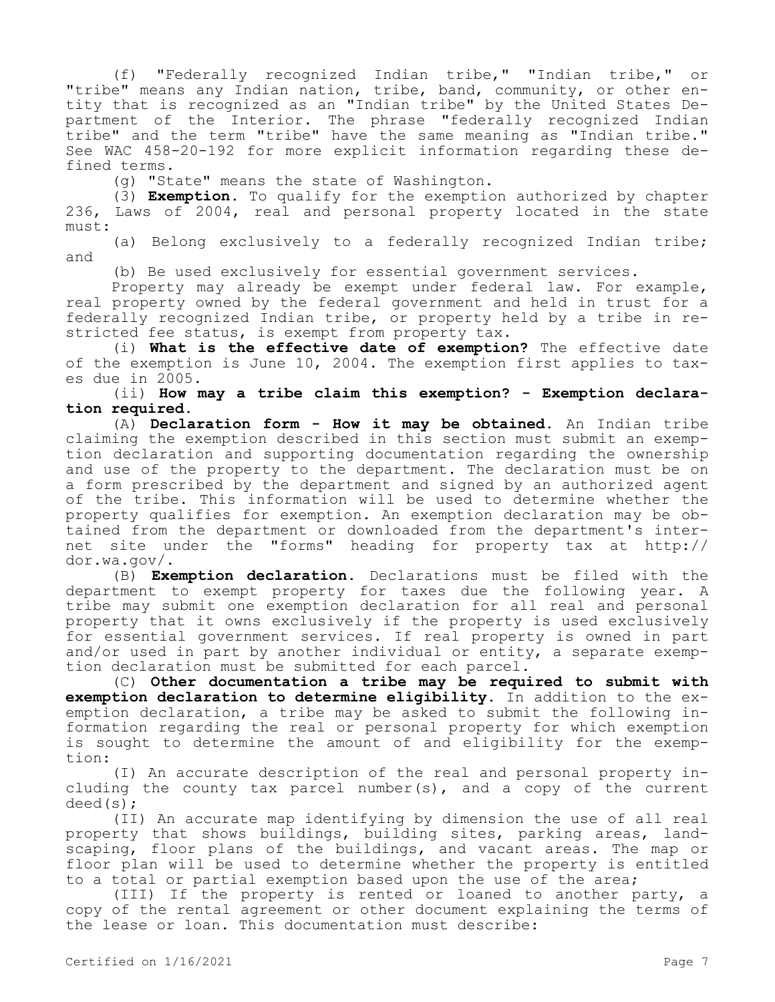(f) "Federally recognized Indian tribe," "Indian tribe," or "tribe" means any Indian nation, tribe, band, community, or other entity that is recognized as an "Indian tribe" by the United States Department of the Interior. The phrase "federally recognized Indian tribe" and the term "tribe" have the same meaning as "Indian tribe." See WAC 458-20-192 for more explicit information regarding these defined terms.

(g) "State" means the state of Washington.

(3) **Exemption.** To qualify for the exemption authorized by chapter 236, Laws of 2004, real and personal property located in the state must:

(a) Belong exclusively to a federally recognized Indian tribe; and

(b) Be used exclusively for essential government services.

Property may already be exempt under federal law. For example, real property owned by the federal government and held in trust for a federally recognized Indian tribe, or property held by a tribe in restricted fee status, is exempt from property tax.

(i) **What is the effective date of exemption?** The effective date of the exemption is June 10, 2004. The exemption first applies to taxes due in 2005.

(ii) **How may a tribe claim this exemption? - Exemption declaration required.**

(A) **Declaration form - How it may be obtained.** An Indian tribe claiming the exemption described in this section must submit an exemption declaration and supporting documentation regarding the ownership and use of the property to the department. The declaration must be on a form prescribed by the department and signed by an authorized agent of the tribe. This information will be used to determine whether the property qualifies for exemption. An exemption declaration may be obtained from the department or downloaded from the department's internet site under the "forms" heading for property tax at http:// dor.wa.gov/.

(B) **Exemption declaration.** Declarations must be filed with the department to exempt property for taxes due the following year. A tribe may submit one exemption declaration for all real and personal property that it owns exclusively if the property is used exclusively for essential government services. If real property is owned in part and/or used in part by another individual or entity, a separate exemption declaration must be submitted for each parcel.

(C) **Other documentation a tribe may be required to submit with exemption declaration to determine eligibility.** In addition to the exemption declaration, a tribe may be asked to submit the following information regarding the real or personal property for which exemption is sought to determine the amount of and eligibility for the exemption:

(I) An accurate description of the real and personal property including the county tax parcel number(s), and a copy of the current deed(s);

(II) An accurate map identifying by dimension the use of all real property that shows buildings, building sites, parking areas, landscaping, floor plans of the buildings, and vacant areas. The map or floor plan will be used to determine whether the property is entitled to a total or partial exemption based upon the use of the area;

(III) If the property is rented or loaned to another party, a copy of the rental agreement or other document explaining the terms of the lease or loan. This documentation must describe: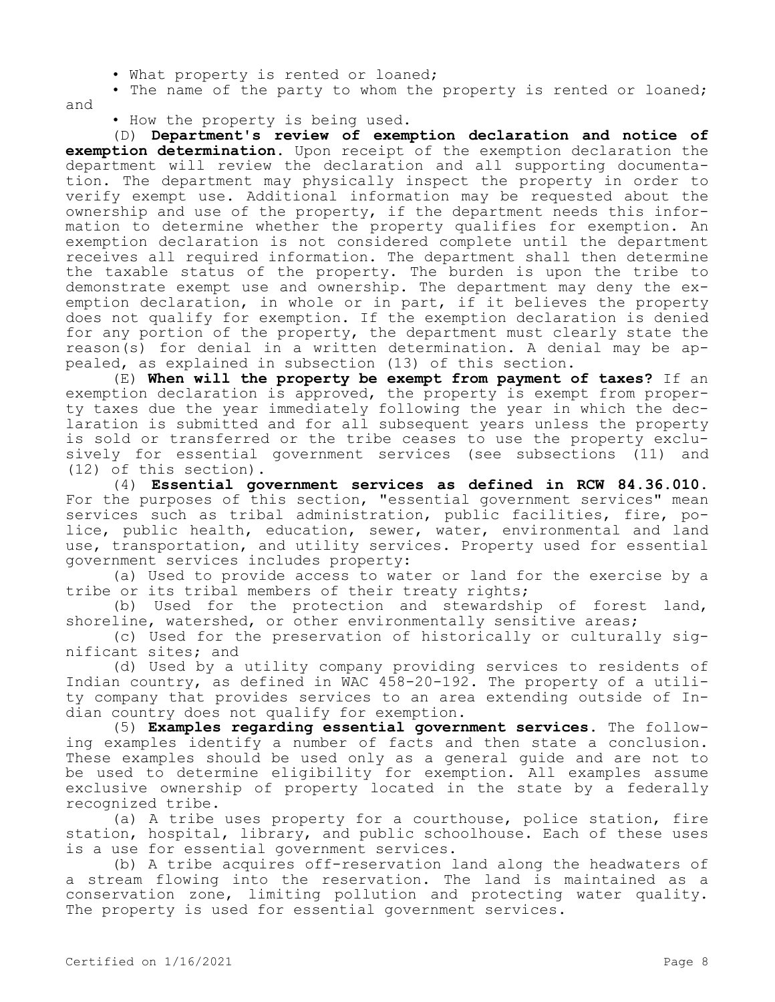- What property is rented or loaned;
- The name of the party to whom the property is rented or loaned; and
	- How the property is being used.

(D) **Department's review of exemption declaration and notice of exemption determination.** Upon receipt of the exemption declaration the department will review the declaration and all supporting documentation. The department may physically inspect the property in order to verify exempt use. Additional information may be requested about the ownership and use of the property, if the department needs this information to determine whether the property qualifies for exemption. An exemption declaration is not considered complete until the department receives all required information. The department shall then determine the taxable status of the property. The burden is upon the tribe to demonstrate exempt use and ownership. The department may deny the exemption declaration, in whole or in part, if it believes the property does not qualify for exemption. If the exemption declaration is denied for any portion of the property, the department must clearly state the reason(s) for denial in a written determination. A denial may be appealed, as explained in subsection (13) of this section.

(E) **When will the property be exempt from payment of taxes?** If an exemption declaration is approved, the property is exempt from property taxes due the year immediately following the year in which the declaration is submitted and for all subsequent years unless the property is sold or transferred or the tribe ceases to use the property exclusively for essential government services (see subsections (11) and (12) of this section).

(4) **Essential government services as defined in RCW 84.36.010.**  For the purposes of this section, "essential government services" mean services such as tribal administration, public facilities, fire, police, public health, education, sewer, water, environmental and land use, transportation, and utility services. Property used for essential government services includes property:

(a) Used to provide access to water or land for the exercise by a tribe or its tribal members of their treaty rights;

(b) Used for the protection and stewardship of forest land, shoreline, watershed, or other environmentally sensitive areas;

(c) Used for the preservation of historically or culturally significant sites; and

(d) Used by a utility company providing services to residents of Indian country, as defined in WAC 458-20-192. The property of a utility company that provides services to an area extending outside of Indian country does not qualify for exemption.

(5) **Examples regarding essential government services.** The following examples identify a number of facts and then state a conclusion. These examples should be used only as a general guide and are not to be used to determine eligibility for exemption. All examples assume exclusive ownership of property located in the state by a federally recognized tribe.

(a) A tribe uses property for a courthouse, police station, fire station, hospital, library, and public schoolhouse. Each of these uses is a use for essential government services.

(b) A tribe acquires off-reservation land along the headwaters of a stream flowing into the reservation. The land is maintained as a conservation zone, limiting pollution and protecting water quality. The property is used for essential government services.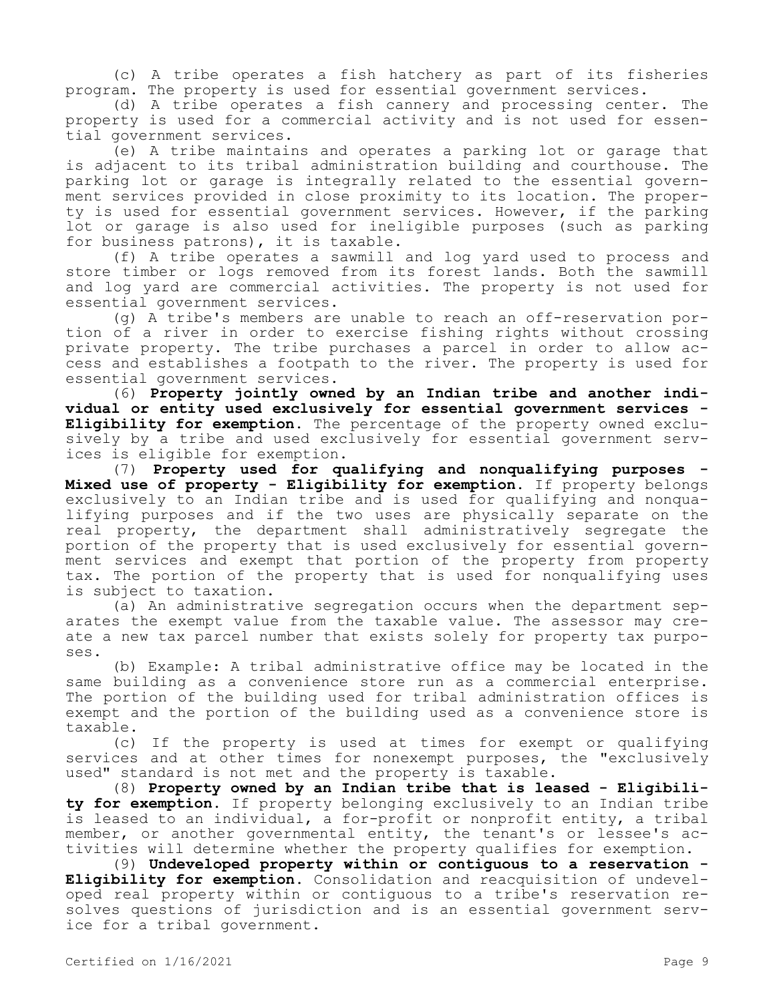(c) A tribe operates a fish hatchery as part of its fisheries program. The property is used for essential government services.

(d) A tribe operates a fish cannery and processing center. The property is used for a commercial activity and is not used for essential government services.

(e) A tribe maintains and operates a parking lot or garage that is adjacent to its tribal administration building and courthouse. The parking lot or garage is integrally related to the essential government services provided in close proximity to its location. The property is used for essential government services. However, if the parking lot or garage is also used for ineligible purposes (such as parking for business patrons), it is taxable.

(f) A tribe operates a sawmill and log yard used to process and store timber or logs removed from its forest lands. Both the sawmill and log yard are commercial activities. The property is not used for essential government services.

(g) A tribe's members are unable to reach an off-reservation portion of a river in order to exercise fishing rights without crossing private property. The tribe purchases a parcel in order to allow access and establishes a footpath to the river. The property is used for essential government services.

(6) **Property jointly owned by an Indian tribe and another individual or entity used exclusively for essential government services - Eligibility for exemption.** The percentage of the property owned exclusively by a tribe and used exclusively for essential government services is eligible for exemption.

(7) **Property used for qualifying and nonqualifying purposes - Mixed use of property - Eligibility for exemption.** If property belongs exclusively to an Indian tribe and is used for qualifying and nonqualifying purposes and if the two uses are physically separate on the real property, the department shall administratively segregate the portion of the property that is used exclusively for essential government services and exempt that portion of the property from property tax. The portion of the property that is used for nonqualifying uses is subject to taxation.

(a) An administrative segregation occurs when the department separates the exempt value from the taxable value. The assessor may create a new tax parcel number that exists solely for property tax purposes.

(b) Example: A tribal administrative office may be located in the same building as a convenience store run as a commercial enterprise. The portion of the building used for tribal administration offices is exempt and the portion of the building used as a convenience store is taxable.

(c) If the property is used at times for exempt or qualifying services and at other times for nonexempt purposes, the "exclusively used" standard is not met and the property is taxable.

(8) **Property owned by an Indian tribe that is leased - Eligibility for exemption.** If property belonging exclusively to an Indian tribe is leased to an individual, a for-profit or nonprofit entity, a tribal member, or another governmental entity, the tenant's or lessee's activities will determine whether the property qualifies for exemption.

(9) **Undeveloped property within or contiguous to a reservation - Eligibility for exemption.** Consolidation and reacquisition of undeveloped real property within or contiguous to a tribe's reservation resolves questions of jurisdiction and is an essential government service for a tribal government.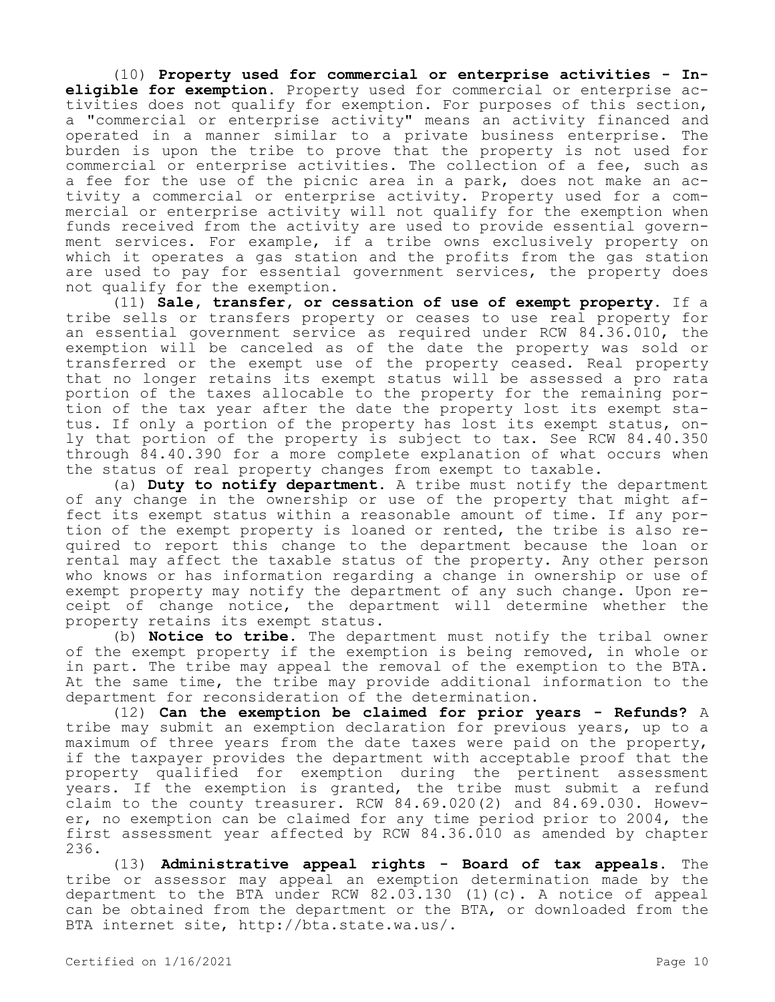(10) **Property used for commercial or enterprise activities - Ineligible for exemption.** Property used for commercial or enterprise activities does not qualify for exemption. For purposes of this section, a "commercial or enterprise activity" means an activity financed and operated in a manner similar to a private business enterprise. The burden is upon the tribe to prove that the property is not used for commercial or enterprise activities. The collection of a fee, such as a fee for the use of the picnic area in a park, does not make an activity a commercial or enterprise activity. Property used for a commercial or enterprise activity will not qualify for the exemption when funds received from the activity are used to provide essential government services. For example, if a tribe owns exclusively property on which it operates a gas station and the profits from the gas station are used to pay for essential government services, the property does not qualify for the exemption.

(11) **Sale, transfer, or cessation of use of exempt property.** If a tribe sells or transfers property or ceases to use real property for an essential government service as required under RCW 84.36.010, the exemption will be canceled as of the date the property was sold or transferred or the exempt use of the property ceased. Real property that no longer retains its exempt status will be assessed a pro rata portion of the taxes allocable to the property for the remaining portion of the tax year after the date the property lost its exempt status. If only a portion of the property has lost its exempt status, only that portion of the property is subject to tax. See RCW 84.40.350 through 84.40.390 for a more complete explanation of what occurs when the status of real property changes from exempt to taxable.

(a) **Duty to notify department.** A tribe must notify the department of any change in the ownership or use of the property that might affect its exempt status within a reasonable amount of time. If any portion of the exempt property is loaned or rented, the tribe is also required to report this change to the department because the loan or rental may affect the taxable status of the property. Any other person who knows or has information regarding a change in ownership or use of exempt property may notify the department of any such change. Upon receipt of change notice, the department will determine whether the property retains its exempt status.

(b) **Notice to tribe.** The department must notify the tribal owner of the exempt property if the exemption is being removed, in whole or in part. The tribe may appeal the removal of the exemption to the BTA. At the same time, the tribe may provide additional information to the department for reconsideration of the determination.

(12) **Can the exemption be claimed for prior years - Refunds?** A tribe may submit an exemption declaration for previous years, up to a maximum of three years from the date taxes were paid on the property, if the taxpayer provides the department with acceptable proof that the property qualified for exemption during the pertinent assessment years. If the exemption is granted, the tribe must submit a refund claim to the county treasurer. RCW 84.69.020(2) and 84.69.030. However, no exemption can be claimed for any time period prior to 2004, the first assessment year affected by RCW 84.36.010 as amended by chapter 236.

(13) **Administrative appeal rights - Board of tax appeals.** The tribe or assessor may appeal an exemption determination made by the department to the BTA under RCW 82.03.130 (1)(c). A notice of appeal can be obtained from the department or the BTA, or downloaded from the BTA internet site, http://bta.state.wa.us/.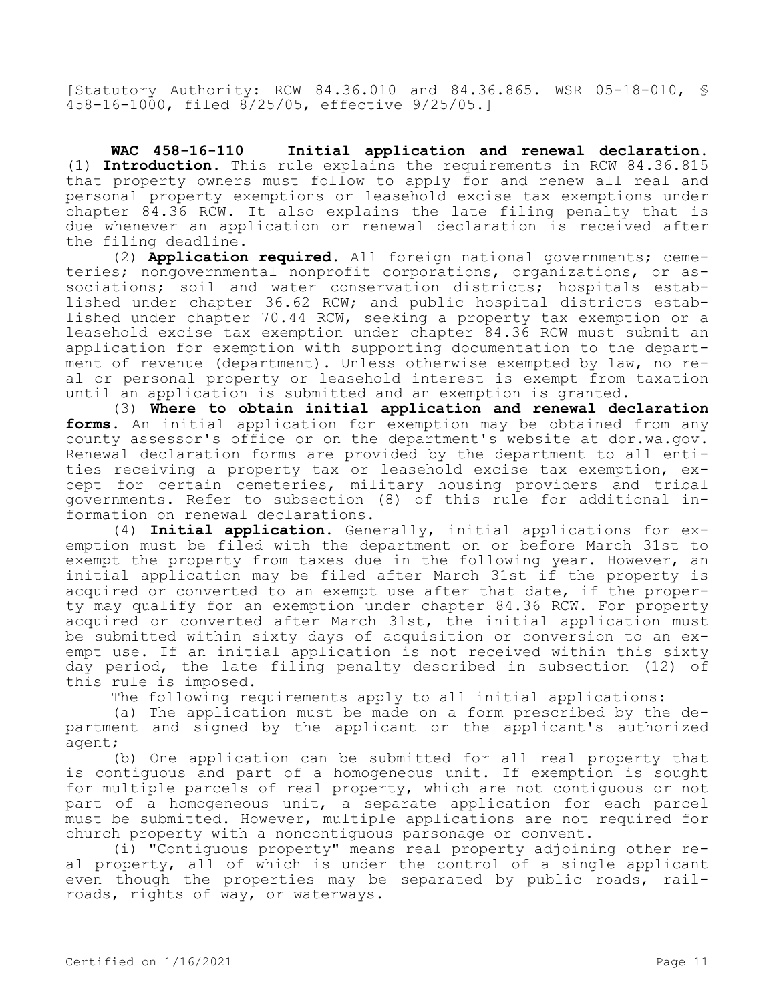[Statutory Authority: RCW 84.36.010 and 84.36.865. WSR 05-18-010, § 458-16-1000, filed 8/25/05, effective 9/25/05.]

**WAC 458-16-110 Initial application and renewal declaration.**  (1) **Introduction.** This rule explains the requirements in RCW 84.36.815 that property owners must follow to apply for and renew all real and personal property exemptions or leasehold excise tax exemptions under chapter 84.36 RCW. It also explains the late filing penalty that is due whenever an application or renewal declaration is received after the filing deadline.

(2) **Application required.** All foreign national governments; cemeteries; nongovernmental nonprofit corporations, organizations, or associations; soil and water conservation districts; hospitals established under chapter 36.62 RCW; and public hospital districts established under chapter 70.44 RCW, seeking a property tax exemption or a leasehold excise tax exemption under chapter 84.36 RCW must submit an application for exemption with supporting documentation to the department of revenue (department). Unless otherwise exempted by law, no real or personal property or leasehold interest is exempt from taxation until an application is submitted and an exemption is granted.

(3) **Where to obtain initial application and renewal declaration forms.** An initial application for exemption may be obtained from any county assessor's office or on the department's website at dor.wa.gov. Renewal declaration forms are provided by the department to all entities receiving a property tax or leasehold excise tax exemption, except for certain cemeteries, military housing providers and tribal governments. Refer to subsection (8) of this rule for additional information on renewal declarations.

(4) **Initial application.** Generally, initial applications for exemption must be filed with the department on or before March 31st to exempt the property from taxes due in the following year. However, an initial application may be filed after March 31st if the property is acquired or converted to an exempt use after that date, if the property may qualify for an exemption under chapter 84.36 RCW. For property acquired or converted after March 31st, the initial application must be submitted within sixty days of acquisition or conversion to an exempt use. If an initial application is not received within this sixty day period, the late filing penalty described in subsection (12) of this rule is imposed.

The following requirements apply to all initial applications:

(a) The application must be made on a form prescribed by the department and signed by the applicant or the applicant's authorized agent;

(b) One application can be submitted for all real property that is contiguous and part of a homogeneous unit. If exemption is sought for multiple parcels of real property, which are not contiguous or not part of a homogeneous unit, a separate application for each parcel must be submitted. However, multiple applications are not required for church property with a noncontiguous parsonage or convent.

(i) "Contiguous property" means real property adjoining other real property, all of which is under the control of a single applicant even though the properties may be separated by public roads, railroads, rights of way, or waterways.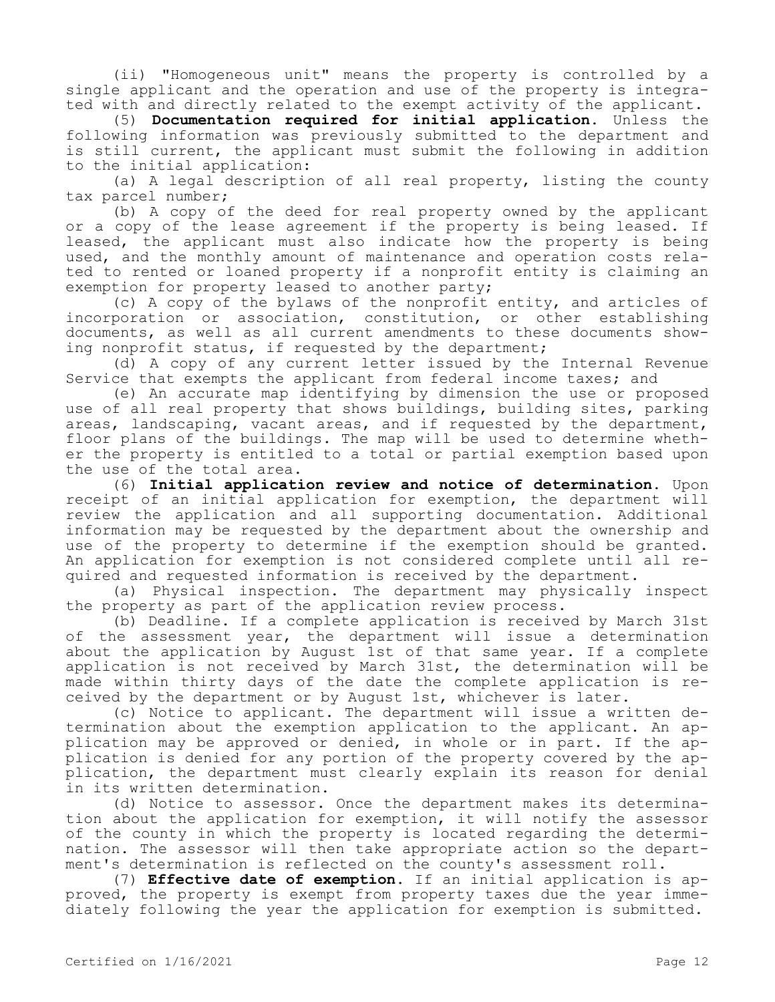(ii) "Homogeneous unit" means the property is controlled by a single applicant and the operation and use of the property is integrated with and directly related to the exempt activity of the applicant.

(5) **Documentation required for initial application.** Unless the following information was previously submitted to the department and is still current, the applicant must submit the following in addition to the initial application:

(a) A legal description of all real property, listing the county tax parcel number;

(b) A copy of the deed for real property owned by the applicant or a copy of the lease agreement if the property is being leased. If leased, the applicant must also indicate how the property is being used, and the monthly amount of maintenance and operation costs related to rented or loaned property if a nonprofit entity is claiming an exemption for property leased to another party;

(c) A copy of the bylaws of the nonprofit entity, and articles of incorporation or association, constitution, or other establishing documents, as well as all current amendments to these documents showing nonprofit status, if requested by the department;

(d) A copy of any current letter issued by the Internal Revenue Service that exempts the applicant from federal income taxes; and

(e) An accurate map identifying by dimension the use or proposed use of all real property that shows buildings, building sites, parking areas, landscaping, vacant areas, and if requested by the department, floor plans of the buildings. The map will be used to determine whether the property is entitled to a total or partial exemption based upon the use of the total area.

(6) **Initial application review and notice of determination.** Upon receipt of an initial application for exemption, the department will review the application and all supporting documentation. Additional information may be requested by the department about the ownership and use of the property to determine if the exemption should be granted. An application for exemption is not considered complete until all required and requested information is received by the department.

(a) Physical inspection. The department may physically inspect the property as part of the application review process.

(b) Deadline. If a complete application is received by March 31st of the assessment year, the department will issue a determination about the application by August 1st of that same year. If a complete application is not received by March 31st, the determination will be made within thirty days of the date the complete application is received by the department or by August 1st, whichever is later.

(c) Notice to applicant. The department will issue a written determination about the exemption application to the applicant. An application may be approved or denied, in whole or in part. If the application is denied for any portion of the property covered by the application, the department must clearly explain its reason for denial in its written determination.

(d) Notice to assessor. Once the department makes its determination about the application for exemption, it will notify the assessor of the county in which the property is located regarding the determination. The assessor will then take appropriate action so the department's determination is reflected on the county's assessment roll.

(7) **Effective date of exemption.** If an initial application is approved, the property is exempt from property taxes due the year immediately following the year the application for exemption is submitted.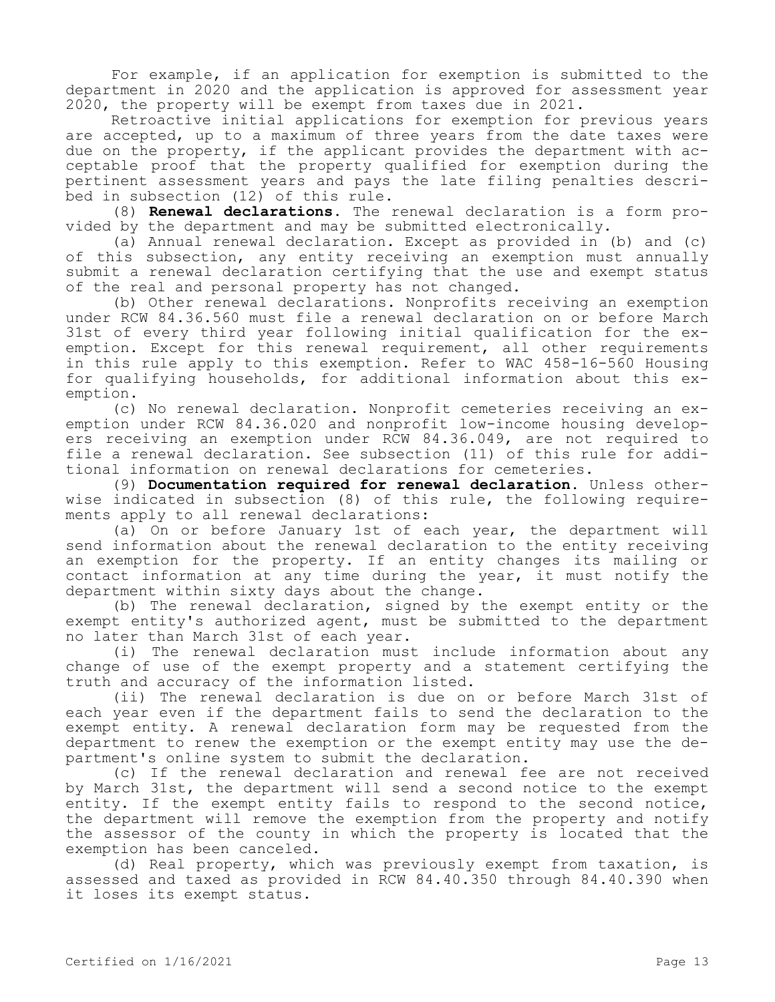For example, if an application for exemption is submitted to the department in 2020 and the application is approved for assessment year 2020, the property will be exempt from taxes due in 2021.

Retroactive initial applications for exemption for previous years are accepted, up to a maximum of three years from the date taxes were due on the property, if the applicant provides the department with acceptable proof that the property qualified for exemption during the pertinent assessment years and pays the late filing penalties described in subsection (12) of this rule.

(8) **Renewal declarations.** The renewal declaration is a form provided by the department and may be submitted electronically.

(a) Annual renewal declaration. Except as provided in (b) and (c) of this subsection, any entity receiving an exemption must annually submit a renewal declaration certifying that the use and exempt status of the real and personal property has not changed.

(b) Other renewal declarations. Nonprofits receiving an exemption under RCW 84.36.560 must file a renewal declaration on or before March 31st of every third year following initial qualification for the exemption. Except for this renewal requirement, all other requirements in this rule apply to this exemption. Refer to WAC 458-16-560 Housing for qualifying households, for additional information about this exemption.

(c) No renewal declaration. Nonprofit cemeteries receiving an exemption under RCW 84.36.020 and nonprofit low-income housing developers receiving an exemption under RCW 84.36.049, are not required to file a renewal declaration. See subsection (11) of this rule for additional information on renewal declarations for cemeteries.

(9) **Documentation required for renewal declaration.** Unless otherwise indicated in subsection (8) of this rule, the following requirements apply to all renewal declarations:

(a) On or before January 1st of each year, the department will send information about the renewal declaration to the entity receiving an exemption for the property. If an entity changes its mailing or contact information at any time during the year, it must notify the department within sixty days about the change.

(b) The renewal declaration, signed by the exempt entity or the exempt entity's authorized agent, must be submitted to the department no later than March 31st of each year.

(i) The renewal declaration must include information about any change of use of the exempt property and a statement certifying the truth and accuracy of the information listed.

(ii) The renewal declaration is due on or before March 31st of each year even if the department fails to send the declaration to the exempt entity. A renewal declaration form may be requested from the department to renew the exemption or the exempt entity may use the department's online system to submit the declaration.

(c) If the renewal declaration and renewal fee are not received by March 31st, the department will send a second notice to the exempt entity. If the exempt entity fails to respond to the second notice, the department will remove the exemption from the property and notify the assessor of the county in which the property is located that the exemption has been canceled.

(d) Real property, which was previously exempt from taxation, is assessed and taxed as provided in RCW 84.40.350 through 84.40.390 when it loses its exempt status.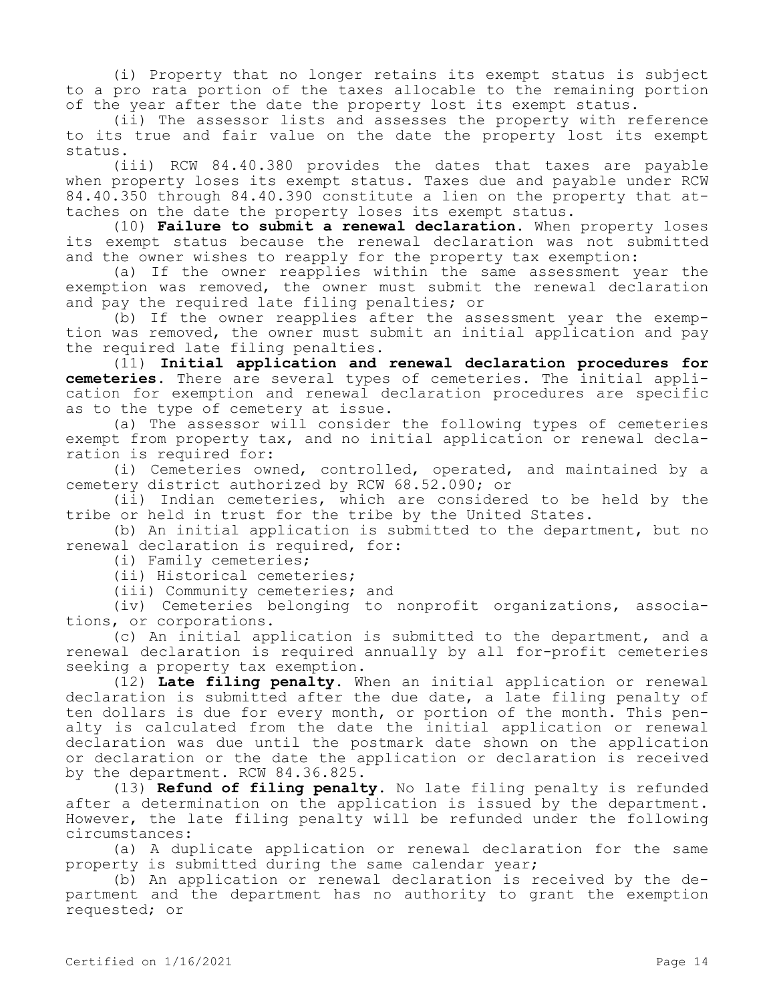(i) Property that no longer retains its exempt status is subject to a pro rata portion of the taxes allocable to the remaining portion of the year after the date the property lost its exempt status.

(ii) The assessor lists and assesses the property with reference to its true and fair value on the date the property lost its exempt status.

(iii) RCW 84.40.380 provides the dates that taxes are payable when property loses its exempt status. Taxes due and payable under RCW 84.40.350 through 84.40.390 constitute a lien on the property that attaches on the date the property loses its exempt status.

(10) **Failure to submit a renewal declaration.** When property loses its exempt status because the renewal declaration was not submitted and the owner wishes to reapply for the property tax exemption:

(a) If the owner reapplies within the same assessment year the exemption was removed, the owner must submit the renewal declaration and pay the required late filing penalties; or

(b) If the owner reapplies after the assessment year the exemption was removed, the owner must submit an initial application and pay the required late filing penalties.

(11) **Initial application and renewal declaration procedures for cemeteries.** There are several types of cemeteries. The initial application for exemption and renewal declaration procedures are specific as to the type of cemetery at issue.

(a) The assessor will consider the following types of cemeteries exempt from property tax, and no initial application or renewal declaration is required for:

(i) Cemeteries owned, controlled, operated, and maintained by a cemetery district authorized by RCW 68.52.090; or

(ii) Indian cemeteries, which are considered to be held by the tribe or held in trust for the tribe by the United States.

(b) An initial application is submitted to the department, but no renewal declaration is required, for:

(i) Family cemeteries;

(ii) Historical cemeteries;

(iii) Community cemeteries; and

(iv) Cemeteries belonging to nonprofit organizations, associations, or corporations.

(c) An initial application is submitted to the department, and a renewal declaration is required annually by all for-profit cemeteries seeking a property tax exemption.

(12) **Late filing penalty.** When an initial application or renewal declaration is submitted after the due date, a late filing penalty of ten dollars is due for every month, or portion of the month. This penalty is calculated from the date the initial application or renewal declaration was due until the postmark date shown on the application or declaration or the date the application or declaration is received by the department. RCW 84.36.825.

(13) **Refund of filing penalty.** No late filing penalty is refunded after a determination on the application is issued by the department. However, the late filing penalty will be refunded under the following circumstances:

(a) A duplicate application or renewal declaration for the same property is submitted during the same calendar year;

(b) An application or renewal declaration is received by the department and the department has no authority to grant the exemption requested; or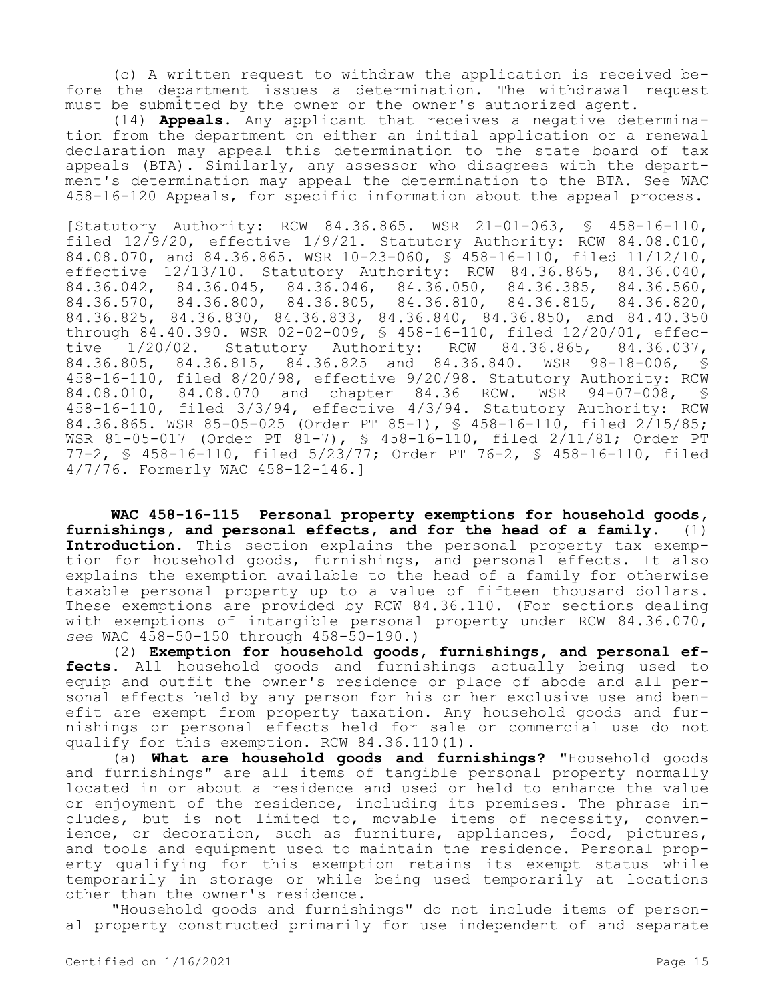(c) A written request to withdraw the application is received before the department issues a determination. The withdrawal request must be submitted by the owner or the owner's authorized agent.

(14) **Appeals.** Any applicant that receives a negative determination from the department on either an initial application or a renewal declaration may appeal this determination to the state board of tax appeals (BTA). Similarly, any assessor who disagrees with the department's determination may appeal the determination to the BTA. See WAC 458-16-120 Appeals, for specific information about the appeal process.

[Statutory Authority: RCW 84.36.865. WSR 21-01-063, § 458-16-110, filed 12/9/20, effective 1/9/21. Statutory Authority: RCW 84.08.010, 84.08.070, and 84.36.865. WSR 10-23-060, § 458-16-110, filed 11/12/10, effective 12/13/10. Statutory Authority: RCW 84.36.865, 84.36.040, 84.36.042, 84.36.045, 84.36.046, 84.36.050, 84.36.385, 84.36.560, 84.36.570, 84.36.800, 84.36.805, 84.36.810, 84.36.815, 84.36.820, 84.36.825, 84.36.830, 84.36.833, 84.36.840, 84.36.850, and 84.40.350 through 84.40.390. WSR 02-02-009, § 458-16-110, filed 12/20/01, effective 1/20/02. Statutory Authority: RCW 84.36.865, 84.36.037, 84.36.805, 84.36.815, 84.36.825 and 84.36.840. WSR 98-18-006, § 458-16-110, filed 8/20/98, effective 9/20/98. Statutory Authority: RCW<br>84.08.010, 84.08.070 and chapter 84.36 RCW. WSR 94-07-008, S 84.08.010, 84.08.070 and chapter 84.36 RCW. WSR 94-07-008, \$ 458-16-110, filed 3/3/94, effective 4/3/94. Statutory Authority: RCW 84.36.865. WSR 85-05-025 (Order PT 85-1), § 458-16-110, filed 2/15/85; WSR 81-05-017 (Order PT 81-7), § 458-16-110, filed 2/11/81; Order PT 77-2, § 458-16-110, filed 5/23/77; Order PT 76-2, § 458-16-110, filed 4/7/76. Formerly WAC 458-12-146.]

**WAC 458-16-115 Personal property exemptions for household goods, furnishings, and personal effects, and for the head of a family.** (1) **Introduction.** This section explains the personal property tax exemption for household goods, furnishings, and personal effects. It also explains the exemption available to the head of a family for otherwise taxable personal property up to a value of fifteen thousand dollars. These exemptions are provided by RCW 84.36.110. (For sections dealing with exemptions of intangible personal property under RCW 84.36.070, *see* WAC 458-50-150 through 458-50-190.)

(2) **Exemption for household goods, furnishings, and personal effects.** All household goods and furnishings actually being used to equip and outfit the owner's residence or place of abode and all personal effects held by any person for his or her exclusive use and benefit are exempt from property taxation. Any household goods and furnishings or personal effects held for sale or commercial use do not qualify for this exemption. RCW 84.36.110(1).

(a) **What are household goods and furnishings?** "Household goods and furnishings" are all items of tangible personal property normally located in or about a residence and used or held to enhance the value or enjoyment of the residence, including its premises. The phrase includes, but is not limited to, movable items of necessity, convenience, or decoration, such as furniture, appliances, food, pictures, and tools and equipment used to maintain the residence. Personal property qualifying for this exemption retains its exempt status while temporarily in storage or while being used temporarily at locations other than the owner's residence.

"Household goods and furnishings" do not include items of personal property constructed primarily for use independent of and separate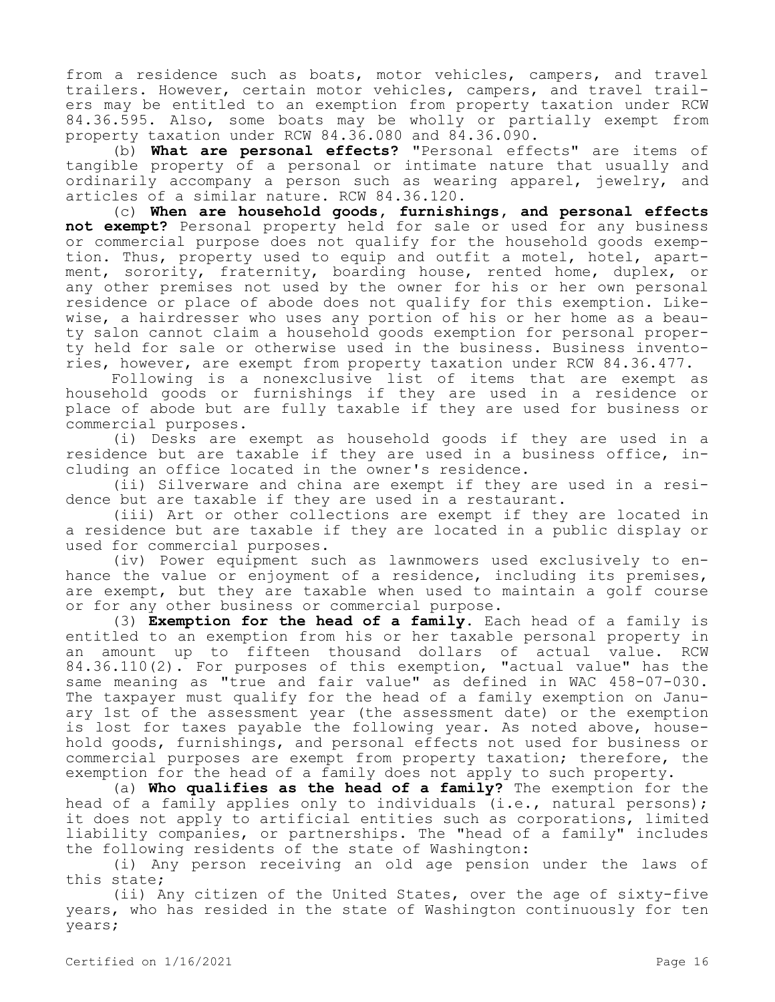from a residence such as boats, motor vehicles, campers, and travel trailers. However, certain motor vehicles, campers, and travel trailers may be entitled to an exemption from property taxation under RCW 84.36.595. Also, some boats may be wholly or partially exempt from property taxation under RCW 84.36.080 and 84.36.090.

(b) **What are personal effects?** "Personal effects" are items of tangible property of a personal or intimate nature that usually and ordinarily accompany a person such as wearing apparel, jewelry, and articles of a similar nature. RCW 84.36.120.

(c) **When are household goods, furnishings, and personal effects not exempt?** Personal property held for sale or used for any business or commercial purpose does not qualify for the household goods exemption. Thus, property used to equip and outfit a motel, hotel, apartment, sorority, fraternity, boarding house, rented home, duplex, or any other premises not used by the owner for his or her own personal residence or place of abode does not qualify for this exemption. Likewise, a hairdresser who uses any portion of his or her home as a beauty salon cannot claim a household goods exemption for personal property held for sale or otherwise used in the business. Business inventories, however, are exempt from property taxation under RCW 84.36.477.

Following is a nonexclusive list of items that are exempt as household goods or furnishings if they are used in a residence or place of abode but are fully taxable if they are used for business or commercial purposes.

(i) Desks are exempt as household goods if they are used in a residence but are taxable if they are used in a business office, including an office located in the owner's residence.

(ii) Silverware and china are exempt if they are used in a residence but are taxable if they are used in a restaurant.

(iii) Art or other collections are exempt if they are located in a residence but are taxable if they are located in a public display or used for commercial purposes.

(iv) Power equipment such as lawnmowers used exclusively to enhance the value or enjoyment of a residence, including its premises, are exempt, but they are taxable when used to maintain a golf course or for any other business or commercial purpose.

(3) **Exemption for the head of a family.** Each head of a family is entitled to an exemption from his or her taxable personal property in an amount up to fifteen thousand dollars of actual value. RCW 84.36.110(2). For purposes of this exemption, "actual value" has the same meaning as "true and fair value" as defined in WAC 458-07-030. The taxpayer must qualify for the head of a family exemption on January 1st of the assessment year (the assessment date) or the exemption is lost for taxes payable the following year. As noted above, household goods, furnishings, and personal effects not used for business or commercial purposes are exempt from property taxation; therefore, the exemption for the head of a family does not apply to such property.

(a) **Who qualifies as the head of a family?** The exemption for the head of a family applies only to individuals (i.e., natural persons); it does not apply to artificial entities such as corporations, limited liability companies, or partnerships. The "head of a family" includes the following residents of the state of Washington:

(i) Any person receiving an old age pension under the laws of this state;

(ii) Any citizen of the United States, over the age of sixty-five years, who has resided in the state of Washington continuously for ten years;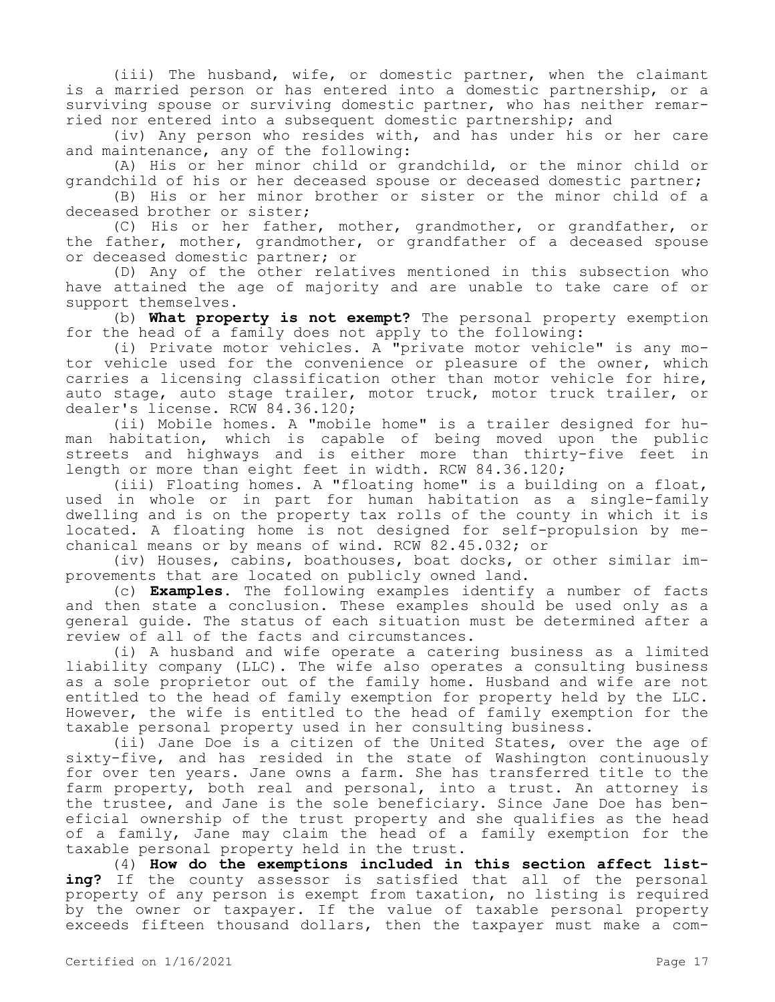(iii) The husband, wife, or domestic partner, when the claimant is a married person or has entered into a domestic partnership, or a surviving spouse or surviving domestic partner, who has neither remarried nor entered into a subsequent domestic partnership; and

(iv) Any person who resides with, and has under his or her care and maintenance, any of the following:

(A) His or her minor child or grandchild, or the minor child or grandchild of his or her deceased spouse or deceased domestic partner;

(B) His or her minor brother or sister or the minor child of a deceased brother or sister;

(C) His or her father, mother, grandmother, or grandfather, or the father, mother, grandmother, or grandfather of a deceased spouse or deceased domestic partner; or

(D) Any of the other relatives mentioned in this subsection who have attained the age of majority and are unable to take care of or support themselves.

(b) **What property is not exempt?** The personal property exemption for the head of a family does not apply to the following:

(i) Private motor vehicles. A "private motor vehicle" is any motor vehicle used for the convenience or pleasure of the owner, which carries a licensing classification other than motor vehicle for hire, auto stage, auto stage trailer, motor truck, motor truck trailer, or dealer's license. RCW 84.36.120;

(ii) Mobile homes. A "mobile home" is a trailer designed for human habitation, which is capable of being moved upon the public streets and highways and is either more than thirty-five feet in length or more than eight feet in width. RCW 84.36.120;

(iii) Floating homes. A "floating home" is a building on a float, used in whole or in part for human habitation as a single-family dwelling and is on the property tax rolls of the county in which it is located. A floating home is not designed for self-propulsion by mechanical means or by means of wind. RCW 82.45.032; or

(iv) Houses, cabins, boathouses, boat docks, or other similar improvements that are located on publicly owned land.

(c) **Examples.** The following examples identify a number of facts and then state a conclusion. These examples should be used only as a general guide. The status of each situation must be determined after a review of all of the facts and circumstances.

(i) A husband and wife operate a catering business as a limited liability company (LLC). The wife also operates a consulting business as a sole proprietor out of the family home. Husband and wife are not entitled to the head of family exemption for property held by the LLC. However, the wife is entitled to the head of family exemption for the taxable personal property used in her consulting business.

(ii) Jane Doe is a citizen of the United States, over the age of sixty-five, and has resided in the state of Washington continuously for over ten years. Jane owns a farm. She has transferred title to the farm property, both real and personal, into a trust. An attorney is the trustee, and Jane is the sole beneficiary. Since Jane Doe has beneficial ownership of the trust property and she qualifies as the head of a family, Jane may claim the head of a family exemption for the taxable personal property held in the trust.

(4) **How do the exemptions included in this section affect listing?** If the county assessor is satisfied that all of the personal property of any person is exempt from taxation, no listing is required by the owner or taxpayer. If the value of taxable personal property exceeds fifteen thousand dollars, then the taxpayer must make a com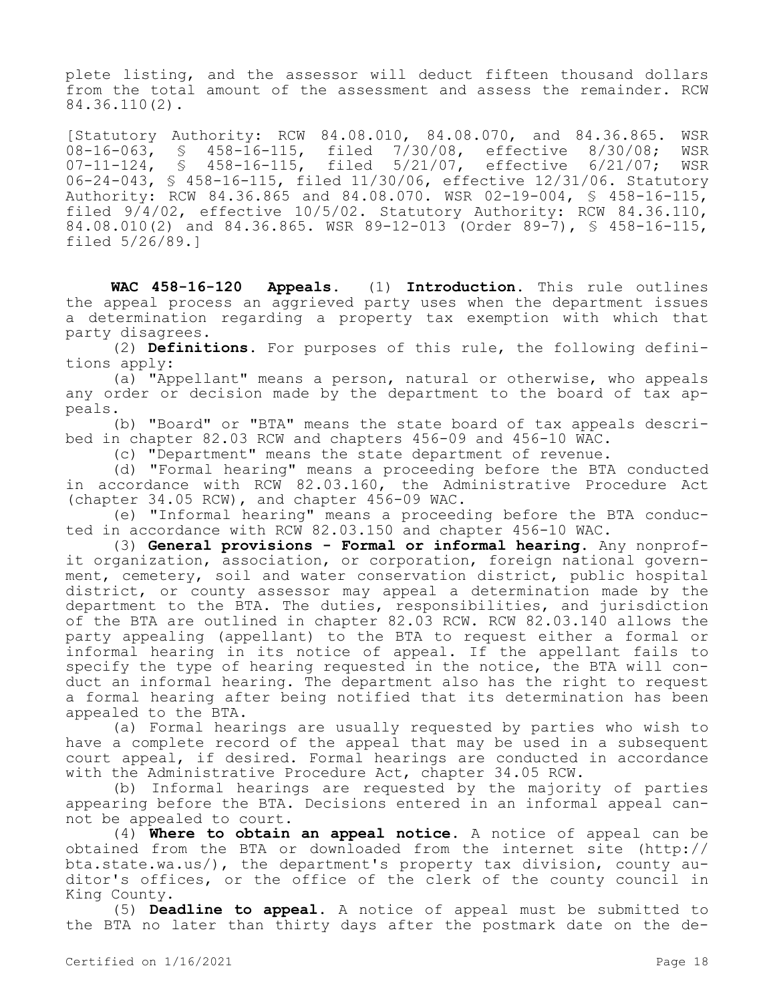plete listing, and the assessor will deduct fifteen thousand dollars from the total amount of the assessment and assess the remainder. RCW 84.36.110(2).

[Statutory Authority: RCW 84.08.010, 84.08.070, and 84.36.865. WSR 08-16-063, § 458-16-115, filed 7/30/08, effective 8/30/08; WSR<br>07-11-124, § 458-16-115, filed 5/21/07, effective 6/21/07; WSR § 458-16-115, filed 5/21/07, effective 6/21/07; WSR 06-24-043, § 458-16-115, filed 11/30/06, effective 12/31/06. Statutory Authority: RCW 84.36.865 and 84.08.070. WSR 02-19-004, § 458-16-115, filed 9/4/02, effective 10/5/02. Statutory Authority: RCW 84.36.110, 84.08.010(2) and 84.36.865. WSR 89-12-013 (Order 89-7), § 458-16-115, filed 5/26/89.]

**WAC 458-16-120 Appeals.** (1) **Introduction.** This rule outlines the appeal process an aggrieved party uses when the department issues a determination regarding a property tax exemption with which that party disagrees.

(2) **Definitions.** For purposes of this rule, the following definitions apply:

(a) "Appellant" means a person, natural or otherwise, who appeals any order or decision made by the department to the board of tax appeals.

(b) "Board" or "BTA" means the state board of tax appeals described in chapter 82.03 RCW and chapters 456-09 and 456-10 WAC.

(c) "Department" means the state department of revenue.

(d) "Formal hearing" means a proceeding before the BTA conducted in accordance with RCW 82.03.160, the Administrative Procedure Act (chapter 34.05 RCW), and chapter 456-09 WAC.

(e) "Informal hearing" means a proceeding before the BTA conducted in accordance with RCW 82.03.150 and chapter 456-10 WAC.

(3) **General provisions - Formal or informal hearing.** Any nonprofit organization, association, or corporation, foreign national government, cemetery, soil and water conservation district, public hospital district, or county assessor may appeal a determination made by the department to the BTA. The duties, responsibilities, and jurisdiction of the BTA are outlined in chapter 82.03 RCW. RCW 82.03.140 allows the party appealing (appellant) to the BTA to request either a formal or informal hearing in its notice of appeal. If the appellant fails to specify the type of hearing requested in the notice, the BTA will conduct an informal hearing. The department also has the right to request a formal hearing after being notified that its determination has been appealed to the BTA.

(a) Formal hearings are usually requested by parties who wish to have a complete record of the appeal that may be used in a subsequent court appeal, if desired. Formal hearings are conducted in accordance with the Administrative Procedure Act, chapter 34.05 RCW.

(b) Informal hearings are requested by the majority of parties appearing before the BTA. Decisions entered in an informal appeal cannot be appealed to court.

(4) **Where to obtain an appeal notice.** A notice of appeal can be obtained from the BTA or downloaded from the internet site (http:// bta.state.wa.us/), the department's property tax division, county auditor's offices, or the office of the clerk of the county council in King County.

(5) **Deadline to appeal.** A notice of appeal must be submitted to the BTA no later than thirty days after the postmark date on the de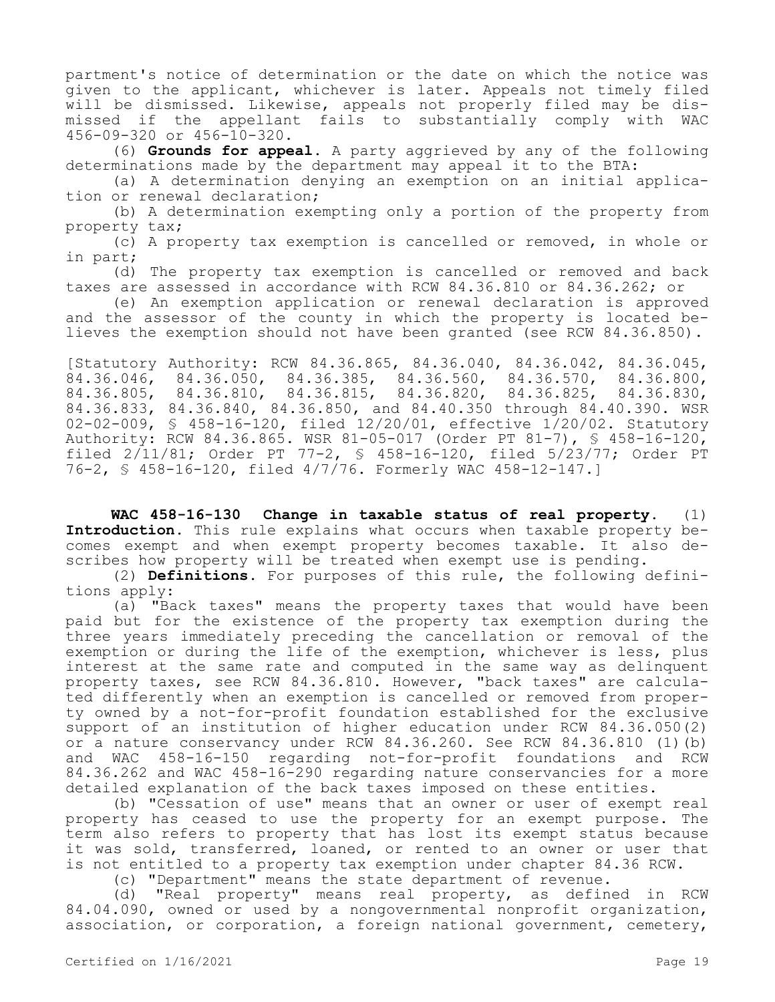partment's notice of determination or the date on which the notice was given to the applicant, whichever is later. Appeals not timely filed will be dismissed. Likewise, appeals not properly filed may be dismissed if the appellant fails to substantially comply with WAC 456-09-320 or 456-10-320.

(6) **Grounds for appeal.** A party aggrieved by any of the following determinations made by the department may appeal it to the BTA:

(a) A determination denying an exemption on an initial application or renewal declaration;

(b) A determination exempting only a portion of the property from property tax;

(c) A property tax exemption is cancelled or removed, in whole or in part;

(d) The property tax exemption is cancelled or removed and back taxes are assessed in accordance with RCW 84.36.810 or 84.36.262; or

(e) An exemption application or renewal declaration is approved and the assessor of the county in which the property is located believes the exemption should not have been granted (see RCW 84.36.850).

[Statutory Authority: RCW 84.36.865, 84.36.040, 84.36.042, 84.36.045, 84.36.046, 84.36.050, 84.36.385, 84.36.560, 84.36.570, 84.36.800, 84.36.805, 84.36.810, 84.36.815, 84.36.820, 84.36.825, 84.36.830, 84.36.833, 84.36.840, 84.36.850, and 84.40.350 through 84.40.390. WSR 02-02-009, § 458-16-120, filed 12/20/01, effective 1/20/02. Statutory Authority: RCW 84.36.865. WSR 81-05-017 (Order PT 81-7), § 458-16-120, filed 2/11/81; Order PT 77-2, § 458-16-120, filed 5/23/77; Order PT 76-2, § 458-16-120, filed 4/7/76. Formerly WAC 458-12-147.]

**WAC 458-16-130 Change in taxable status of real property.** (1) **Introduction.** This rule explains what occurs when taxable property becomes exempt and when exempt property becomes taxable. It also describes how property will be treated when exempt use is pending.

(2) **Definitions.** For purposes of this rule, the following definitions apply:

(a) "Back taxes" means the property taxes that would have been paid but for the existence of the property tax exemption during the three years immediately preceding the cancellation or removal of the exemption or during the life of the exemption, whichever is less, plus interest at the same rate and computed in the same way as delinquent property taxes, see RCW 84.36.810. However, "back taxes" are calculated differently when an exemption is cancelled or removed from property owned by a not-for-profit foundation established for the exclusive support of an institution of higher education under RCW 84.36.050(2) or a nature conservancy under RCW 84.36.260. See RCW 84.36.810 (1)(b) and WAC 458-16-150 regarding not-for-profit foundations and RCW 84.36.262 and WAC 458-16-290 regarding nature conservancies for a more detailed explanation of the back taxes imposed on these entities.

(b) "Cessation of use" means that an owner or user of exempt real property has ceased to use the property for an exempt purpose. The term also refers to property that has lost its exempt status because it was sold, transferred, loaned, or rented to an owner or user that is not entitled to a property tax exemption under chapter 84.36 RCW.

(c) "Department" means the state department of revenue.

(d) "Real property" means real property, as defined in RCW 84.04.090, owned or used by a nongovernmental nonprofit organization, association, or corporation, a foreign national government, cemetery,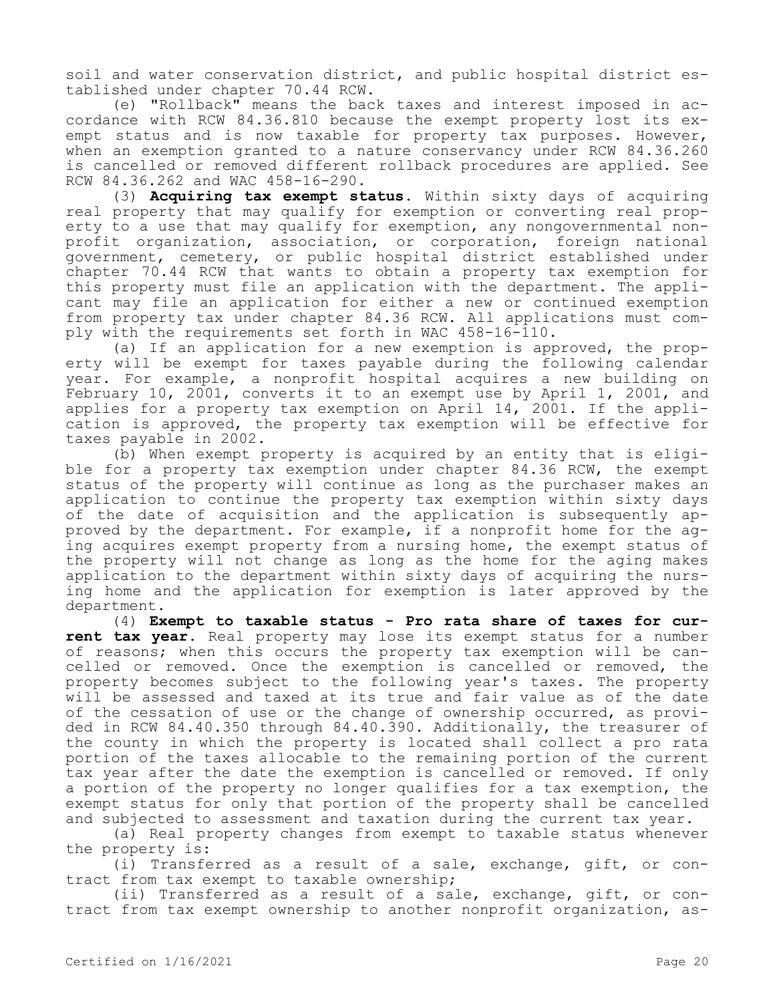soil and water conservation district, and public hospital district established under chapter 70.44 RCW.

(e) "Rollback" means the back taxes and interest imposed in accordance with RCW 84.36.810 because the exempt property lost its exempt status and is now taxable for property tax purposes. However, when an exemption granted to a nature conservancy under RCW 84.36.260 is cancelled or removed different rollback procedures are applied. See RCW 84.36.262 and WAC 458-16-290.

(3) **Acquiring tax exempt status.** Within sixty days of acquiring real property that may qualify for exemption or converting real property to a use that may qualify for exemption, any nongovernmental nonprofit organization, association, or corporation, foreign national government, cemetery, or public hospital district established under chapter 70.44 RCW that wants to obtain a property tax exemption for this property must file an application with the department. The applicant may file an application for either a new or continued exemption from property tax under chapter 84.36 RCW. All applications must comply with the requirements set forth in WAC 458-16-110.

(a) If an application for a new exemption is approved, the property will be exempt for taxes payable during the following calendar year. For example, a nonprofit hospital acquires a new building on February 10, 2001, converts it to an exempt use by April 1, 2001, and applies for a property tax exemption on April 14, 2001. If the application is approved, the property tax exemption will be effective for taxes payable in 2002.

(b) When exempt property is acquired by an entity that is eligible for a property tax exemption under chapter 84.36 RCW, the exempt status of the property will continue as long as the purchaser makes an application to continue the property tax exemption within sixty days of the date of acquisition and the application is subsequently approved by the department. For example, if a nonprofit home for the aging acquires exempt property from a nursing home, the exempt status of the property will not change as long as the home for the aging makes application to the department within sixty days of acquiring the nursing home and the application for exemption is later approved by the department.

(4) **Exempt to taxable status - Pro rata share of taxes for current tax year.** Real property may lose its exempt status for a number of reasons; when this occurs the property tax exemption will be cancelled or removed. Once the exemption is cancelled or removed, the property becomes subject to the following year's taxes. The property will be assessed and taxed at its true and fair value as of the date of the cessation of use or the change of ownership occurred, as provided in RCW 84.40.350 through 84.40.390. Additionally, the treasurer of the county in which the property is located shall collect a pro rata portion of the taxes allocable to the remaining portion of the current tax year after the date the exemption is cancelled or removed. If only a portion of the property no longer qualifies for a tax exemption, the exempt status for only that portion of the property shall be cancelled and subjected to assessment and taxation during the current tax year.

(a) Real property changes from exempt to taxable status whenever the property is:

(i) Transferred as a result of a sale, exchange, gift, or contract from tax exempt to taxable ownership;

(ii) Transferred as a result of a sale, exchange, gift, or contract from tax exempt ownership to another nonprofit organization, as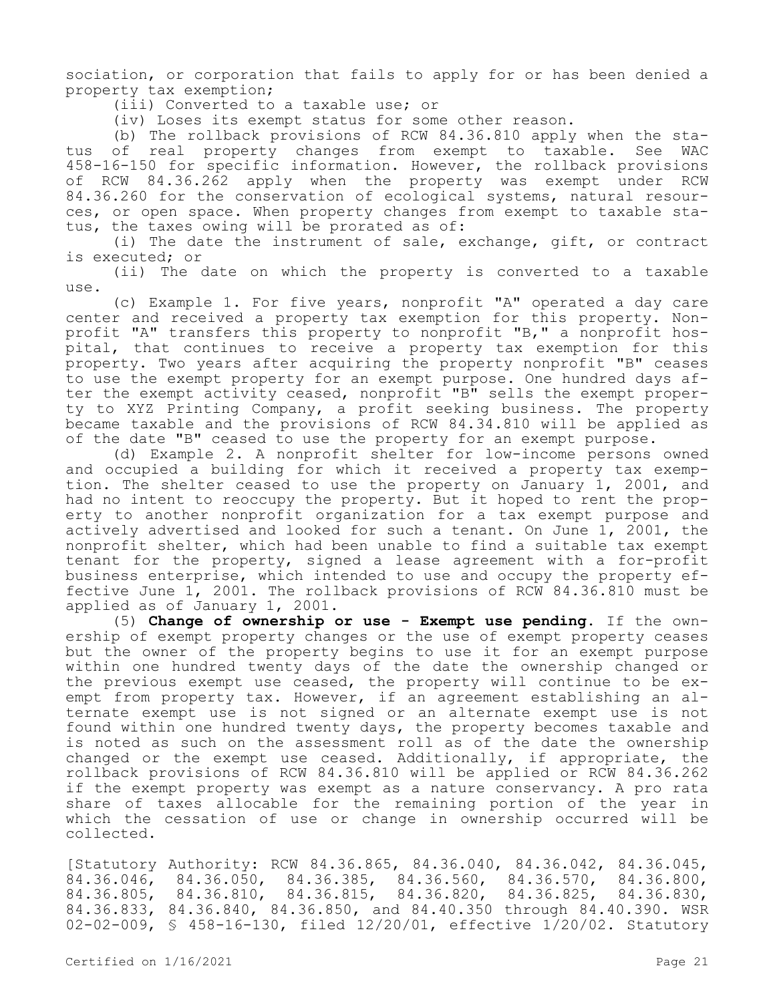sociation, or corporation that fails to apply for or has been denied a property tax exemption;

(iii) Converted to a taxable use; or

(iv) Loses its exempt status for some other reason.

(b) The rollback provisions of RCW 84.36.810 apply when the status of real property changes from exempt to taxable. See WAC 458-16-150 for specific information. However, the rollback provisions of RCW 84.36.262 apply when the property was exempt under RCW 84.36.260 for the conservation of ecological systems, natural resources, or open space. When property changes from exempt to taxable status, the taxes owing will be prorated as of:

(i) The date the instrument of sale, exchange, gift, or contract is executed; or

(ii) The date on which the property is converted to a taxable use.

(c) Example 1. For five years, nonprofit "A" operated a day care center and received a property tax exemption for this property. Nonprofit "A" transfers this property to nonprofit "B," a nonprofit hospital, that continues to receive a property tax exemption for this property. Two years after acquiring the property nonprofit "B" ceases to use the exempt property for an exempt purpose. One hundred days after the exempt activity ceased, nonprofit "B" sells the exempt property to XYZ Printing Company, a profit seeking business. The property became taxable and the provisions of RCW 84.34.810 will be applied as of the date "B" ceased to use the property for an exempt purpose.

(d) Example 2. A nonprofit shelter for low-income persons owned and occupied a building for which it received a property tax exemption. The shelter ceased to use the property on January 1, 2001, and had no intent to reoccupy the property. But it hoped to rent the property to another nonprofit organization for a tax exempt purpose and actively advertised and looked for such a tenant. On June 1, 2001, the nonprofit shelter, which had been unable to find a suitable tax exempt tenant for the property, signed a lease agreement with a for-profit business enterprise, which intended to use and occupy the property effective June 1, 2001. The rollback provisions of RCW 84.36.810 must be applied as of January 1, 2001.

(5) **Change of ownership or use - Exempt use pending.** If the ownership of exempt property changes or the use of exempt property ceases but the owner of the property begins to use it for an exempt purpose within one hundred twenty days of the date the ownership changed or the previous exempt use ceased, the property will continue to be exempt from property tax. However, if an agreement establishing an alternate exempt use is not signed or an alternate exempt use is not found within one hundred twenty days, the property becomes taxable and is noted as such on the assessment roll as of the date the ownership changed or the exempt use ceased. Additionally, if appropriate, the rollback provisions of RCW 84.36.810 will be applied or RCW 84.36.262 if the exempt property was exempt as a nature conservancy. A pro rata share of taxes allocable for the remaining portion of the year in which the cessation of use or change in ownership occurred will be collected.

[Statutory Authority: RCW 84.36.865, 84.36.040, 84.36.042, 84.36.045, 84.36.046, 84.36.050, 84.36.385, 84.36.560, 84.36.570, 84.36.800, 84.36.805, 84.36.810, 84.36.815, 84.36.820, 84.36.825, 84.36.830, 84.36.833, 84.36.840, 84.36.850, and 84.40.350 through 84.40.390. WSR 02-02-009, § 458-16-130, filed 12/20/01, effective 1/20/02. Statutory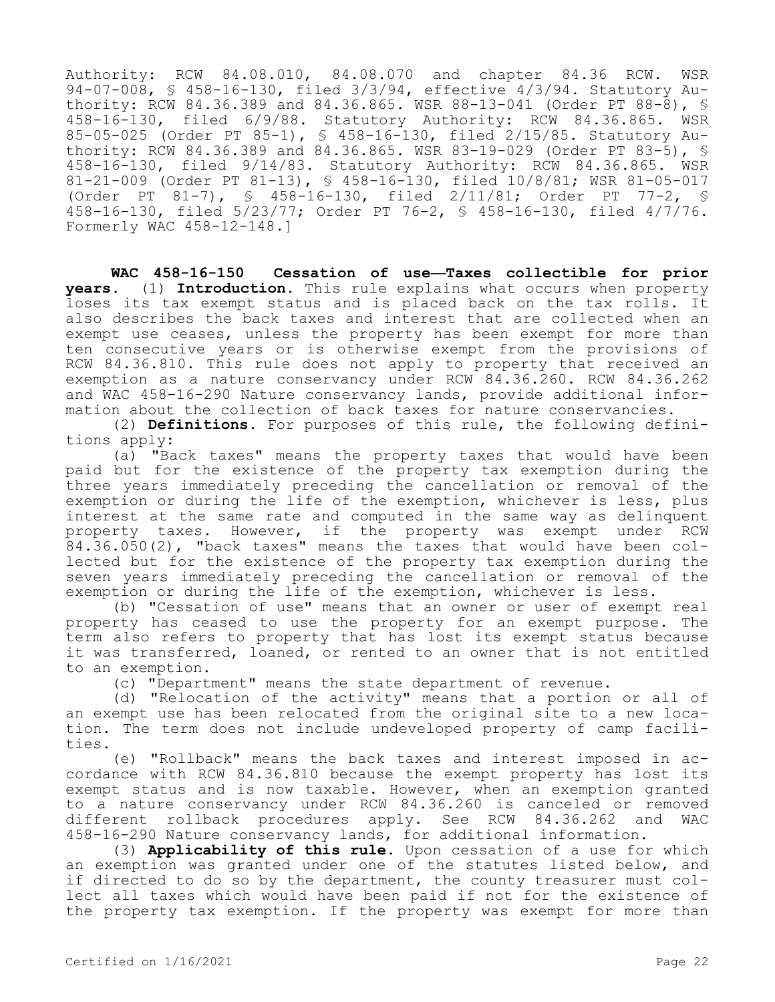Authority: RCW 84.08.010, 84.08.070 and chapter 84.36 RCW. WSR 94-07-008, § 458-16-130, filed 3/3/94, effective 4/3/94. Statutory Authority: RCW 84.36.389 and 84.36.865. WSR 88-13-041 (Order PT 88-8), § 458-16-130, filed 6/9/88. Statutory Authority: RCW 84.36.865. WSR 85-05-025 (Order PT 85-1), § 458-16-130, filed 2/15/85. Statutory Authority: RCW 84.36.389 and 84.36.865. WSR 83-19-029 (Order PT 83-5), § 458-16-130, filed 9/14/83. Statutory Authority: RCW 84.36.865. WSR 81-21-009 (Order PT 81-13), § 458-16-130, filed 10/8/81; WSR 81-05-017 (Order PT 81-7), § 458-16-130, filed 2/11/81; Order PT 77-2, § 458-16-130, filed 5/23/77; Order PT 76-2, § 458-16-130, filed 4/7/76. Formerly WAC 458-12-148.]

**WAC 458-16-150 Cessation of use—Taxes collectible for prior years.** (1) **Introduction.** This rule explains what occurs when property loses its tax exempt status and is placed back on the tax rolls. It also describes the back taxes and interest that are collected when an exempt use ceases, unless the property has been exempt for more than ten consecutive years or is otherwise exempt from the provisions of RCW 84.36.810. This rule does not apply to property that received an exemption as a nature conservancy under RCW 84.36.260. RCW 84.36.262 and WAC 458-16-290 Nature conservancy lands, provide additional information about the collection of back taxes for nature conservancies.

(2) **Definitions.** For purposes of this rule, the following definitions apply:

(a) "Back taxes" means the property taxes that would have been paid but for the existence of the property tax exemption during the three years immediately preceding the cancellation or removal of the exemption or during the life of the exemption, whichever is less, plus interest at the same rate and computed in the same way as delinquent property taxes. However, if the property was exempt under RCW 84.36.050(2), "back taxes" means the taxes that would have been collected but for the existence of the property tax exemption during the seven years immediately preceding the cancellation or removal of the exemption or during the life of the exemption, whichever is less.

(b) "Cessation of use" means that an owner or user of exempt real property has ceased to use the property for an exempt purpose. The term also refers to property that has lost its exempt status because it was transferred, loaned, or rented to an owner that is not entitled to an exemption.

(c) "Department" means the state department of revenue.

(d) "Relocation of the activity" means that a portion or all of an exempt use has been relocated from the original site to a new location. The term does not include undeveloped property of camp facilities.

(e) "Rollback" means the back taxes and interest imposed in accordance with RCW 84.36.810 because the exempt property has lost its exempt status and is now taxable. However, when an exemption granted to a nature conservancy under RCW 84.36.260 is canceled or removed different rollback procedures apply. See RCW 84.36.262 and WAC 458-16-290 Nature conservancy lands, for additional information.

(3) **Applicability of this rule.** Upon cessation of a use for which an exemption was granted under one of the statutes listed below, and if directed to do so by the department, the county treasurer must collect all taxes which would have been paid if not for the existence of the property tax exemption. If the property was exempt for more than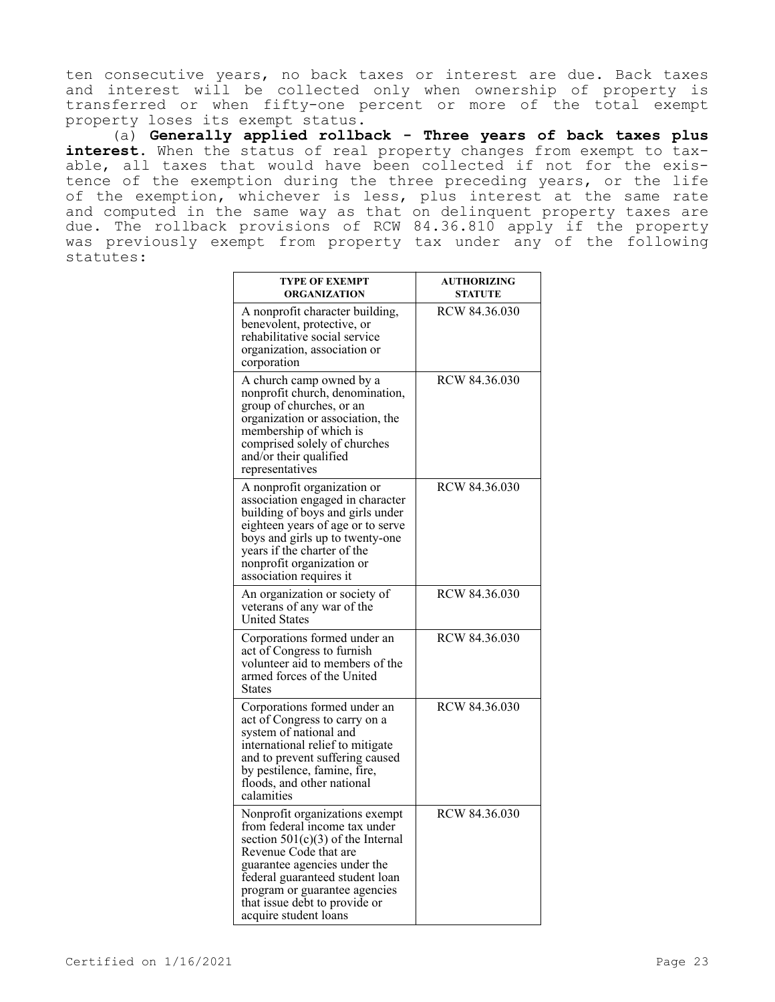ten consecutive years, no back taxes or interest are due. Back taxes and interest will be collected only when ownership of property is transferred or when fifty-one percent or more of the total exempt property loses its exempt status.

(a) **Generally applied rollback - Three years of back taxes plus interest.** When the status of real property changes from exempt to taxable, all taxes that would have been collected if not for the existence of the exemption during the three preceding years, or the life of the exemption, whichever is less, plus interest at the same rate and computed in the same way as that on delinquent property taxes are due. The rollback provisions of RCW 84.36.810 apply if the property was previously exempt from property tax under any of the following statutes:

| <b>TYPE OF EXEMPT</b><br>ORGANIZATION                                                                                                                                                                                                                                                         | <b>AUTHORIZING</b><br><b>STATUTE</b> |
|-----------------------------------------------------------------------------------------------------------------------------------------------------------------------------------------------------------------------------------------------------------------------------------------------|--------------------------------------|
| A nonprofit character building,<br>benevolent, protective, or<br>rehabilitative social service<br>organization, association or<br>corporation                                                                                                                                                 | RCW 84.36.030                        |
| A church camp owned by a<br>nonprofit church, denomination,<br>group of churches, or an<br>organization or association, the<br>membership of which is<br>comprised solely of churches<br>and/or their qualified<br>representatives                                                            | RCW 84.36.030                        |
| A nonprofit organization or<br>association engaged in character<br>building of boys and girls under<br>eighteen years of age or to serve<br>boys and girls up to twenty-one<br>years if the charter of the<br>nonprofit organization or<br>association requires it                            | RCW 84.36.030                        |
| An organization or society of<br>veterans of any war of the<br><b>United States</b>                                                                                                                                                                                                           | RCW 84.36.030                        |
| Corporations formed under an<br>act of Congress to furnish<br>volunteer aid to members of the<br>armed forces of the United<br><b>States</b>                                                                                                                                                  | RCW 84.36.030                        |
| Corporations formed under an<br>act of Congress to carry on a<br>system of national and<br>international relief to mitigate<br>and to prevent suffering caused<br>by pestilence, famine, fire,<br>floods, and other national<br>calamities                                                    | RCW 84.36.030                        |
| Nonprofit organizations exempt<br>from federal income tax under<br>section $501(c)(3)$ of the Internal<br>Revenue Code that are<br>guarantee agencies under the<br>federal guaranteed student loan<br>program or guarantee agencies<br>that issue debt to provide or<br>acquire student loans | RCW 84.36.030                        |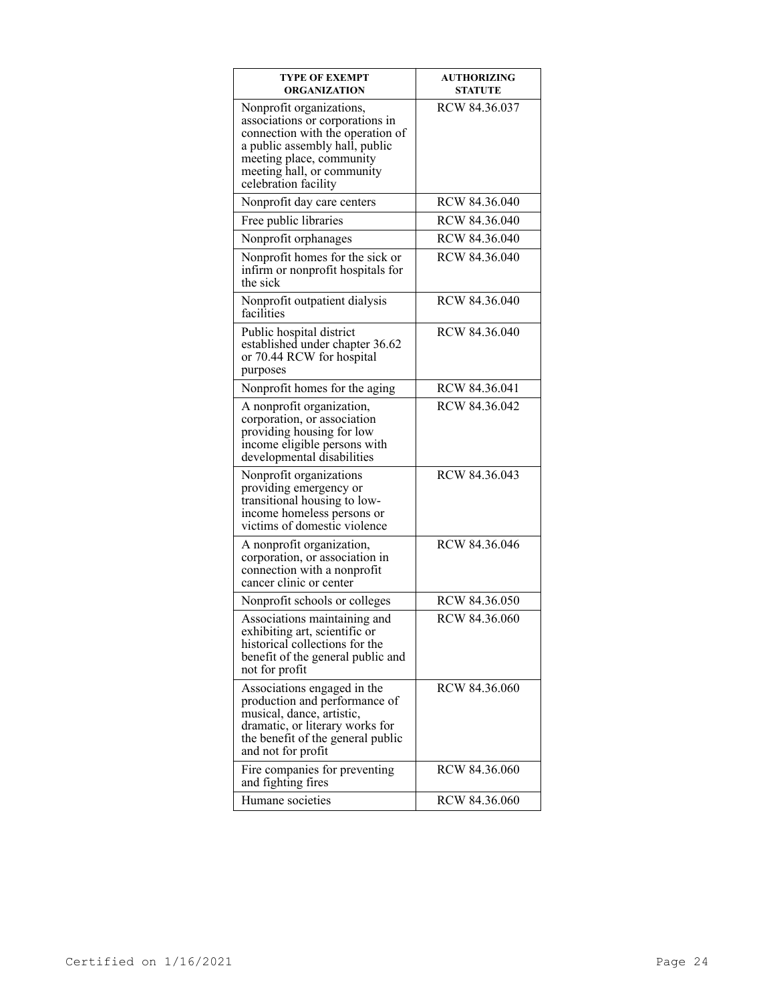| <b>TYPE OF EXEMPT</b><br>ORGANIZATION                                                                                                                                                                               | <b>AUTHORIZING</b><br><b>STATUTE</b> |
|---------------------------------------------------------------------------------------------------------------------------------------------------------------------------------------------------------------------|--------------------------------------|
| Nonprofit organizations,<br>associations or corporations in<br>connection with the operation of<br>a public assembly hall, public<br>meeting place, community<br>meeting hall, or community<br>celebration facility | RCW 84.36.037                        |
| Nonprofit day care centers                                                                                                                                                                                          | RCW 84.36.040                        |
| Free public libraries                                                                                                                                                                                               | RCW 84.36.040                        |
| Nonprofit orphanages                                                                                                                                                                                                | RCW 84.36.040                        |
| Nonprofit homes for the sick or<br>infirm or nonprofit hospitals for<br>the sick                                                                                                                                    | RCW 84.36.040                        |
| Nonprofit outpatient dialysis<br>facilities                                                                                                                                                                         | RCW 84.36.040                        |
| Public hospital district<br>established under chapter 36.62<br>or 70.44 RCW for hospital<br>purposes                                                                                                                | RCW 84.36.040                        |
| Nonprofit homes for the aging                                                                                                                                                                                       | RCW 84.36.041                        |
| A nonprofit organization,<br>corporation, or association<br>providing housing for low<br>income eligible persons with<br>developmental disabilities                                                                 | RCW 84.36.042                        |
| Nonprofit organizations<br>providing emergency or<br>transitional housing to low-<br>income homeless persons or<br>victims of domestic violence                                                                     | RCW 84.36.043                        |
| A nonprofit organization,<br>corporation, or association in<br>connection with a nonprofit<br>cancer clinic or center                                                                                               | RCW 84.36.046                        |
| Nonprofit schools or colleges                                                                                                                                                                                       | RCW 84.36.050                        |
| Associations maintaining and<br>exhibiting art, scientific or<br>historical collections for the<br>benefit of the general public and<br>not for profit                                                              | RCW 84.36.060                        |
| Associations engaged in the<br>production and performance of<br>musical, dance, artistic,<br>dramatic, or literary works for<br>the benefit of the general public<br>and not for profit                             | RCW 84.36.060                        |
| Fire companies for preventing<br>and fighting fires                                                                                                                                                                 | RCW 84.36.060                        |
| Humane societies                                                                                                                                                                                                    | RCW 84.36.060                        |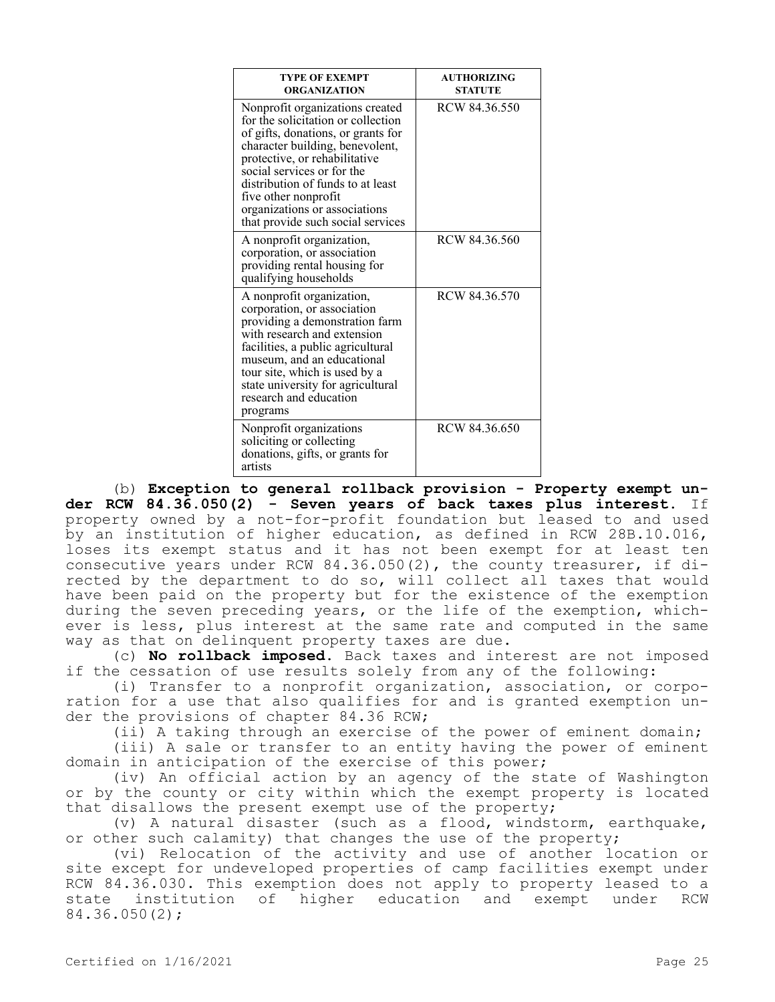| <b>TYPE OF EXEMPT</b><br><b>ORGANIZATION</b>                                                                                                                                                                                                                                                                                                     | <b>AUTHORIZING</b><br><b>STATUTE</b> |
|--------------------------------------------------------------------------------------------------------------------------------------------------------------------------------------------------------------------------------------------------------------------------------------------------------------------------------------------------|--------------------------------------|
| Nonprofit organizations created<br>for the solicitation or collection<br>of gifts, donations, or grants for<br>character building, benevolent,<br>protective, or rehabilitative<br>social services or for the<br>distribution of funds to at least<br>five other nonprofit<br>organizations or associations<br>that provide such social services | RCW 84.36.550                        |
| A nonprofit organization,<br>corporation, or association<br>providing rental housing for<br>qualifying households                                                                                                                                                                                                                                | RCW 84.36.560                        |
| A nonprofit organization,<br>corporation, or association<br>providing a demonstration farm<br>with research and extension<br>facilities, a public agricultural<br>museum, and an educational<br>tour site, which is used by a<br>state university for agricultural<br>research and education<br>programs                                         | RCW 84.36.570                        |
| Nonprofit organizations<br>soliciting or collecting<br>donations, gifts, or grants for<br>artists                                                                                                                                                                                                                                                | RCW 84.36.650                        |

(b) **Exception to general rollback provision - Property exempt under RCW 84.36.050(2) - Seven years of back taxes plus interest.** If property owned by a not-for-profit foundation but leased to and used by an institution of higher education, as defined in RCW 28B.10.016, loses its exempt status and it has not been exempt for at least ten consecutive years under RCW 84.36.050(2), the county treasurer, if directed by the department to do so, will collect all taxes that would have been paid on the property but for the existence of the exemption during the seven preceding years, or the life of the exemption, whichever is less, plus interest at the same rate and computed in the same way as that on delinquent property taxes are due.

(c) **No rollback imposed.** Back taxes and interest are not imposed if the cessation of use results solely from any of the following:

(i) Transfer to a nonprofit organization, association, or corporation for a use that also qualifies for and is granted exemption under the provisions of chapter 84.36 RCW;

(ii) A taking through an exercise of the power of eminent domain;

(iii) A sale or transfer to an entity having the power of eminent domain in anticipation of the exercise of this power;

(iv) An official action by an agency of the state of Washington or by the county or city within which the exempt property is located that disallows the present exempt use of the property;

(v) A natural disaster (such as a flood, windstorm, earthquake, or other such calamity) that changes the use of the property;

(vi) Relocation of the activity and use of another location or site except for undeveloped properties of camp facilities exempt under RCW 84.36.030. This exemption does not apply to property leased to a state institution of higher education and exempt under RCW 84.36.050(2);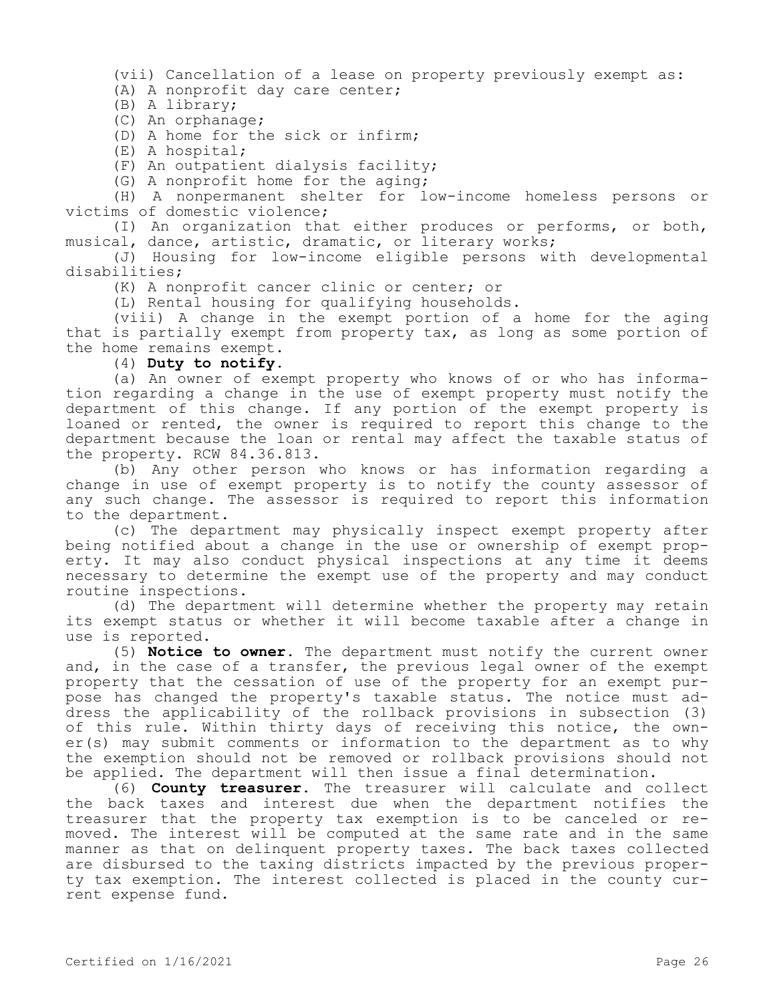(vii) Cancellation of a lease on property previously exempt as:

(A) A nonprofit day care center;

(B) A library;

(C) An orphanage;

(D) A home for the sick or infirm;

(E) A hospital;

(F) An outpatient dialysis facility;

(G) A nonprofit home for the aging;

(H) A nonpermanent shelter for low-income homeless persons or victims of domestic violence;

(I) An organization that either produces or performs, or both, musical, dance, artistic, dramatic, or literary works;

(J) Housing for low-income eligible persons with developmental disabilities;

(K) A nonprofit cancer clinic or center; or

(L) Rental housing for qualifying households.

(viii) A change in the exempt portion of a home for the aging that is partially exempt from property tax, as long as some portion of the home remains exempt.

(4) **Duty to notify.**

(a) An owner of exempt property who knows of or who has information regarding a change in the use of exempt property must notify the department of this change. If any portion of the exempt property is loaned or rented, the owner is required to report this change to the department because the loan or rental may affect the taxable status of the property. RCW 84.36.813.

(b) Any other person who knows or has information regarding a change in use of exempt property is to notify the county assessor of any such change. The assessor is required to report this information to the department.

(c) The department may physically inspect exempt property after being notified about a change in the use or ownership of exempt property. It may also conduct physical inspections at any time it deems necessary to determine the exempt use of the property and may conduct routine inspections.

(d) The department will determine whether the property may retain its exempt status or whether it will become taxable after a change in use is reported.

(5) **Notice to owner.** The department must notify the current owner and, in the case of a transfer, the previous legal owner of the exempt property that the cessation of use of the property for an exempt purpose has changed the property's taxable status. The notice must address the applicability of the rollback provisions in subsection (3) of this rule. Within thirty days of receiving this notice, the owner(s) may submit comments or information to the department as to why the exemption should not be removed or rollback provisions should not be applied. The department will then issue a final determination.

(6) **County treasurer.** The treasurer will calculate and collect the back taxes and interest due when the department notifies the treasurer that the property tax exemption is to be canceled or removed. The interest will be computed at the same rate and in the same manner as that on delinquent property taxes. The back taxes collected are disbursed to the taxing districts impacted by the previous property tax exemption. The interest collected is placed in the county current expense fund.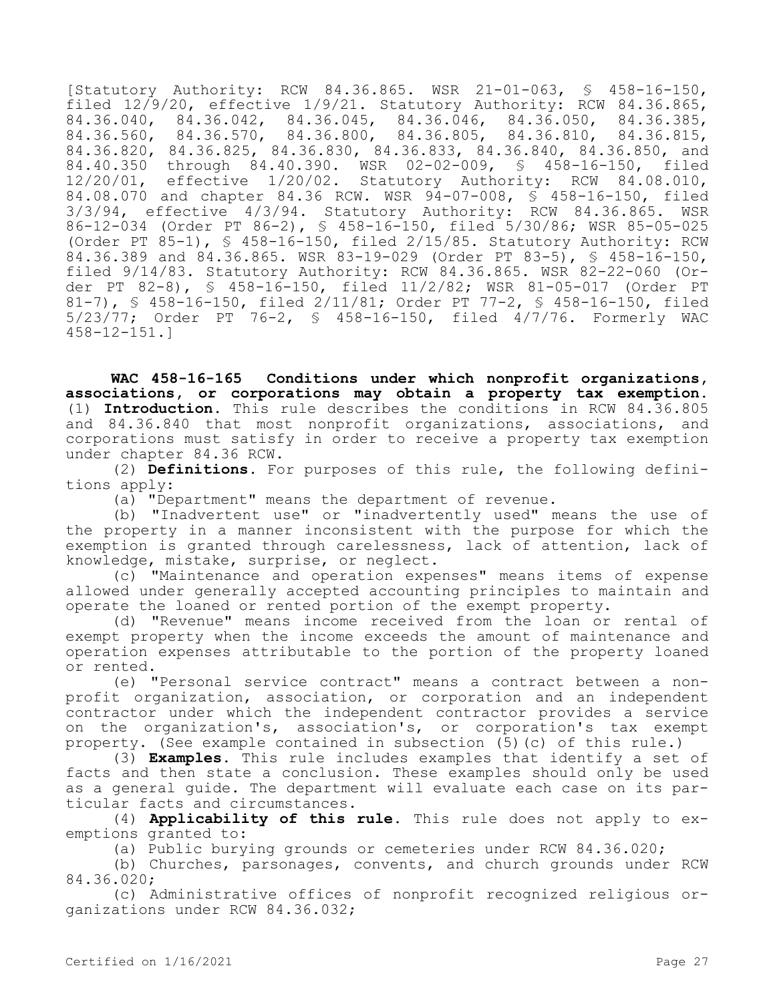[Statutory Authority: RCW 84.36.865. WSR 21-01-063, § 458-16-150, filed  $12\sqrt{9}/20$ , effective  $1/9/21$ . Statutory Authority: RCW 84.36.865,  $84.36.040, \begin{array}{l} 84.36.042, \end{array}$   $84.36.045, \begin{array}{l} 84.36.046, \end{array}$   $84.36.050, \begin{array}{l} 84.36.385, \end{array}$ <br> $84.36.560, \begin{array}{l} 84.36.570, \end{array}$   $84.36.800, \begin{array}{l} 84.36.805, \end{array}$   $84.36.810, \begin{array}{l} 84.36.815, \end{array}$ 84.36.560, 84.36.570, 84.36.800, 84.36.805, 84.36.810, 84.36.815, 84.36.820, 84.36.825, 84.36.830, 84.36.833, 84.36.840, 84.36.850, and 84.40.350 through 84.40.390. WSR 02-02-009, § 458-16-150, filed 12/20/01, effective 1/20/02. Statutory Authority: RCW 84.08.010, 84.08.070 and chapter 84.36 RCW. WSR 94-07-008, § 458-16-150, filed 3/3/94, effective 4/3/94. Statutory Authority: RCW 84.36.865. WSR 86-12-034 (Order PT 86-2), § 458-16-150, filed 5/30/86; WSR 85-05-025 (Order PT 85-1), § 458-16-150, filed 2/15/85. Statutory Authority: RCW 84.36.389 and 84.36.865. WSR 83-19-029 (Order PT 83-5), § 458-16-150, filed 9/14/83. Statutory Authority: RCW 84.36.865. WSR 82-22-060 (Order PT 82-8), § 458-16-150, filed 11/2/82; WSR 81-05-017 (Order PT 81-7), § 458-16-150, filed 2/11/81; Order PT 77-2, § 458-16-150, filed 5/23/77; Order PT 76-2, § 458-16-150, filed 4/7/76. Formerly WAC 458-12-151.]

**WAC 458-16-165 Conditions under which nonprofit organizations, associations, or corporations may obtain a property tax exemption.**  (1) **Introduction.** This rule describes the conditions in RCW 84.36.805 and 84.36.840 that most nonprofit organizations, associations, and corporations must satisfy in order to receive a property tax exemption under chapter 84.36 RCW.

(2) **Definitions.** For purposes of this rule, the following definitions apply:

(a) "Department" means the department of revenue.

(b) "Inadvertent use" or "inadvertently used" means the use of the property in a manner inconsistent with the purpose for which the exemption is granted through carelessness, lack of attention, lack of knowledge, mistake, surprise, or neglect.

(c) "Maintenance and operation expenses" means items of expense allowed under generally accepted accounting principles to maintain and operate the loaned or rented portion of the exempt property.

(d) "Revenue" means income received from the loan or rental of exempt property when the income exceeds the amount of maintenance and operation expenses attributable to the portion of the property loaned or rented.

(e) "Personal service contract" means a contract between a nonprofit organization, association, or corporation and an independent contractor under which the independent contractor provides a service on the organization's, association's, or corporation's tax exempt property. (See example contained in subsection (5)(c) of this rule.)

(3) **Examples**. This rule includes examples that identify a set of facts and then state a conclusion. These examples should only be used as a general guide. The department will evaluate each case on its particular facts and circumstances.

(4) **Applicability of this rule.** This rule does not apply to exemptions granted to:

(a) Public burying grounds or cemeteries under RCW 84.36.020;

(b) Churches, parsonages, convents, and church grounds under RCW 84.36.020;

(c) Administrative offices of nonprofit recognized religious organizations under RCW 84.36.032;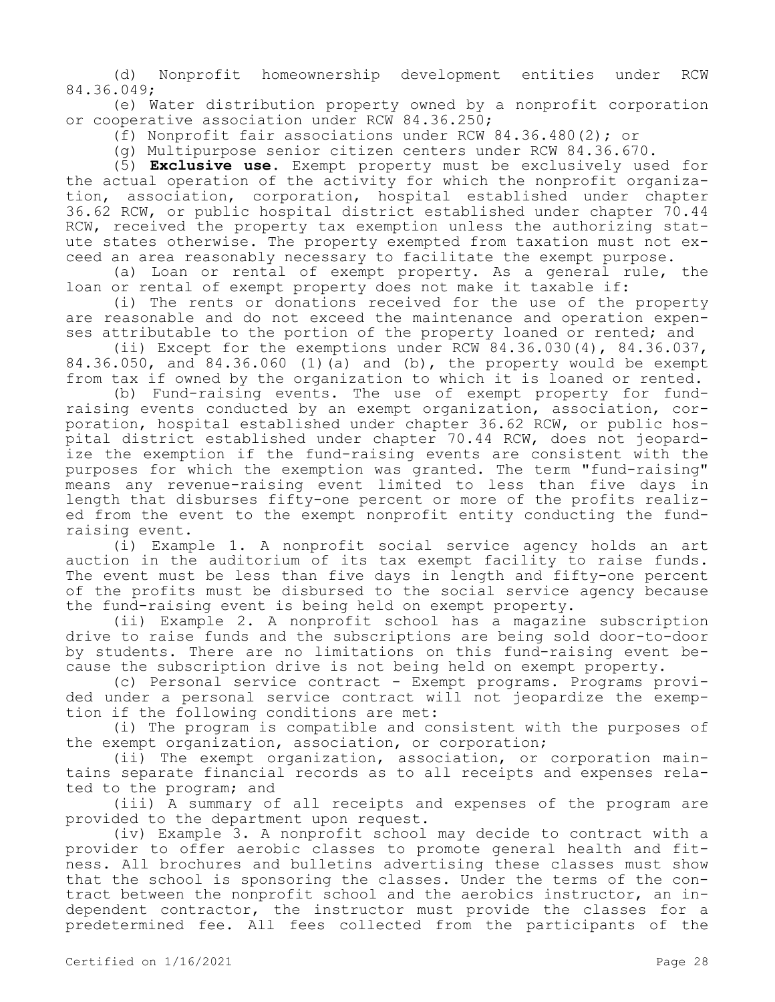(d) Nonprofit homeownership development entities under RCW 84.36.049;

(e) Water distribution property owned by a nonprofit corporation or cooperative association under RCW 84.36.250;

(f) Nonprofit fair associations under RCW 84.36.480(2); or

(g) Multipurpose senior citizen centers under RCW 84.36.670.

(5) **Exclusive use.** Exempt property must be exclusively used for the actual operation of the activity for which the nonprofit organization, association, corporation, hospital established under chapter 36.62 RCW, or public hospital district established under chapter 70.44 RCW, received the property tax exemption unless the authorizing statute states otherwise. The property exempted from taxation must not exceed an area reasonably necessary to facilitate the exempt purpose.

(a) Loan or rental of exempt property. As a general rule, the loan or rental of exempt property does not make it taxable if:

(i) The rents or donations received for the use of the property are reasonable and do not exceed the maintenance and operation expenses attributable to the portion of the property loaned or rented; and

(ii) Except for the exemptions under RCW 84.36.030(4), 84.36.037,  $84.36.050$ , and  $84.36.060$  (1)(a) and (b), the property would be exempt from tax if owned by the organization to which it is loaned or rented.

(b) Fund-raising events. The use of exempt property for fundraising events conducted by an exempt organization, association, corporation, hospital established under chapter 36.62 RCW, or public hospital district established under chapter 70.44 RCW, does not jeopardize the exemption if the fund-raising events are consistent with the purposes for which the exemption was granted. The term "fund-raising" means any revenue-raising event limited to less than five days in length that disburses fifty-one percent or more of the profits realized from the event to the exempt nonprofit entity conducting the fundraising event.

(i) Example 1. A nonprofit social service agency holds an art auction in the auditorium of its tax exempt facility to raise funds. The event must be less than five days in length and fifty-one percent of the profits must be disbursed to the social service agency because the fund-raising event is being held on exempt property.

(ii) Example 2. A nonprofit school has a magazine subscription drive to raise funds and the subscriptions are being sold door-to-door by students. There are no limitations on this fund-raising event because the subscription drive is not being held on exempt property.

(c) Personal service contract - Exempt programs. Programs provided under a personal service contract will not jeopardize the exemption if the following conditions are met:

(i) The program is compatible and consistent with the purposes of the exempt organization, association, or corporation;

(ii) The exempt organization, association, or corporation maintains separate financial records as to all receipts and expenses related to the program; and

(iii) A summary of all receipts and expenses of the program are provided to the department upon request.

(iv) Example 3. A nonprofit school may decide to contract with a provider to offer aerobic classes to promote general health and fitness. All brochures and bulletins advertising these classes must show that the school is sponsoring the classes. Under the terms of the contract between the nonprofit school and the aerobics instructor, an independent contractor, the instructor must provide the classes for a predetermined fee. All fees collected from the participants of the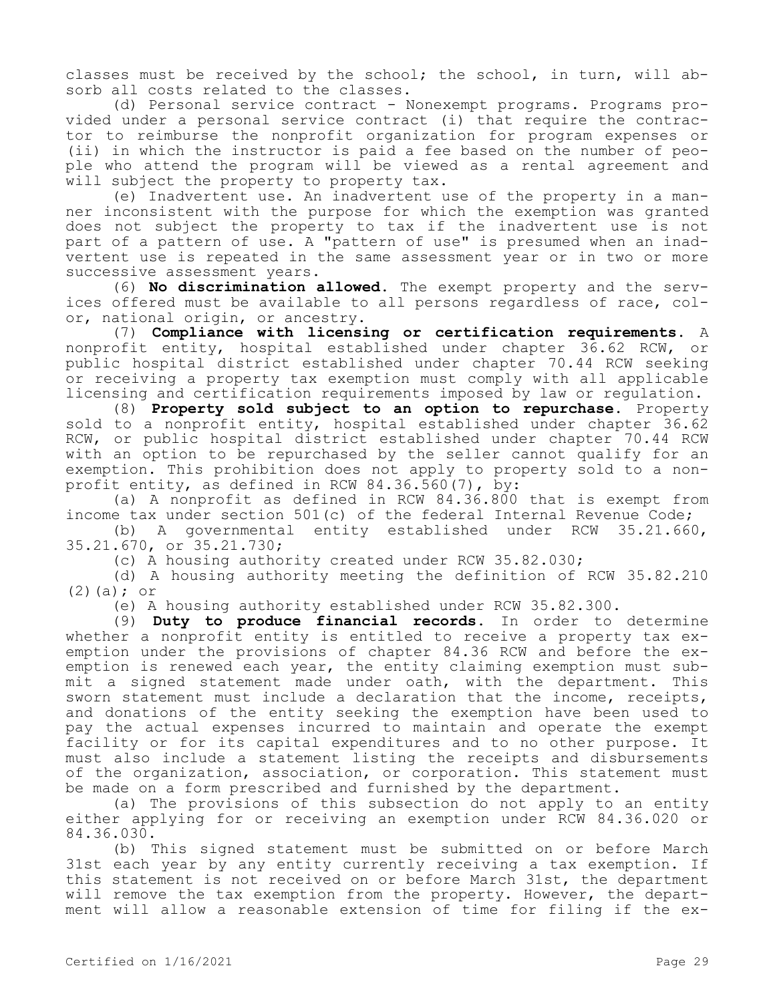classes must be received by the school; the school, in turn, will absorb all costs related to the classes.

(d) Personal service contract - Nonexempt programs. Programs provided under a personal service contract (i) that require the contractor to reimburse the nonprofit organization for program expenses or (ii) in which the instructor is paid a fee based on the number of people who attend the program will be viewed as a rental agreement and will subject the property to property tax.

(e) Inadvertent use. An inadvertent use of the property in a manner inconsistent with the purpose for which the exemption was granted does not subject the property to tax if the inadvertent use is not part of a pattern of use. A "pattern of use" is presumed when an inadvertent use is repeated in the same assessment year or in two or more successive assessment years.

(6) **No discrimination allowed.** The exempt property and the services offered must be available to all persons regardless of race, color, national origin, or ancestry.

(7) **Compliance with licensing or certification requirements.** A nonprofit entity, hospital established under chapter 36.62 RCW, or public hospital district established under chapter 70.44 RCW seeking or receiving a property tax exemption must comply with all applicable licensing and certification requirements imposed by law or regulation.

(8) **Property sold subject to an option to repurchase.** Property sold to a nonprofit entity, hospital established under chapter 36.62 RCW, or public hospital district established under chapter 70.44 RCW with an option to be repurchased by the seller cannot qualify for an exemption. This prohibition does not apply to property sold to a nonprofit entity, as defined in RCW 84.36.560(7), by:

(a) A nonprofit as defined in RCW 84.36.800 that is exempt from income tax under section 501(c) of the federal Internal Revenue Code;

(b) A governmental entity established under RCW 35.21.660, 35.21.670, or 35.21.730;

(c) A housing authority created under RCW 35.82.030;

(d) A housing authority meeting the definition of RCW 35.82.210 (2)(a); or

(e) A housing authority established under RCW 35.82.300.

(9) **Duty to produce financial records.** In order to determine whether a nonprofit entity is entitled to receive a property tax exemption under the provisions of chapter 84.36 RCW and before the exemption is renewed each year, the entity claiming exemption must submit a signed statement made under oath, with the department. This sworn statement must include a declaration that the income, receipts, and donations of the entity seeking the exemption have been used to pay the actual expenses incurred to maintain and operate the exempt facility or for its capital expenditures and to no other purpose. It must also include a statement listing the receipts and disbursements of the organization, association, or corporation. This statement must be made on a form prescribed and furnished by the department.

(a) The provisions of this subsection do not apply to an entity either applying for or receiving an exemption under RCW 84.36.020 or 84.36.030.

(b) This signed statement must be submitted on or before March 31st each year by any entity currently receiving a tax exemption. If this statement is not received on or before March 31st, the department will remove the tax exemption from the property. However, the department will allow a reasonable extension of time for filing if the ex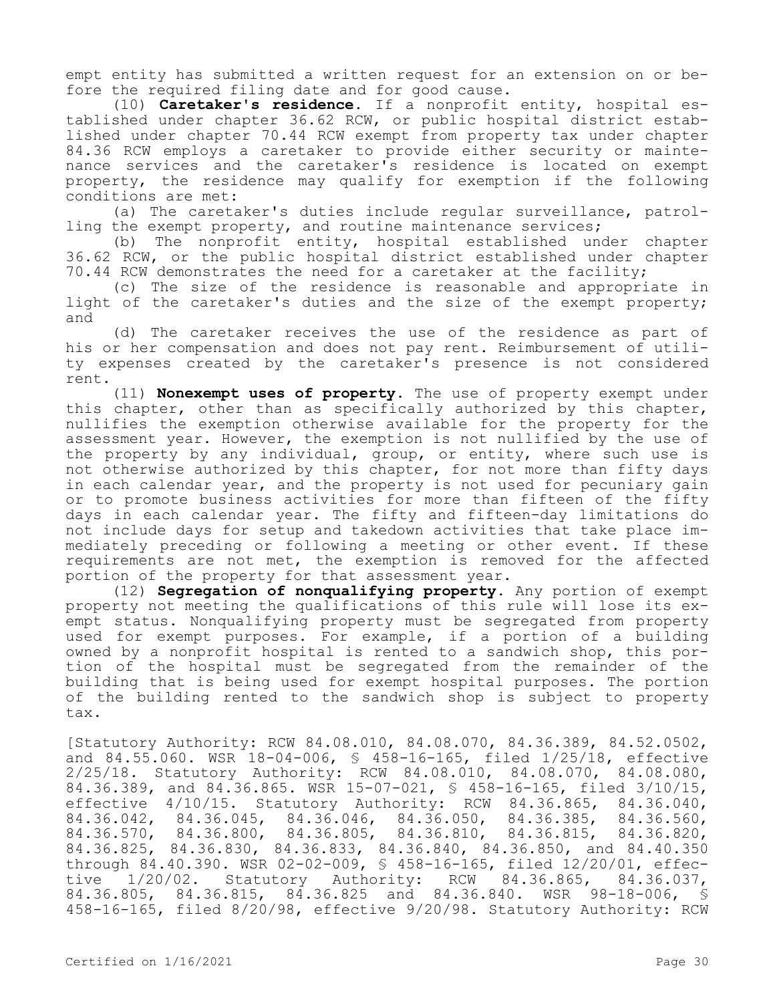empt entity has submitted a written request for an extension on or before the required filing date and for good cause.

(10) **Caretaker's residence.** If a nonprofit entity, hospital established under chapter 36.62 RCW, or public hospital district established under chapter 70.44 RCW exempt from property tax under chapter 84.36 RCW employs a caretaker to provide either security or maintenance services and the caretaker's residence is located on exempt property, the residence may qualify for exemption if the following conditions are met:

(a) The caretaker's duties include regular surveillance, patrolling the exempt property, and routine maintenance services;

(b) The nonprofit entity, hospital established under chapter 36.62 RCW, or the public hospital district established under chapter 70.44 RCW demonstrates the need for a caretaker at the facility;

(c) The size of the residence is reasonable and appropriate in light of the caretaker's duties and the size of the exempt property; and

(d) The caretaker receives the use of the residence as part of his or her compensation and does not pay rent. Reimbursement of utility expenses created by the caretaker's presence is not considered rent.

(11) **Nonexempt uses of property.** The use of property exempt under this chapter, other than as specifically authorized by this chapter, nullifies the exemption otherwise available for the property for the assessment year. However, the exemption is not nullified by the use of the property by any individual, group, or entity, where such use is not otherwise authorized by this chapter, for not more than fifty days in each calendar year, and the property is not used for pecuniary gain or to promote business activities for more than fifteen of the fifty days in each calendar year. The fifty and fifteen-day limitations do not include days for setup and takedown activities that take place immediately preceding or following a meeting or other event. If these requirements are not met, the exemption is removed for the affected portion of the property for that assessment year.

(12) **Segregation of nonqualifying property.** Any portion of exempt property not meeting the qualifications of this rule will lose its exempt status. Nonqualifying property must be segregated from property used for exempt purposes. For example, if a portion of a building owned by a nonprofit hospital is rented to a sandwich shop, this portion of the hospital must be segregated from the remainder of the building that is being used for exempt hospital purposes. The portion of the building rented to the sandwich shop is subject to property tax.

[Statutory Authority: RCW 84.08.010, 84.08.070, 84.36.389, 84.52.0502, and 84.55.060. WSR 18-04-006, § 458-16-165, filed 1/25/18, effective 2/25/18. Statutory Authority: RCW 84.08.010, 84.08.070, 84.08.080, 84.36.389, and 84.36.865. WSR 15-07-021, § 458-16-165, filed 3/10/15, effective 4/10/15. Statutory Authority: RCW 84.36.865, 84.36.040,<br>84.36.042, 84.36.045, 84.36.046, 84.36.050, 84.36.385, 84.36.560, 84.36.042, 84.36.045, 84.36.046, 84.36.050, 84.36.385,<br>84.36.570, 84.36.800, 84.36.805, 84.36.810, 84.36.815, 84.36.570, 84.36.800, 84.36.805, 84.36.810, 84.36.815, 84.36.820, 84.36.825, 84.36.830, 84.36.833, 84.36.840, 84.36.850, and 84.40.350 through 84.40.390. WSR 02-02-009, § 458-16-165, filed 12/20/01, effective 1/20/02. Statutory Authority: RCW 84.36.865, 84.36.037, 84.36.805, 84.36.815, 84.36.825 and 84.36.840. WSR 98-18-006, § 458-16-165, filed 8/20/98, effective 9/20/98. Statutory Authority: RCW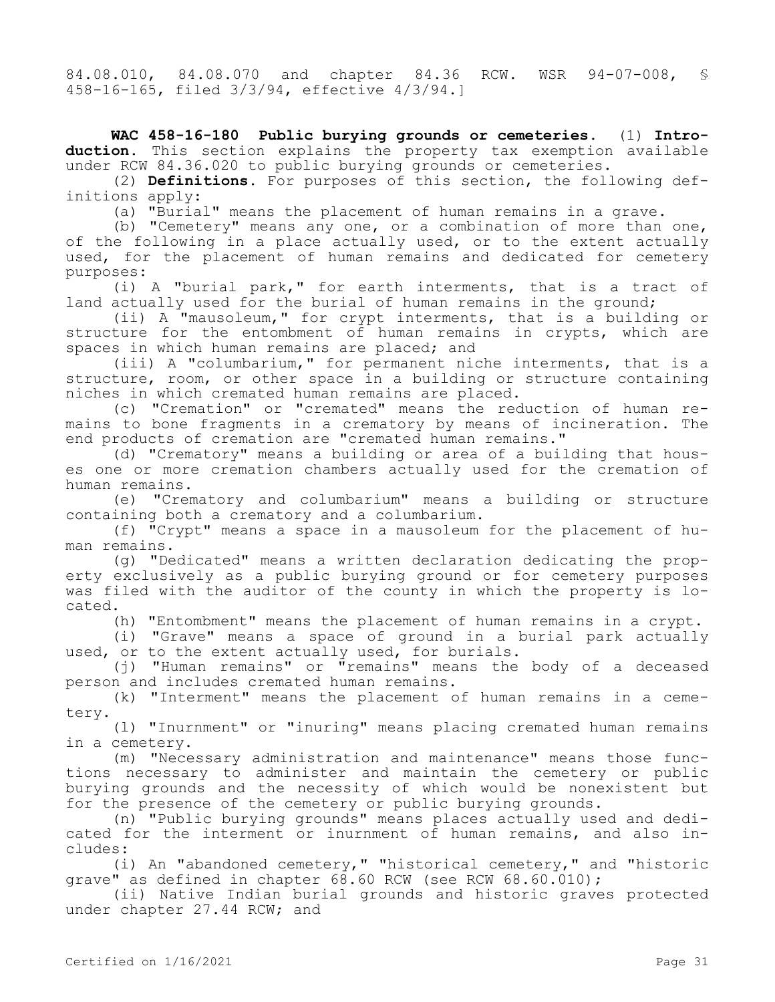84.08.010, 84.08.070 and chapter 84.36 RCW. WSR 94-07-008, § 458-16-165, filed 3/3/94, effective 4/3/94.]

**WAC 458-16-180 Public burying grounds or cemeteries.** (1) **Introduction.** This section explains the property tax exemption available under RCW 84.36.020 to public burying grounds or cemeteries.

(2) **Definitions.** For purposes of this section, the following definitions apply:

(a) "Burial" means the placement of human remains in a grave.

(b) "Cemetery" means any one, or a combination of more than one, of the following in a place actually used, or to the extent actually used, for the placement of human remains and dedicated for cemetery purposes:

(i) A "burial park," for earth interments, that is a tract of land actually used for the burial of human remains in the ground;

(ii) A "mausoleum," for crypt interments, that is a building or structure for the entombment of human remains in crypts, which are spaces in which human remains are placed; and

(iii) A "columbarium," for permanent niche interments, that is a structure, room, or other space in a building or structure containing niches in which cremated human remains are placed.

(c) "Cremation" or "cremated" means the reduction of human remains to bone fragments in a crematory by means of incineration. The end products of cremation are "cremated human remains."

(d) "Crematory" means a building or area of a building that houses one or more cremation chambers actually used for the cremation of human remains.

(e) "Crematory and columbarium" means a building or structure containing both a crematory and a columbarium.

(f) "Crypt" means a space in a mausoleum for the placement of human remains.

(g) "Dedicated" means a written declaration dedicating the property exclusively as a public burying ground or for cemetery purposes was filed with the auditor of the county in which the property is located.

(h) "Entombment" means the placement of human remains in a crypt.

(i) "Grave" means a space of ground in a burial park actually used, or to the extent actually used, for burials.

(j) "Human remains" or "remains" means the body of a deceased person and includes cremated human remains.

(k) "Interment" means the placement of human remains in a cemetery.

(l) "Inurnment" or "inuring" means placing cremated human remains in a cemetery.

(m) "Necessary administration and maintenance" means those functions necessary to administer and maintain the cemetery or public burying grounds and the necessity of which would be nonexistent but for the presence of the cemetery or public burying grounds.

(n) "Public burying grounds" means places actually used and dedicated for the interment or inurnment of human remains, and also includes:

(i) An "abandoned cemetery," "historical cemetery," and "historic grave" as defined in chapter 68.60 RCW (see RCW 68.60.010);

(ii) Native Indian burial grounds and historic graves protected under chapter 27.44 RCW; and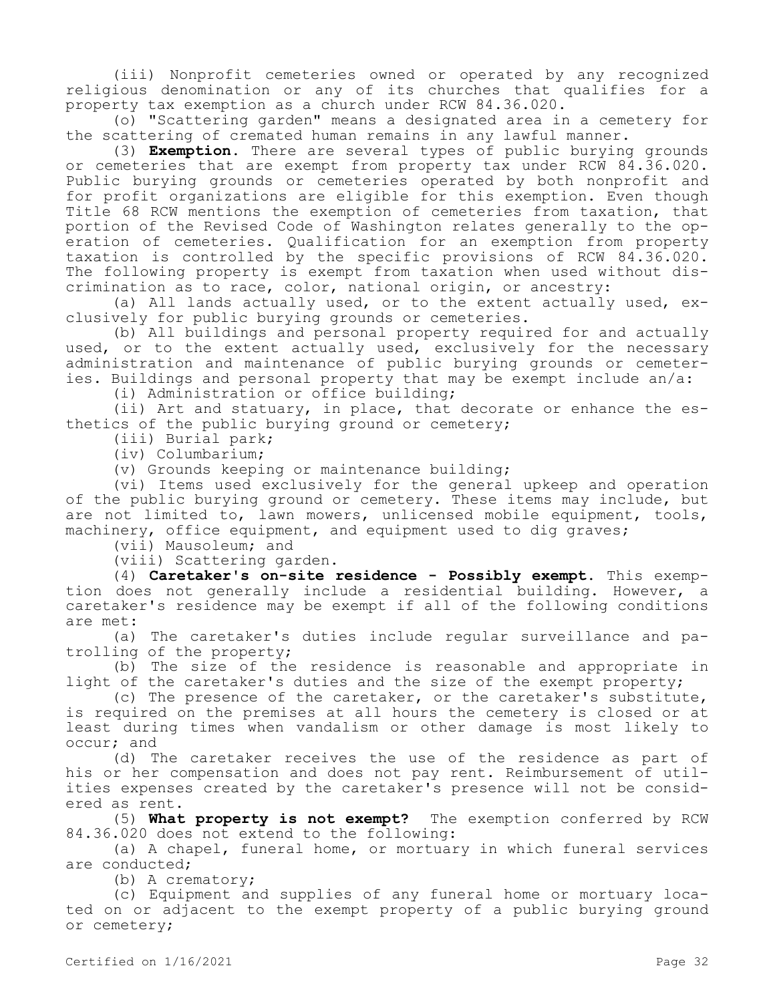(iii) Nonprofit cemeteries owned or operated by any recognized religious denomination or any of its churches that qualifies for a property tax exemption as a church under RCW 84.36.020.

(o) "Scattering garden" means a designated area in a cemetery for the scattering of cremated human remains in any lawful manner.

(3) **Exemption.** There are several types of public burying grounds or cemeteries that are exempt from property tax under RCW 84.36.020. Public burying grounds or cemeteries operated by both nonprofit and for profit organizations are eligible for this exemption. Even though Title 68 RCW mentions the exemption of cemeteries from taxation, that portion of the Revised Code of Washington relates generally to the operation of cemeteries. Qualification for an exemption from property taxation is controlled by the specific provisions of RCW 84.36.020. The following property is exempt from taxation when used without discrimination as to race, color, national origin, or ancestry:

(a) All lands actually used, or to the extent actually used, exclusively for public burying grounds or cemeteries.

(b) All buildings and personal property required for and actually used, or to the extent actually used, exclusively for the necessary administration and maintenance of public burying grounds or cemeteries. Buildings and personal property that may be exempt include an/a:

(i) Administration or office building;

(ii) Art and statuary, in place, that decorate or enhance the esthetics of the public burying ground or cemetery;

(iii) Burial park;

(iv) Columbarium;

(v) Grounds keeping or maintenance building;

(vi) Items used exclusively for the general upkeep and operation of the public burying ground or cemetery. These items may include, but are not limited to, lawn mowers, unlicensed mobile equipment, tools, machinery, office equipment, and equipment used to dig graves;

(vii) Mausoleum; and

(viii) Scattering garden.

(4) **Caretaker's on-site residence - Possibly exempt.** This exemption does not generally include a residential building. However, a caretaker's residence may be exempt if all of the following conditions are met:

(a) The caretaker's duties include regular surveillance and patrolling of the property;

(b) The size of the residence is reasonable and appropriate in light of the caretaker's duties and the size of the exempt property;

(c) The presence of the caretaker, or the caretaker's substitute, is required on the premises at all hours the cemetery is closed or at least during times when vandalism or other damage is most likely to occur; and

(d) The caretaker receives the use of the residence as part of his or her compensation and does not pay rent. Reimbursement of utilities expenses created by the caretaker's presence will not be considered as rent.

(5) **What property is not exempt?** The exemption conferred by RCW 84.36.020 does not extend to the following:

(a) A chapel, funeral home, or mortuary in which funeral services are conducted;

(b) A crematory;

(c) Equipment and supplies of any funeral home or mortuary located on or adjacent to the exempt property of a public burying ground or cemetery;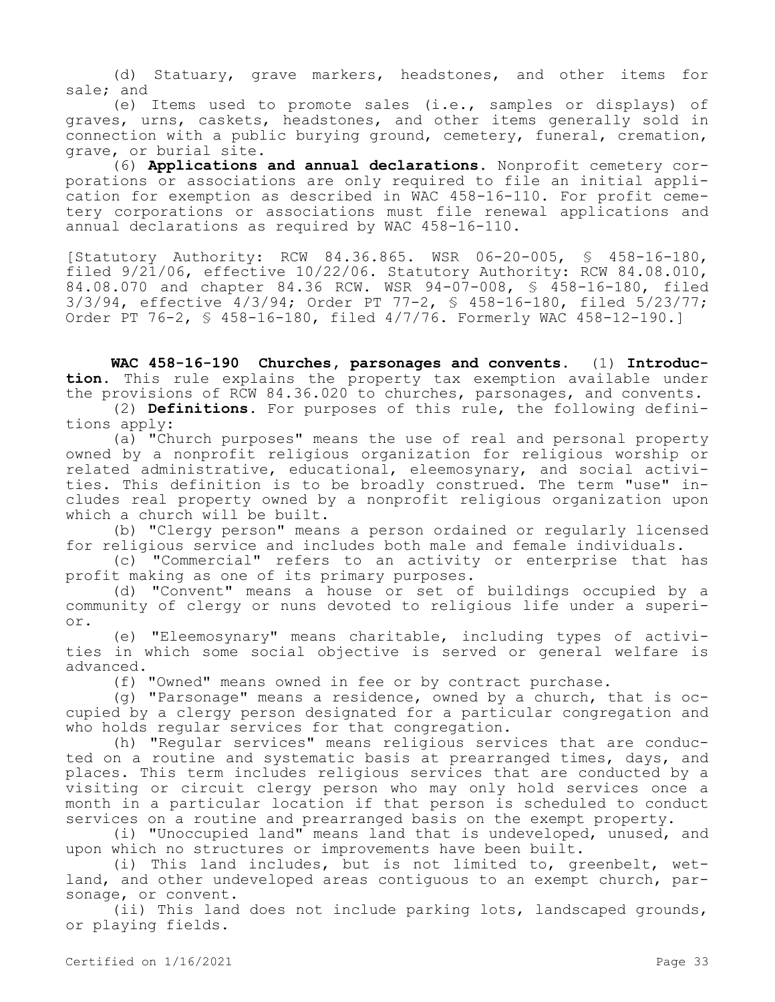(d) Statuary, grave markers, headstones, and other items for sale; and

(e) Items used to promote sales (i.e., samples or displays) of graves, urns, caskets, headstones, and other items generally sold in connection with a public burying ground, cemetery, funeral, cremation, grave, or burial site.

(6) **Applications and annual declarations.** Nonprofit cemetery corporations or associations are only required to file an initial application for exemption as described in WAC 458-16-110. For profit cemetery corporations or associations must file renewal applications and annual declarations as required by WAC 458-16-110.

[Statutory Authority: RCW 84.36.865. WSR 06-20-005, § 458-16-180, filed 9/21/06, effective 10/22/06. Statutory Authority: RCW 84.08.010, 84.08.070 and chapter 84.36 RCW. WSR 94-07-008, § 458-16-180, filed 3/3/94, effective 4/3/94; Order PT 77-2, § 458-16-180, filed 5/23/77; Order PT 76-2, § 458-16-180, filed 4/7/76. Formerly WAC 458-12-190.]

**WAC 458-16-190 Churches, parsonages and convents.** (1) **Introduction.** This rule explains the property tax exemption available under the provisions of RCW 84.36.020 to churches, parsonages, and convents.

(2) **Definitions.** For purposes of this rule, the following definitions apply:

(a) "Church purposes" means the use of real and personal property owned by a nonprofit religious organization for religious worship or related administrative, educational, eleemosynary, and social activities. This definition is to be broadly construed. The term "use" includes real property owned by a nonprofit religious organization upon which a church will be built.

(b) "Clergy person" means a person ordained or regularly licensed for religious service and includes both male and female individuals.

(c) "Commercial" refers to an activity or enterprise that has profit making as one of its primary purposes.

(d) "Convent" means a house or set of buildings occupied by a community of clergy or nuns devoted to religious life under a superior.

(e) "Eleemosynary" means charitable, including types of activities in which some social objective is served or general welfare is advanced.

(f) "Owned" means owned in fee or by contract purchase.

(g) "Parsonage" means a residence, owned by a church, that is occupied by a clergy person designated for a particular congregation and who holds regular services for that congregation.

(h) "Regular services" means religious services that are conducted on a routine and systematic basis at prearranged times, days, and places. This term includes religious services that are conducted by a visiting or circuit clergy person who may only hold services once a month in a particular location if that person is scheduled to conduct services on a routine and prearranged basis on the exempt property.

(i) "Unoccupied land" means land that is undeveloped, unused, and upon which no structures or improvements have been built.

(i) This land includes, but is not limited to, greenbelt, wetland, and other undeveloped areas contiguous to an exempt church, parsonage, or convent.

(ii) This land does not include parking lots, landscaped grounds, or playing fields.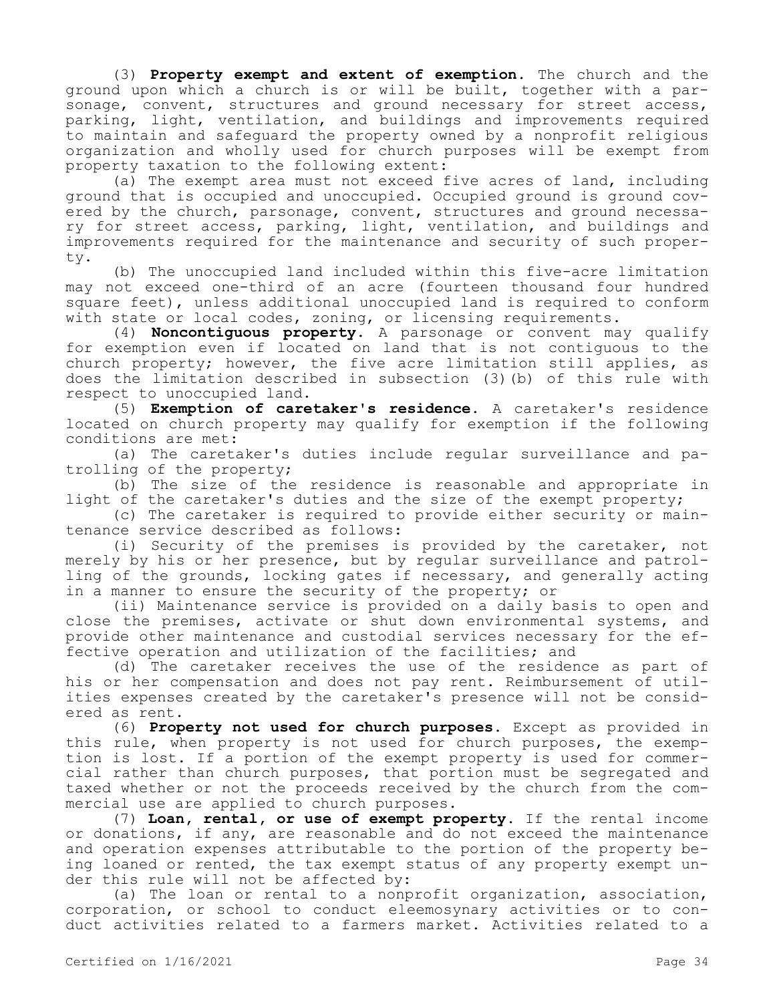(3) **Property exempt and extent of exemption.** The church and the ground upon which a church is or will be built, together with a parsonage, convent, structures and ground necessary for street access, parking, light, ventilation, and buildings and improvements required to maintain and safeguard the property owned by a nonprofit religious organization and wholly used for church purposes will be exempt from property taxation to the following extent:

(a) The exempt area must not exceed five acres of land, including ground that is occupied and unoccupied. Occupied ground is ground covered by the church, parsonage, convent, structures and ground necessary for street access, parking, light, ventilation, and buildings and improvements required for the maintenance and security of such property.

(b) The unoccupied land included within this five-acre limitation may not exceed one-third of an acre (fourteen thousand four hundred square feet), unless additional unoccupied land is required to conform with state or local codes, zoning, or licensing requirements.

(4) **Noncontiguous property.** A parsonage or convent may qualify for exemption even if located on land that is not contiguous to the church property; however, the five acre limitation still applies, as does the limitation described in subsection (3)(b) of this rule with respect to unoccupied land.

(5) **Exemption of caretaker's residence.** A caretaker's residence located on church property may qualify for exemption if the following conditions are met:

(a) The caretaker's duties include regular surveillance and patrolling of the property;

(b) The size of the residence is reasonable and appropriate in light of the caretaker's duties and the size of the exempt property;

(c) The caretaker is required to provide either security or maintenance service described as follows:

(i) Security of the premises is provided by the caretaker, not merely by his or her presence, but by regular surveillance and patrolling of the grounds, locking gates if necessary, and generally acting in a manner to ensure the security of the property; or

(ii) Maintenance service is provided on a daily basis to open and close the premises, activate or shut down environmental systems, and provide other maintenance and custodial services necessary for the effective operation and utilization of the facilities; and

(d) The caretaker receives the use of the residence as part of his or her compensation and does not pay rent. Reimbursement of utilities expenses created by the caretaker's presence will not be considered as rent.

(6) **Property not used for church purposes.** Except as provided in this rule, when property is not used for church purposes, the exemption is lost. If a portion of the exempt property is used for commercial rather than church purposes, that portion must be segregated and taxed whether or not the proceeds received by the church from the commercial use are applied to church purposes.

(7) **Loan, rental, or use of exempt property.** If the rental income or donations, if any, are reasonable and do not exceed the maintenance and operation expenses attributable to the portion of the property being loaned or rented, the tax exempt status of any property exempt under this rule will not be affected by:

(a) The loan or rental to a nonprofit organization, association, corporation, or school to conduct eleemosynary activities or to conduct activities related to a farmers market. Activities related to a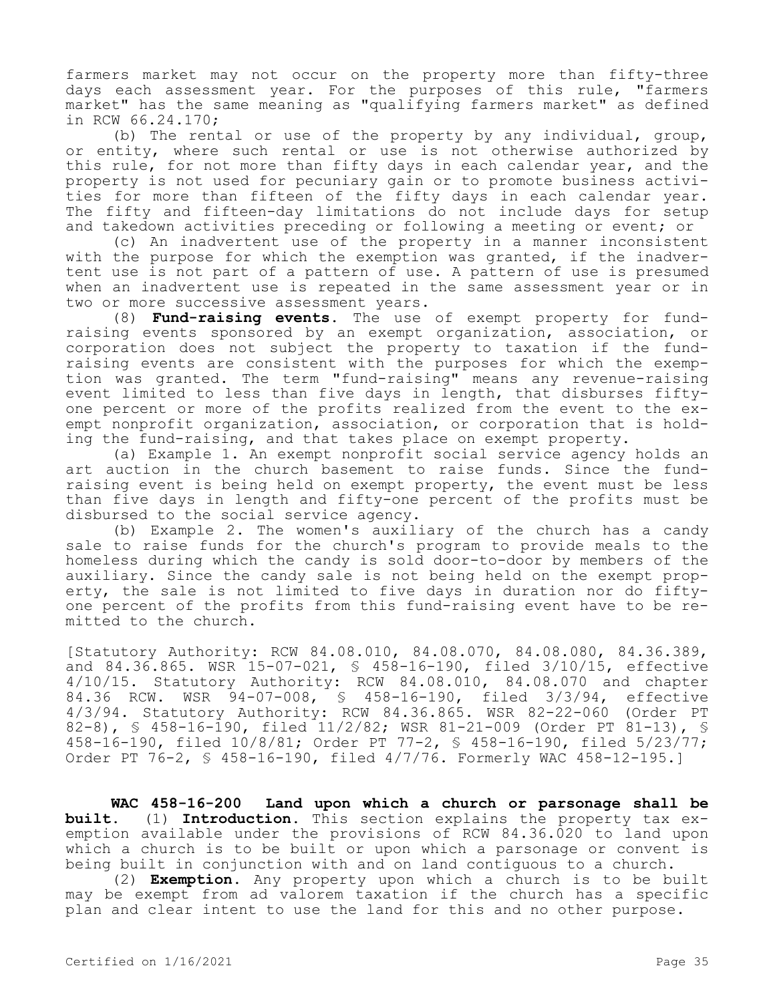farmers market may not occur on the property more than fifty-three days each assessment year. For the purposes of this rule, "farmers market" has the same meaning as "qualifying farmers market" as defined in RCW 66.24.170;

(b) The rental or use of the property by any individual, group, or entity, where such rental or use is not otherwise authorized by this rule, for not more than fifty days in each calendar year, and the property is not used for pecuniary gain or to promote business activities for more than fifteen of the fifty days in each calendar year. The fifty and fifteen-day limitations do not include days for setup and takedown activities preceding or following a meeting or event; or

(c) An inadvertent use of the property in a manner inconsistent with the purpose for which the exemption was granted, if the inadvertent use is not part of a pattern of use. A pattern of use is presumed when an inadvertent use is repeated in the same assessment year or in two or more successive assessment years.

(8) **Fund-raising events.** The use of exempt property for fundraising events sponsored by an exempt organization, association, or corporation does not subject the property to taxation if the fundraising events are consistent with the purposes for which the exemption was granted. The term "fund-raising" means any revenue-raising event limited to less than five days in length, that disburses fiftyone percent or more of the profits realized from the event to the exempt nonprofit organization, association, or corporation that is holding the fund-raising, and that takes place on exempt property.

(a) Example 1. An exempt nonprofit social service agency holds an art auction in the church basement to raise funds. Since the fundraising event is being held on exempt property, the event must be less than five days in length and fifty-one percent of the profits must be disbursed to the social service agency.

(b) Example 2. The women's auxiliary of the church has a candy sale to raise funds for the church's program to provide meals to the homeless during which the candy is sold door-to-door by members of the auxiliary. Since the candy sale is not being held on the exempt property, the sale is not limited to five days in duration nor do fiftyone percent of the profits from this fund-raising event have to be remitted to the church.

[Statutory Authority: RCW 84.08.010, 84.08.070, 84.08.080, 84.36.389, and 84.36.865. WSR 15-07-021, § 458-16-190, filed 3/10/15, effective 4/10/15. Statutory Authority: RCW 84.08.010, 84.08.070 and chapter 84.36 RCW. WSR 94-07-008, § 458-16-190, filed 3/3/94, effective 4/3/94. Statutory Authority: RCW 84.36.865. WSR 82-22-060 (Order PT 82-8), § 458-16-190, filed 11/2/82; WSR 81-21-009 (Order PT 81-13), § 458-16-190, filed 10/8/81; Order PT 77-2, § 458-16-190, filed 5/23/77; Order PT 76-2, § 458-16-190, filed 4/7/76. Formerly WAC 458-12-195.]

**WAC 458-16-200 Land upon which a church or parsonage shall be built.** (1) **Introduction.** This section explains the property tax exemption available under the provisions of RCW 84.36.020 to land upon which a church is to be built or upon which a parsonage or convent is being built in conjunction with and on land contiguous to a church.

(2) **Exemption.** Any property upon which a church is to be built may be exempt from ad valorem taxation if the church has a specific plan and clear intent to use the land for this and no other purpose.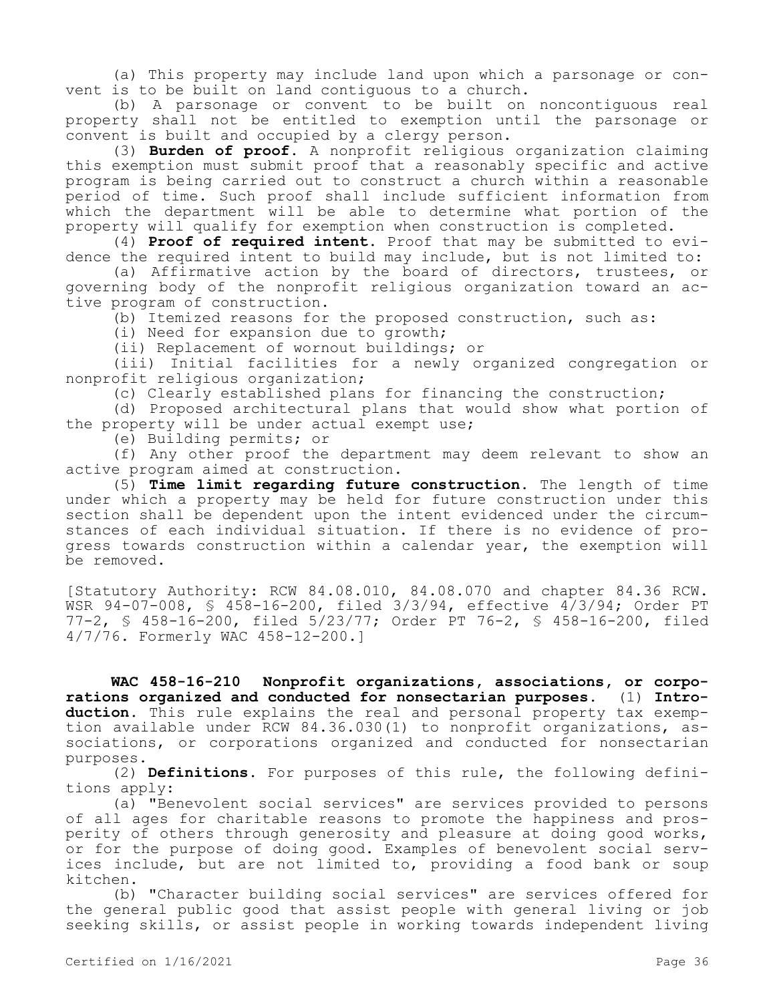(a) This property may include land upon which a parsonage or convent is to be built on land contiguous to a church.

(b) A parsonage or convent to be built on noncontiguous real property shall not be entitled to exemption until the parsonage or convent is built and occupied by a clergy person.

(3) **Burden of proof.** A nonprofit religious organization claiming this exemption must submit proof that a reasonably specific and active program is being carried out to construct a church within a reasonable period of time. Such proof shall include sufficient information from which the department will be able to determine what portion of the property will qualify for exemption when construction is completed.

(4) **Proof of required intent.** Proof that may be submitted to evidence the required intent to build may include, but is not limited to:

(a) Affirmative action by the board of directors, trustees, or governing body of the nonprofit religious organization toward an active program of construction.

(b) Itemized reasons for the proposed construction, such as:

(i) Need for expansion due to growth;

(ii) Replacement of wornout buildings; or

(iii) Initial facilities for a newly organized congregation or nonprofit religious organization;

(c) Clearly established plans for financing the construction;

(d) Proposed architectural plans that would show what portion of the property will be under actual exempt use;

(e) Building permits; or

(f) Any other proof the department may deem relevant to show an active program aimed at construction.

(5) **Time limit regarding future construction.** The length of time under which a property may be held for future construction under this section shall be dependent upon the intent evidenced under the circumstances of each individual situation. If there is no evidence of progress towards construction within a calendar year, the exemption will be removed.

[Statutory Authority: RCW 84.08.010, 84.08.070 and chapter 84.36 RCW. WSR 94-07-008, § 458-16-200, filed 3/3/94, effective 4/3/94; Order PT 77-2, § 458-16-200, filed 5/23/77; Order PT 76-2, § 458-16-200, filed 4/7/76. Formerly WAC 458-12-200.]

**WAC 458-16-210 Nonprofit organizations, associations, or corporations organized and conducted for nonsectarian purposes.** (1) **Introduction.** This rule explains the real and personal property tax exemption available under RCW 84.36.030(1) to nonprofit organizations, associations, or corporations organized and conducted for nonsectarian purposes.

(2) **Definitions.** For purposes of this rule, the following definitions apply:

(a) "Benevolent social services" are services provided to persons of all ages for charitable reasons to promote the happiness and prosperity of others through generosity and pleasure at doing good works, or for the purpose of doing good. Examples of benevolent social services include, but are not limited to, providing a food bank or soup kitchen.

(b) "Character building social services" are services offered for the general public good that assist people with general living or job seeking skills, or assist people in working towards independent living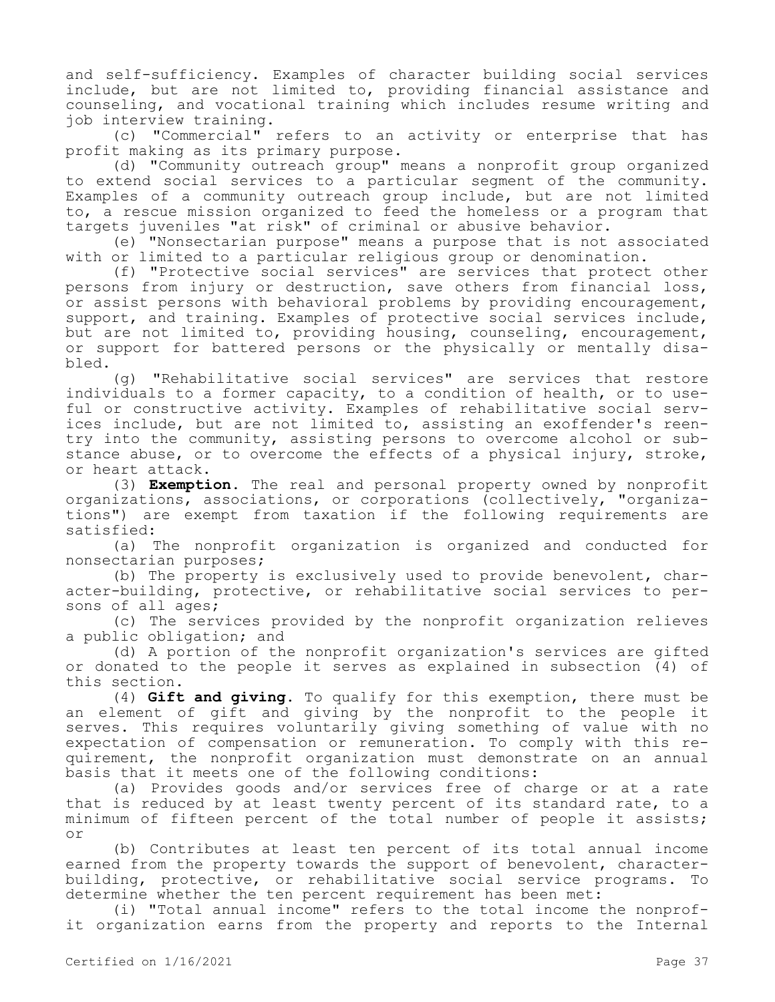and self-sufficiency. Examples of character building social services include, but are not limited to, providing financial assistance and counseling, and vocational training which includes resume writing and job interview training.

(c) "Commercial" refers to an activity or enterprise that has profit making as its primary purpose.

(d) "Community outreach group" means a nonprofit group organized to extend social services to a particular segment of the community. Examples of a community outreach group include, but are not limited to, a rescue mission organized to feed the homeless or a program that targets juveniles "at risk" of criminal or abusive behavior.

(e) "Nonsectarian purpose" means a purpose that is not associated with or limited to a particular religious group or denomination.

(f) "Protective social services" are services that protect other persons from injury or destruction, save others from financial loss, or assist persons with behavioral problems by providing encouragement, support, and training. Examples of protective social services include, but are not limited to, providing housing, counseling, encouragement, or support for battered persons or the physically or mentally disabled.

(g) "Rehabilitative social services" are services that restore individuals to a former capacity, to a condition of health, or to useful or constructive activity. Examples of rehabilitative social services include, but are not limited to, assisting an exoffender's reentry into the community, assisting persons to overcome alcohol or substance abuse, or to overcome the effects of a physical injury, stroke, or heart attack.

(3) **Exemption.** The real and personal property owned by nonprofit organizations, associations, or corporations (collectively, "organizations") are exempt from taxation if the following requirements are satisfied:

(a) The nonprofit organization is organized and conducted for nonsectarian purposes;

(b) The property is exclusively used to provide benevolent, character-building, protective, or rehabilitative social services to persons of all ages;

(c) The services provided by the nonprofit organization relieves a public obligation; and

(d) A portion of the nonprofit organization's services are gifted or donated to the people it serves as explained in subsection (4) of this section.

(4) **Gift and giving.** To qualify for this exemption, there must be an element of gift and giving by the nonprofit to the people it serves. This requires voluntarily giving something of value with no expectation of compensation or remuneration. To comply with this requirement, the nonprofit organization must demonstrate on an annual basis that it meets one of the following conditions:

(a) Provides goods and/or services free of charge or at a rate that is reduced by at least twenty percent of its standard rate, to a minimum of fifteen percent of the total number of people it assists; or

(b) Contributes at least ten percent of its total annual income earned from the property towards the support of benevolent, characterbuilding, protective, or rehabilitative social service programs. To determine whether the ten percent requirement has been met:

(i) "Total annual income" refers to the total income the nonprofit organization earns from the property and reports to the Internal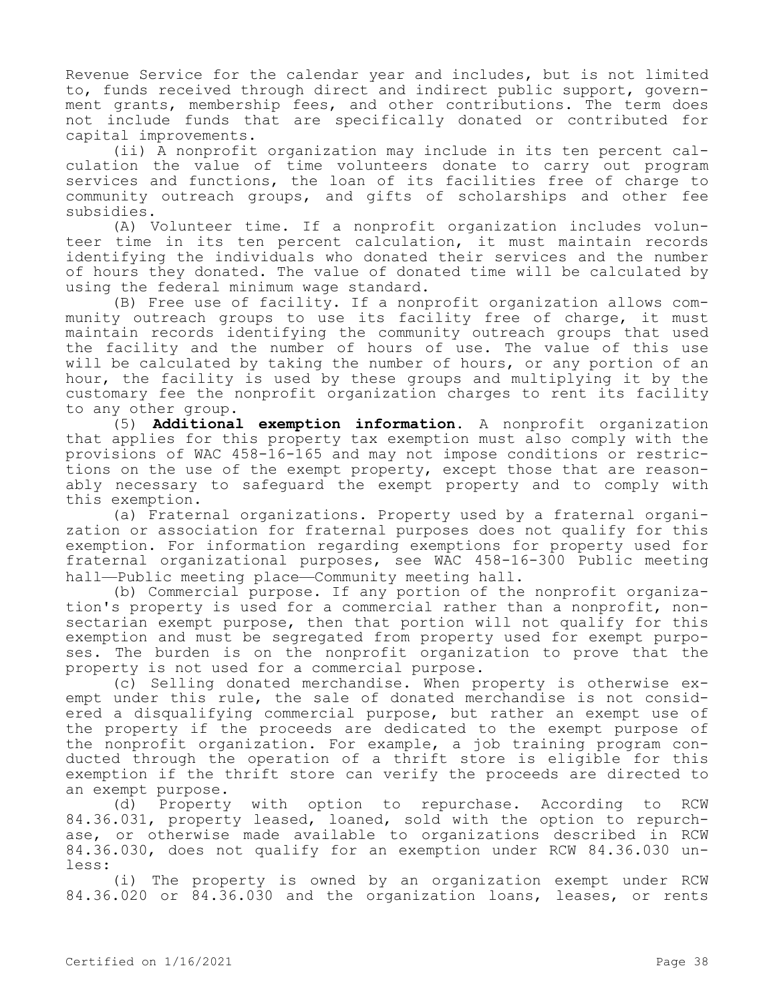Revenue Service for the calendar year and includes, but is not limited to, funds received through direct and indirect public support, government grants, membership fees, and other contributions. The term does not include funds that are specifically donated or contributed for capital improvements.

(ii) A nonprofit organization may include in its ten percent calculation the value of time volunteers donate to carry out program services and functions, the loan of its facilities free of charge to community outreach groups, and gifts of scholarships and other fee subsidies.

(A) Volunteer time. If a nonprofit organization includes volunteer time in its ten percent calculation, it must maintain records identifying the individuals who donated their services and the number of hours they donated. The value of donated time will be calculated by using the federal minimum wage standard.

(B) Free use of facility. If a nonprofit organization allows community outreach groups to use its facility free of charge, it must maintain records identifying the community outreach groups that used the facility and the number of hours of use. The value of this use will be calculated by taking the number of hours, or any portion of an hour, the facility is used by these groups and multiplying it by the customary fee the nonprofit organization charges to rent its facility to any other group.

(5) **Additional exemption information.** A nonprofit organization that applies for this property tax exemption must also comply with the provisions of WAC 458-16-165 and may not impose conditions or restrictions on the use of the exempt property, except those that are reasonably necessary to safeguard the exempt property and to comply with this exemption.

(a) Fraternal organizations. Property used by a fraternal organization or association for fraternal purposes does not qualify for this exemption. For information regarding exemptions for property used for fraternal organizational purposes, see WAC 458-16-300 Public meeting hall—Public meeting place—Community meeting hall.

(b) Commercial purpose. If any portion of the nonprofit organization's property is used for a commercial rather than a nonprofit, nonsectarian exempt purpose, then that portion will not qualify for this exemption and must be segregated from property used for exempt purposes. The burden is on the nonprofit organization to prove that the property is not used for a commercial purpose.

(c) Selling donated merchandise. When property is otherwise exempt under this rule, the sale of donated merchandise is not considered a disqualifying commercial purpose, but rather an exempt use of the property if the proceeds are dedicated to the exempt purpose of the nonprofit organization. For example, a job training program conducted through the operation of a thrift store is eligible for this exemption if the thrift store can verify the proceeds are directed to an exempt purpose.

(d) Property with option to repurchase. According to RCW 84.36.031, property leased, loaned, sold with the option to repurchase, or otherwise made available to organizations described in RCW 84.36.030, does not qualify for an exemption under RCW 84.36.030 unless:

(i) The property is owned by an organization exempt under RCW 84.36.020 or 84.36.030 and the organization loans, leases, or rents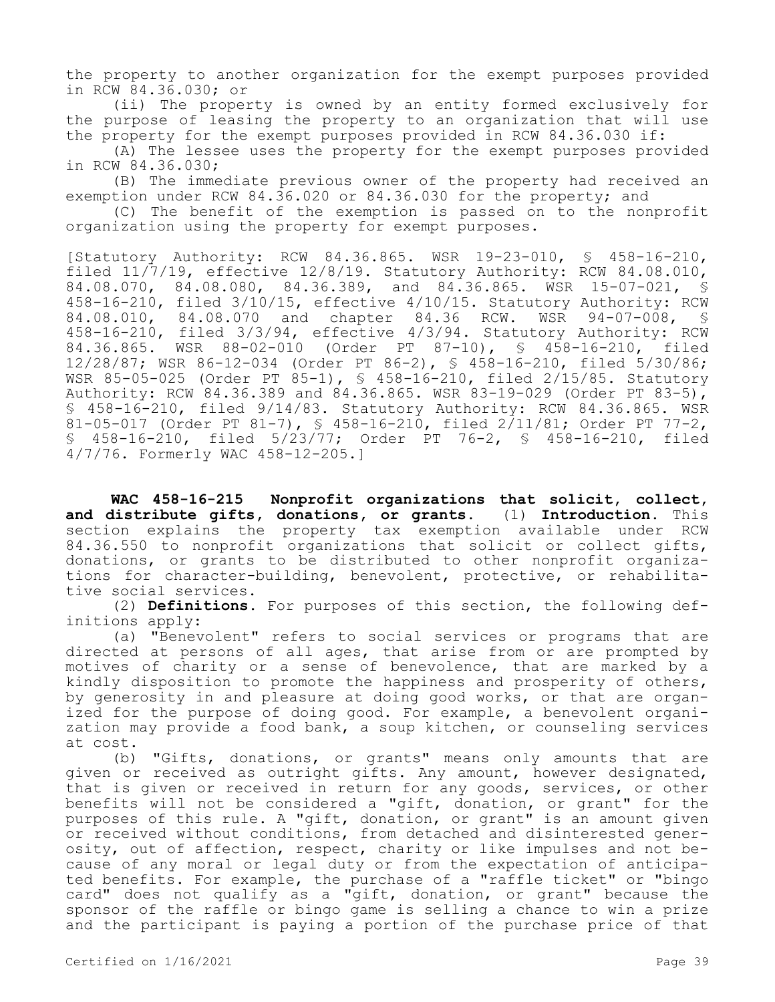the property to another organization for the exempt purposes provided in RCW 84.36.030; or

(ii) The property is owned by an entity formed exclusively for the purpose of leasing the property to an organization that will use the property for the exempt purposes provided in RCW 84.36.030 if:

(A) The lessee uses the property for the exempt purposes provided in RCW 84.36.030;

(B) The immediate previous owner of the property had received an exemption under RCW 84.36.020 or 84.36.030 for the property; and

(C) The benefit of the exemption is passed on to the nonprofit organization using the property for exempt purposes.

[Statutory Authority: RCW 84.36.865. WSR 19-23-010, § 458-16-210, filed 11/7/19, effective 12/8/19. Statutory Authority: RCW 84.08.010, 84.08.070, 84.08.080, 84.36.389, and 84.36.865. WSR 15-07-021, § 458-16-210, filed 3/10/15, effective 4/10/15. Statutory Authority: RCW 84.08.010, 84.08.070 and chapter 84.36 RCW. WSR 94-07-008, § 458-16-210, filed 3/3/94, effective 4/3/94. Statutory Authority: RCW 84.36.865. WSR 88-02-010 (Order PT 87-10), § 458-16-210, filed 12/28/87; WSR 86-12-034 (Order PT 86-2), § 458-16-210, filed 5/30/86; WSR 85-05-025 (Order PT 85-1), § 458-16-210, filed 2/15/85. Statutory Authority: RCW 84.36.389 and 84.36.865. WSR 83-19-029 (Order PT 83-5), § 458-16-210, filed 9/14/83. Statutory Authority: RCW 84.36.865. WSR 81-05-017 (Order PT 81-7), § 458-16-210, filed 2/11/81; Order PT 77-2, § 458-16-210, filed 5/23/77; Order PT 76-2, § 458-16-210, filed 4/7/76. Formerly WAC 458-12-205.]

**WAC 458-16-215 Nonprofit organizations that solicit, collect, and distribute gifts, donations, or grants.** (1) **Introduction.** This section explains the property tax exemption available under RCW 84.36.550 to nonprofit organizations that solicit or collect gifts, donations, or grants to be distributed to other nonprofit organizations for character-building, benevolent, protective, or rehabilitative social services.

(2) **Definitions.** For purposes of this section, the following definitions apply:

(a) "Benevolent" refers to social services or programs that are directed at persons of all ages, that arise from or are prompted by motives of charity or a sense of benevolence, that are marked by a kindly disposition to promote the happiness and prosperity of others, by generosity in and pleasure at doing good works, or that are organized for the purpose of doing good. For example, a benevolent organization may provide a food bank, a soup kitchen, or counseling services at cost.

(b) "Gifts, donations, or grants" means only amounts that are given or received as outright gifts. Any amount, however designated, that is given or received in return for any goods, services, or other benefits will not be considered a "gift, donation, or grant" for the purposes of this rule. A "gift, donation, or grant" is an amount given or received without conditions, from detached and disinterested generosity, out of affection, respect, charity or like impulses and not because of any moral or legal duty or from the expectation of anticipated benefits. For example, the purchase of a "raffle ticket" or "bingo card" does not qualify as a "gift, donation, or grant" because the sponsor of the raffle or bingo game is selling a chance to win a prize and the participant is paying a portion of the purchase price of that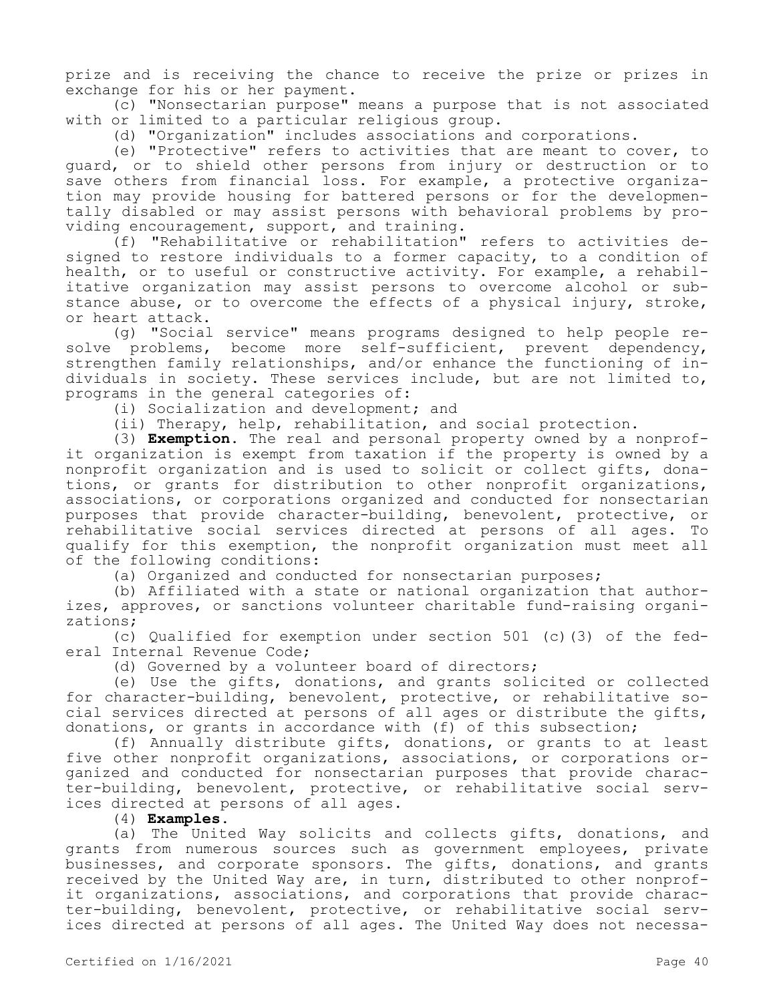prize and is receiving the chance to receive the prize or prizes in exchange for his or her payment.

(c) "Nonsectarian purpose" means a purpose that is not associated with or limited to a particular religious group.

(d) "Organization" includes associations and corporations.

(e) "Protective" refers to activities that are meant to cover, to guard, or to shield other persons from injury or destruction or to save others from financial loss. For example, a protective organization may provide housing for battered persons or for the developmentally disabled or may assist persons with behavioral problems by providing encouragement, support, and training.

(f) "Rehabilitative or rehabilitation" refers to activities designed to restore individuals to a former capacity, to a condition of health, or to useful or constructive activity. For example, a rehabilitative organization may assist persons to overcome alcohol or substance abuse, or to overcome the effects of a physical injury, stroke, or heart attack.

(g) "Social service" means programs designed to help people resolve problems, become more self-sufficient, prevent dependency, strengthen family relationships, and/or enhance the functioning of individuals in society. These services include, but are not limited to, programs in the general categories of:

(i) Socialization and development; and

(ii) Therapy, help, rehabilitation, and social protection.

(3) **Exemption.** The real and personal property owned by a nonprofit organization is exempt from taxation if the property is owned by a nonprofit organization and is used to solicit or collect gifts, donations, or grants for distribution to other nonprofit organizations, associations, or corporations organized and conducted for nonsectarian purposes that provide character-building, benevolent, protective, or rehabilitative social services directed at persons of all ages. To qualify for this exemption, the nonprofit organization must meet all of the following conditions:

(a) Organized and conducted for nonsectarian purposes;

(b) Affiliated with a state or national organization that authorizes, approves, or sanctions volunteer charitable fund-raising organizations;

(c) Qualified for exemption under section 501 (c)(3) of the federal Internal Revenue Code;

(d) Governed by a volunteer board of directors;

(e) Use the gifts, donations, and grants solicited or collected for character-building, benevolent, protective, or rehabilitative social services directed at persons of all ages or distribute the gifts, donations, or grants in accordance with (f) of this subsection;

(f) Annually distribute gifts, donations, or grants to at least five other nonprofit organizations, associations, or corporations organized and conducted for nonsectarian purposes that provide character-building, benevolent, protective, or rehabilitative social services directed at persons of all ages.

(4) **Examples.**

(a) The United Way solicits and collects gifts, donations, and grants from numerous sources such as government employees, private businesses, and corporate sponsors. The gifts, donations, and grants received by the United Way are, in turn, distributed to other nonprofit organizations, associations, and corporations that provide character-building, benevolent, protective, or rehabilitative social services directed at persons of all ages. The United Way does not necessa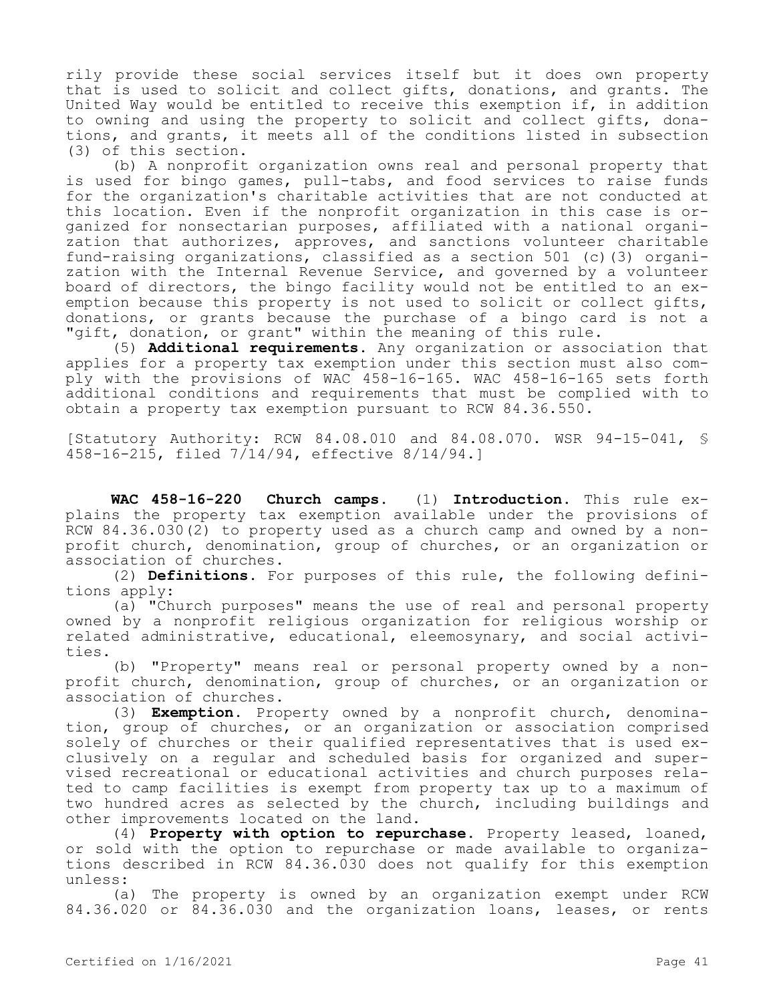rily provide these social services itself but it does own property that is used to solicit and collect gifts, donations, and grants. The United Way would be entitled to receive this exemption if, in addition to owning and using the property to solicit and collect gifts, donations, and grants, it meets all of the conditions listed in subsection (3) of this section.

(b) A nonprofit organization owns real and personal property that is used for bingo games, pull-tabs, and food services to raise funds for the organization's charitable activities that are not conducted at this location. Even if the nonprofit organization in this case is organized for nonsectarian purposes, affiliated with a national organization that authorizes, approves, and sanctions volunteer charitable fund-raising organizations, classified as a section 501 (c)(3) organization with the Internal Revenue Service, and governed by a volunteer board of directors, the bingo facility would not be entitled to an exemption because this property is not used to solicit or collect gifts, donations, or grants because the purchase of a bingo card is not a "gift, donation, or grant" within the meaning of this rule.

(5) **Additional requirements.** Any organization or association that applies for a property tax exemption under this section must also comply with the provisions of WAC 458-16-165. WAC 458-16-165 sets forth additional conditions and requirements that must be complied with to obtain a property tax exemption pursuant to RCW 84.36.550.

[Statutory Authority: RCW 84.08.010 and 84.08.070. WSR 94-15-041, § 458-16-215, filed  $7/14/94$ , effective 8/14/94.1

**WAC 458-16-220 Church camps.** (1) **Introduction.** This rule explains the property tax exemption available under the provisions of RCW 84.36.030(2) to property used as a church camp and owned by a nonprofit church, denomination, group of churches, or an organization or association of churches.

(2) **Definitions.** For purposes of this rule, the following definitions apply:

(a) "Church purposes" means the use of real and personal property owned by a nonprofit religious organization for religious worship or related administrative, educational, eleemosynary, and social activities.

(b) "Property" means real or personal property owned by a nonprofit church, denomination, group of churches, or an organization or association of churches.

(3) **Exemption.** Property owned by a nonprofit church, denomination, group of churches, or an organization or association comprised solely of churches or their qualified representatives that is used exclusively on a regular and scheduled basis for organized and supervised recreational or educational activities and church purposes related to camp facilities is exempt from property tax up to a maximum of two hundred acres as selected by the church, including buildings and other improvements located on the land.

(4) **Property with option to repurchase.** Property leased, loaned, or sold with the option to repurchase or made available to organizations described in RCW 84.36.030 does not qualify for this exemption unless:

(a) The property is owned by an organization exempt under RCW 84.36.020 or 84.36.030 and the organization loans, leases, or rents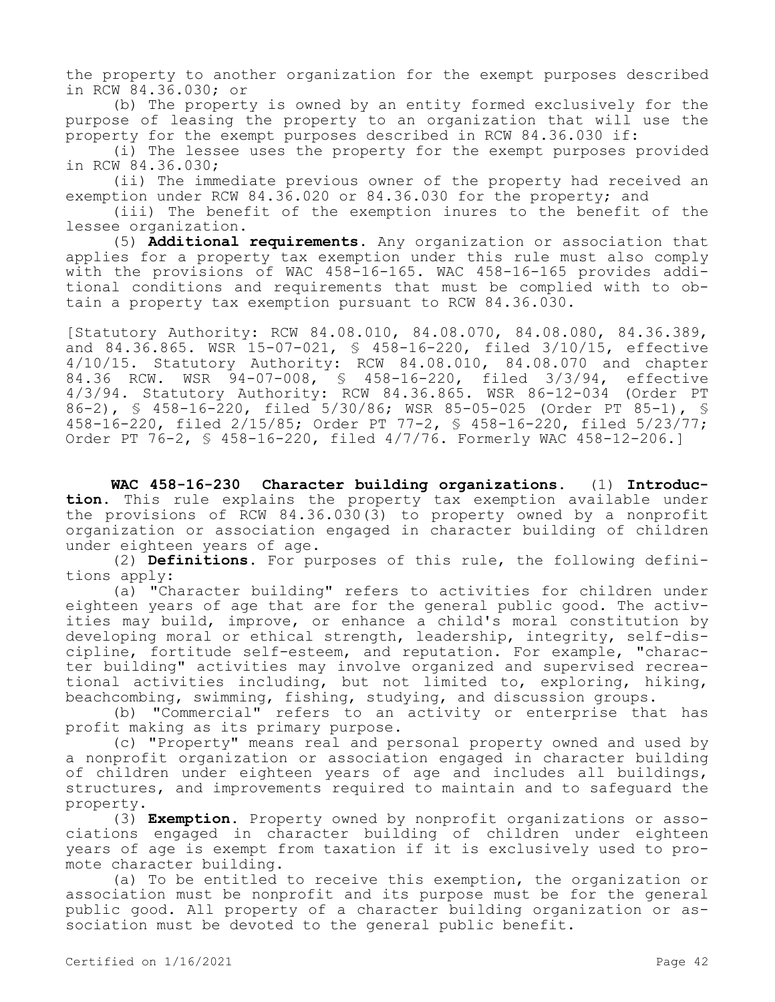the property to another organization for the exempt purposes described in RCW 84.36.030; or

(b) The property is owned by an entity formed exclusively for the purpose of leasing the property to an organization that will use the property for the exempt purposes described in RCW 84.36.030 if:

(i) The lessee uses the property for the exempt purposes provided in RCW 84.36.030;

(ii) The immediate previous owner of the property had received an exemption under RCW 84.36.020 or 84.36.030 for the property; and

(iii) The benefit of the exemption inures to the benefit of the lessee organization.

(5) **Additional requirements.** Any organization or association that applies for a property tax exemption under this rule must also comply with the provisions of WAC 458-16-165. WAC 458-16-165 provides additional conditions and requirements that must be complied with to obtain a property tax exemption pursuant to RCW 84.36.030.

[Statutory Authority: RCW 84.08.010, 84.08.070, 84.08.080, 84.36.389, and 84.36.865. WSR 15-07-021, § 458-16-220, filed 3/10/15, effective 4/10/15. Statutory Authority: RCW 84.08.010, 84.08.070 and chapter 84.36 RCW. WSR 94-07-008, § 458-16-220, filed 3/3/94, effective 4/3/94. Statutory Authority: RCW 84.36.865. WSR 86-12-034 (Order PT 86-2), § 458-16-220, filed 5/30/86; WSR 85-05-025 (Order PT 85-1), § 458-16-220, filed 2/15/85; Order PT 77-2, § 458-16-220, filed 5/23/77; Order PT 76-2, § 458-16-220, filed 4/7/76. Formerly WAC 458-12-206.]

**WAC 458-16-230 Character building organizations.** (1) **Introduction.** This rule explains the property tax exemption available under the provisions of RCW 84.36.030(3) to property owned by a nonprofit organization or association engaged in character building of children under eighteen years of age.

(2) **Definitions.** For purposes of this rule, the following definitions apply:

(a) "Character building" refers to activities for children under eighteen years of age that are for the general public good. The activities may build, improve, or enhance a child's moral constitution by developing moral or ethical strength, leadership, integrity, self-discipline, fortitude self-esteem, and reputation. For example, "character building" activities may involve organized and supervised recreational activities including, but not limited to, exploring, hiking, beachcombing, swimming, fishing, studying, and discussion groups.

(b) "Commercial" refers to an activity or enterprise that has profit making as its primary purpose.

(c) "Property" means real and personal property owned and used by a nonprofit organization or association engaged in character building of children under eighteen years of age and includes all buildings, structures, and improvements required to maintain and to safeguard the property.

(3) **Exemption.** Property owned by nonprofit organizations or associations engaged in character building of children under eighteen years of age is exempt from taxation if it is exclusively used to promote character building.

(a) To be entitled to receive this exemption, the organization or association must be nonprofit and its purpose must be for the general public good. All property of a character building organization or association must be devoted to the general public benefit.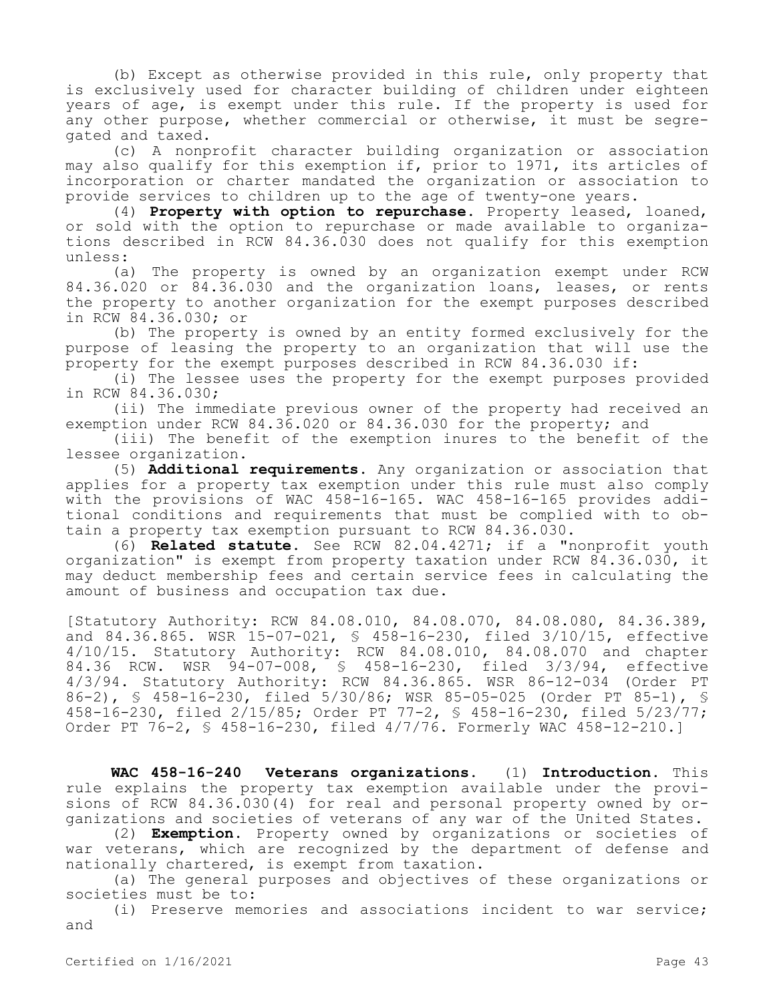(b) Except as otherwise provided in this rule, only property that is exclusively used for character building of children under eighteen years of age, is exempt under this rule. If the property is used for any other purpose, whether commercial or otherwise, it must be segregated and taxed.

(c) A nonprofit character building organization or association may also qualify for this exemption if, prior to 1971, its articles of incorporation or charter mandated the organization or association to provide services to children up to the age of twenty-one years.

(4) **Property with option to repurchase.** Property leased, loaned, or sold with the option to repurchase or made available to organizations described in RCW 84.36.030 does not qualify for this exemption unless:

(a) The property is owned by an organization exempt under RCW 84.36.020 or 84.36.030 and the organization loans, leases, or rents the property to another organization for the exempt purposes described in RCW 84.36.030; or

(b) The property is owned by an entity formed exclusively for the purpose of leasing the property to an organization that will use the property for the exempt purposes described in RCW 84.36.030 if:

(i) The lessee uses the property for the exempt purposes provided in RCW 84.36.030;

(ii) The immediate previous owner of the property had received an exemption under RCW 84.36.020 or 84.36.030 for the property; and

(iii) The benefit of the exemption inures to the benefit of the lessee organization.

(5) **Additional requirements.** Any organization or association that applies for a property tax exemption under this rule must also comply with the provisions of WAC 458-16-165. WAC 458-16-165 provides additional conditions and requirements that must be complied with to obtain a property tax exemption pursuant to RCW 84.36.030.

(6) **Related statute.** See RCW 82.04.4271; if a "nonprofit youth organization" is exempt from property taxation under RCW 84.36.030, it may deduct membership fees and certain service fees in calculating the amount of business and occupation tax due.

[Statutory Authority: RCW 84.08.010, 84.08.070, 84.08.080, 84.36.389, and 84.36.865. WSR 15-07-021, § 458-16-230, filed 3/10/15, effective 4/10/15. Statutory Authority: RCW 84.08.010, 84.08.070 and chapter 84.36 RCW. WSR 94-07-008, § 458-16-230, filed 3/3/94, effective 4/3/94. Statutory Authority: RCW 84.36.865. WSR 86-12-034 (Order PT 86-2), § 458-16-230, filed 5/30/86; WSR 85-05-025 (Order PT 85-1), § 458-16-230, filed 2/15/85; Order PT 77-2, § 458-16-230, filed 5/23/77; Order PT 76-2, § 458-16-230, filed 4/7/76. Formerly WAC 458-12-210.]

**WAC 458-16-240 Veterans organizations.** (1) **Introduction.** This rule explains the property tax exemption available under the provisions of RCW 84.36.030(4) for real and personal property owned by organizations and societies of veterans of any war of the United States.

(2) **Exemption.** Property owned by organizations or societies of war veterans, which are recognized by the department of defense and nationally chartered, is exempt from taxation.

(a) The general purposes and objectives of these organizations or societies must be to:

(i) Preserve memories and associations incident to war service; and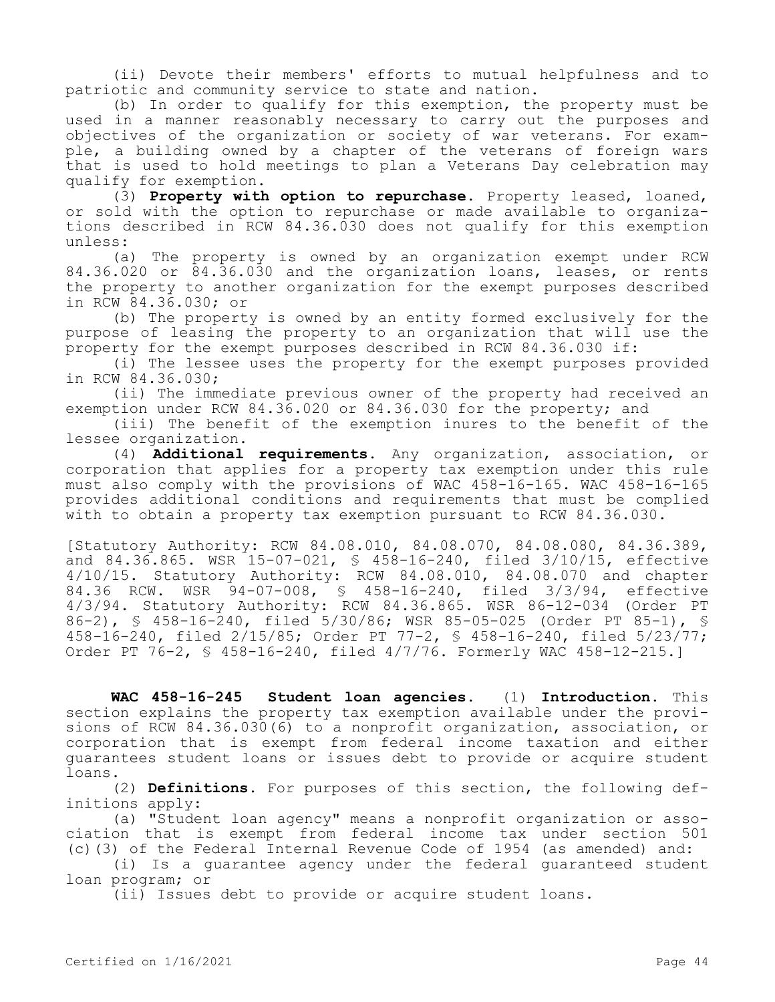(ii) Devote their members' efforts to mutual helpfulness and to patriotic and community service to state and nation.

(b) In order to qualify for this exemption, the property must be used in a manner reasonably necessary to carry out the purposes and objectives of the organization or society of war veterans. For example, a building owned by a chapter of the veterans of foreign wars that is used to hold meetings to plan a Veterans Day celebration may qualify for exemption.

(3) **Property with option to repurchase.** Property leased, loaned, or sold with the option to repurchase or made available to organizations described in RCW 84.36.030 does not qualify for this exemption unless:

(a) The property is owned by an organization exempt under RCW 84.36.020 or 84.36.030 and the organization loans, leases, or rents the property to another organization for the exempt purposes described in RCW 84.36.030; or

(b) The property is owned by an entity formed exclusively for the purpose of leasing the property to an organization that will use the property for the exempt purposes described in RCW 84.36.030 if:

(i) The lessee uses the property for the exempt purposes provided in RCW 84.36.030;

(ii) The immediate previous owner of the property had received an exemption under RCW 84.36.020 or 84.36.030 for the property; and

(iii) The benefit of the exemption inures to the benefit of the lessee organization.

(4) **Additional requirements.** Any organization, association, or corporation that applies for a property tax exemption under this rule must also comply with the provisions of WAC 458-16-165. WAC 458-16-165 provides additional conditions and requirements that must be complied with to obtain a property tax exemption pursuant to RCW 84.36.030.

[Statutory Authority: RCW 84.08.010, 84.08.070, 84.08.080, 84.36.389, and 84.36.865. WSR 15-07-021, § 458-16-240, filed 3/10/15, effective 4/10/15. Statutory Authority: RCW 84.08.010, 84.08.070 and chapter 84.36 RCW. WSR 94-07-008, § 458-16-240, filed 3/3/94, effective 4/3/94. Statutory Authority: RCW 84.36.865. WSR 86-12-034 (Order PT 86-2), § 458-16-240, filed 5/30/86; WSR 85-05-025 (Order PT 85-1), § 458-16-240, filed 2/15/85; Order PT 77-2, § 458-16-240, filed 5/23/77; Order PT 76-2, § 458-16-240, filed 4/7/76. Formerly WAC 458-12-215.]

**WAC 458-16-245 Student loan agencies.** (1) **Introduction.** This section explains the property tax exemption available under the provisions of RCW 84.36.030(6) to a nonprofit organization, association, or corporation that is exempt from federal income taxation and either guarantees student loans or issues debt to provide or acquire student loans.

(2) **Definitions.** For purposes of this section, the following definitions apply:

(a) "Student loan agency" means a nonprofit organization or association that is exempt from federal income tax under section 501 (c)(3) of the Federal Internal Revenue Code of 1954 (as amended) and:

(i) Is a guarantee agency under the federal guaranteed student loan program; or

(ii) Issues debt to provide or acquire student loans.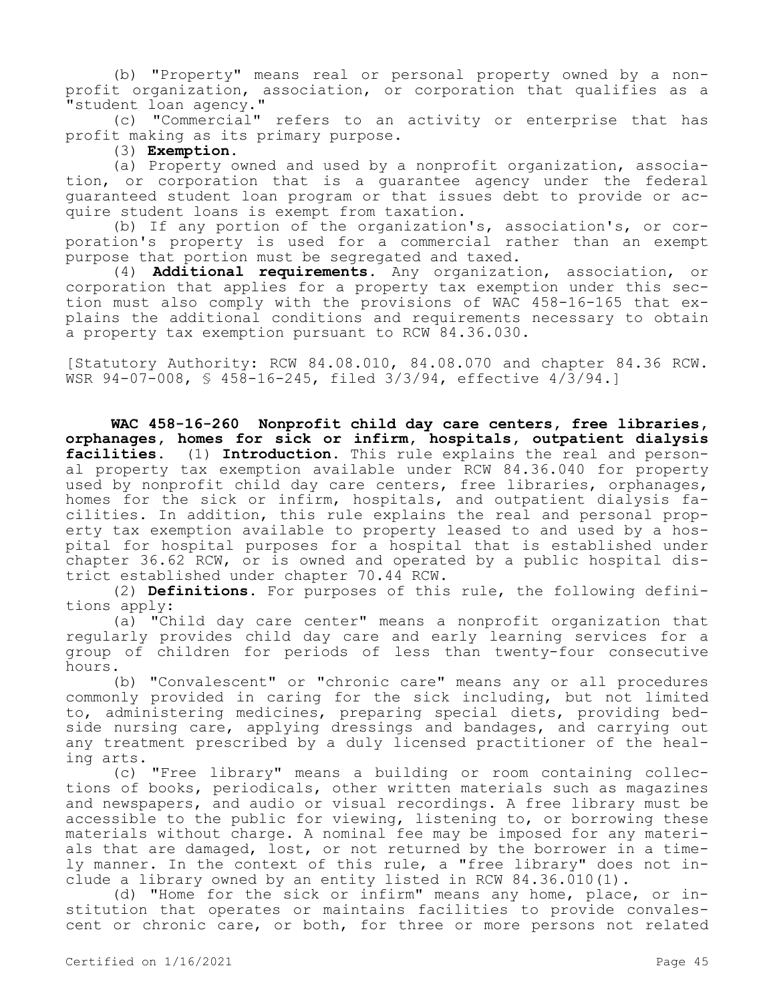(b) "Property" means real or personal property owned by a nonprofit organization, association, or corporation that qualifies as a "student loan agency."

(c) "Commercial" refers to an activity or enterprise that has profit making as its primary purpose.

(3) **Exemption.**

(a) Property owned and used by a nonprofit organization, association, or corporation that is a guarantee agency under the federal guaranteed student loan program or that issues debt to provide or acquire student loans is exempt from taxation.

(b) If any portion of the organization's, association's, or corporation's property is used for a commercial rather than an exempt purpose that portion must be segregated and taxed.

(4) **Additional requirements.** Any organization, association, or corporation that applies for a property tax exemption under this section must also comply with the provisions of WAC 458-16-165 that explains the additional conditions and requirements necessary to obtain a property tax exemption pursuant to RCW 84.36.030.

[Statutory Authority: RCW 84.08.010, 84.08.070 and chapter 84.36 RCW. WSR 94-07-008, § 458-16-245, filed 3/3/94, effective 4/3/94.]

**WAC 458-16-260 Nonprofit child day care centers, free libraries, orphanages, homes for sick or infirm, hospitals, outpatient dialysis facilities.** (1) **Introduction.** This rule explains the real and personal property tax exemption available under RCW 84.36.040 for property used by nonprofit child day care centers, free libraries, orphanages, homes for the sick or infirm, hospitals, and outpatient dialysis facilities. In addition, this rule explains the real and personal property tax exemption available to property leased to and used by a hospital for hospital purposes for a hospital that is established under chapter 36.62 RCW, or is owned and operated by a public hospital district established under chapter 70.44 RCW.

(2) **Definitions.** For purposes of this rule, the following definitions apply:

(a) "Child day care center" means a nonprofit organization that regularly provides child day care and early learning services for a group of children for periods of less than twenty-four consecutive hours.

(b) "Convalescent" or "chronic care" means any or all procedures commonly provided in caring for the sick including, but not limited to, administering medicines, preparing special diets, providing bedside nursing care, applying dressings and bandages, and carrying out any treatment prescribed by a duly licensed practitioner of the healing arts.

(c) "Free library" means a building or room containing collections of books, periodicals, other written materials such as magazines and newspapers, and audio or visual recordings. A free library must be accessible to the public for viewing, listening to, or borrowing these materials without charge. A nominal fee may be imposed for any materials that are damaged, lost, or not returned by the borrower in a timely manner. In the context of this rule, a "free library" does not include a library owned by an entity listed in RCW 84.36.010(1).

(d) "Home for the sick or infirm" means any home, place, or institution that operates or maintains facilities to provide convalescent or chronic care, or both, for three or more persons not related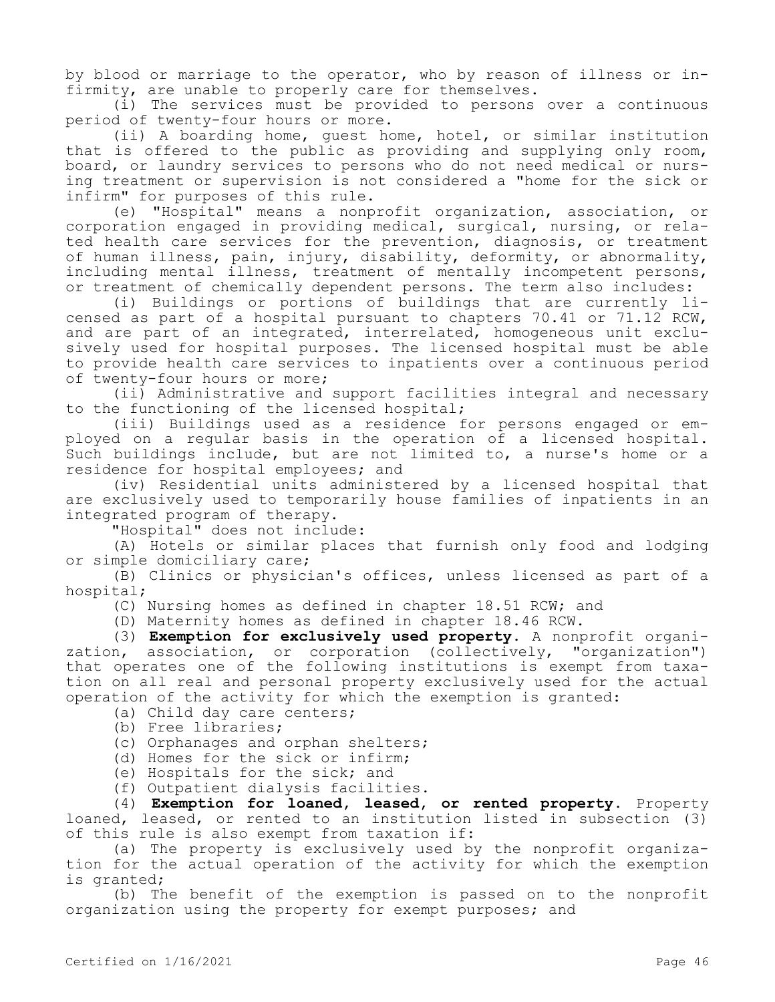by blood or marriage to the operator, who by reason of illness or infirmity, are unable to properly care for themselves.

(i) The services must be provided to persons over a continuous period of twenty-four hours or more.

(ii) A boarding home, guest home, hotel, or similar institution that is offered to the public as providing and supplying only room, board, or laundry services to persons who do not need medical or nursing treatment or supervision is not considered a "home for the sick or infirm" for purposes of this rule.

(e) "Hospital" means a nonprofit organization, association, or corporation engaged in providing medical, surgical, nursing, or related health care services for the prevention, diagnosis, or treatment of human illness, pain, injury, disability, deformity, or abnormality, including mental illness, treatment of mentally incompetent persons, or treatment of chemically dependent persons. The term also includes:

(i) Buildings or portions of buildings that are currently licensed as part of a hospital pursuant to chapters 70.41 or 71.12 RCW, and are part of an integrated, interrelated, homogeneous unit exclusively used for hospital purposes. The licensed hospital must be able to provide health care services to inpatients over a continuous period of twenty-four hours or more;

(ii) Administrative and support facilities integral and necessary to the functioning of the licensed hospital;

(iii) Buildings used as a residence for persons engaged or employed on a regular basis in the operation of a licensed hospital. Such buildings include, but are not limited to, a nurse's home or a residence for hospital employees; and

(iv) Residential units administered by a licensed hospital that are exclusively used to temporarily house families of inpatients in an integrated program of therapy.

"Hospital" does not include:

(A) Hotels or similar places that furnish only food and lodging or simple domiciliary care;

(B) Clinics or physician's offices, unless licensed as part of a hospital;

(C) Nursing homes as defined in chapter 18.51 RCW; and

(D) Maternity homes as defined in chapter 18.46 RCW.

(3) **Exemption for exclusively used property.** A nonprofit organization, association, or corporation (collectively, "organization") that operates one of the following institutions is exempt from taxation on all real and personal property exclusively used for the actual operation of the activity for which the exemption is granted:

(a) Child day care centers;

(b) Free libraries;

(c) Orphanages and orphan shelters;

(d) Homes for the sick or infirm;

(e) Hospitals for the sick; and

(f) Outpatient dialysis facilities.

(4) **Exemption for loaned, leased, or rented property.** Property loaned, leased, or rented to an institution listed in subsection (3) of this rule is also exempt from taxation if:

(a) The property is exclusively used by the nonprofit organization for the actual operation of the activity for which the exemption is granted;

(b) The benefit of the exemption is passed on to the nonprofit organization using the property for exempt purposes; and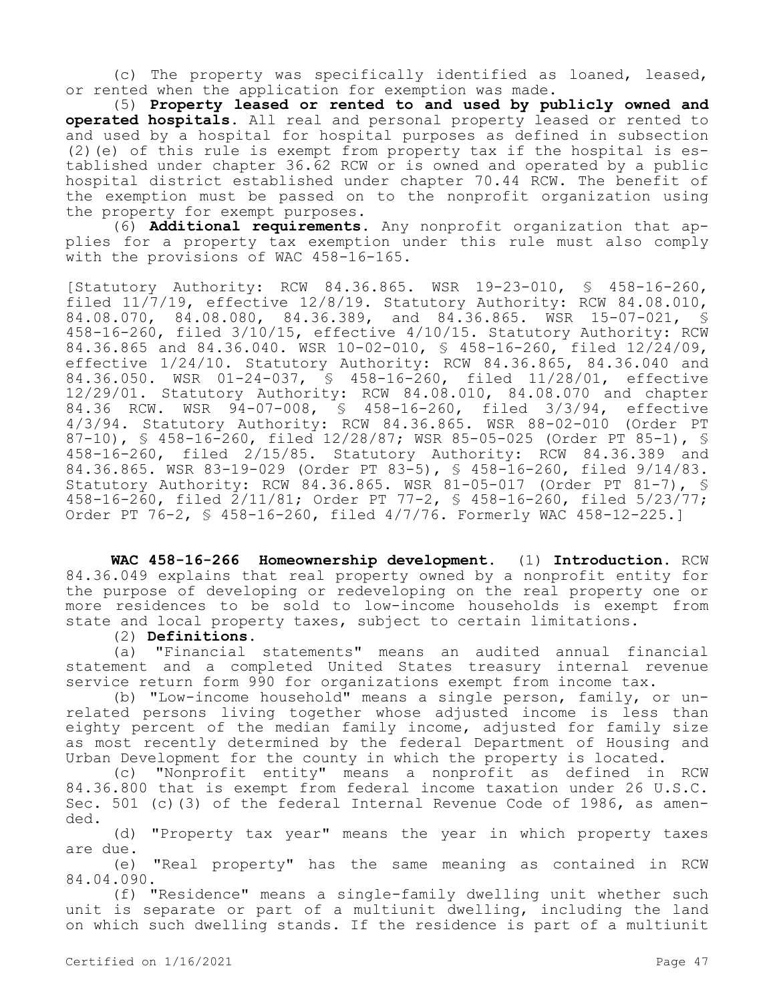(c) The property was specifically identified as loaned, leased, or rented when the application for exemption was made.

(5) **Property leased or rented to and used by publicly owned and operated hospitals.** All real and personal property leased or rented to and used by a hospital for hospital purposes as defined in subsection (2)(e) of this rule is exempt from property tax if the hospital is established under chapter 36.62 RCW or is owned and operated by a public hospital district established under chapter 70.44 RCW. The benefit of the exemption must be passed on to the nonprofit organization using the property for exempt purposes.

(6) **Additional requirements.** Any nonprofit organization that applies for a property tax exemption under this rule must also comply with the provisions of WAC 458-16-165.

[Statutory Authority: RCW 84.36.865. WSR 19-23-010, § 458-16-260, filed  $11/7/19$ , effective  $12/8/19$ . Statutory Authority: RCW 84.08.010, 84.08.070, 84.08.080, 84.36.389, and 84.36.865. WSR 15-07-021, § 458-16-260, filed 3/10/15, effective 4/10/15. Statutory Authority: RCW 84.36.865 and 84.36.040. WSR 10-02-010, § 458-16-260, filed 12/24/09, effective 1/24/10. Statutory Authority: RCW 84.36.865, 84.36.040 and 84.36.050. WSR 01-24-037, § 458-16-260, filed 11/28/01, effective 12/29/01. Statutory Authority: RCW 84.08.010, 84.08.070 and chapter 84.36 RCW. WSR 94-07-008, § 458-16-260, filed 3/3/94, effective 4/3/94. Statutory Authority: RCW 84.36.865. WSR 88-02-010 (Order PT 87-10), § 458-16-260, filed 12/28/87; WSR 85-05-025 (Order PT 85-1), § 458-16-260, filed 2/15/85. Statutory Authority: RCW 84.36.389 and 84.36.865. WSR 83-19-029 (Order PT 83-5), § 458-16-260, filed 9/14/83. Statutory Authority: RCW 84.36.865. WSR 81-05-017 (Order PT 81-7), § 458-16-260, filed 2/11/81; Order PT 77-2, § 458-16-260, filed 5/23/77; Order PT 76-2, § 458-16-260, filed 4/7/76. Formerly WAC 458-12-225.]

**WAC 458-16-266 Homeownership development.** (1) **Introduction.** RCW 84.36.049 explains that real property owned by a nonprofit entity for the purpose of developing or redeveloping on the real property one or more residences to be sold to low-income households is exempt from state and local property taxes, subject to certain limitations.

## (2) **Definitions.**

(a) "Financial statements" means an audited annual financial statement and a completed United States treasury internal revenue service return form 990 for organizations exempt from income tax.

(b) "Low-income household" means a single person, family, or unrelated persons living together whose adjusted income is less than eighty percent of the median family income, adjusted for family size as most recently determined by the federal Department of Housing and Urban Development for the county in which the property is located.

(c) "Nonprofit entity" means a nonprofit as defined in RCW 84.36.800 that is exempt from federal income taxation under 26 U.S.C. Sec. 501 (c)(3) of the federal Internal Revenue Code of 1986, as amended.

(d) "Property tax year" means the year in which property taxes are due.

(e) "Real property" has the same meaning as contained in RCW 84.04.090.

(f) "Residence" means a single-family dwelling unit whether such unit is separate or part of a multiunit dwelling, including the land on which such dwelling stands. If the residence is part of a multiunit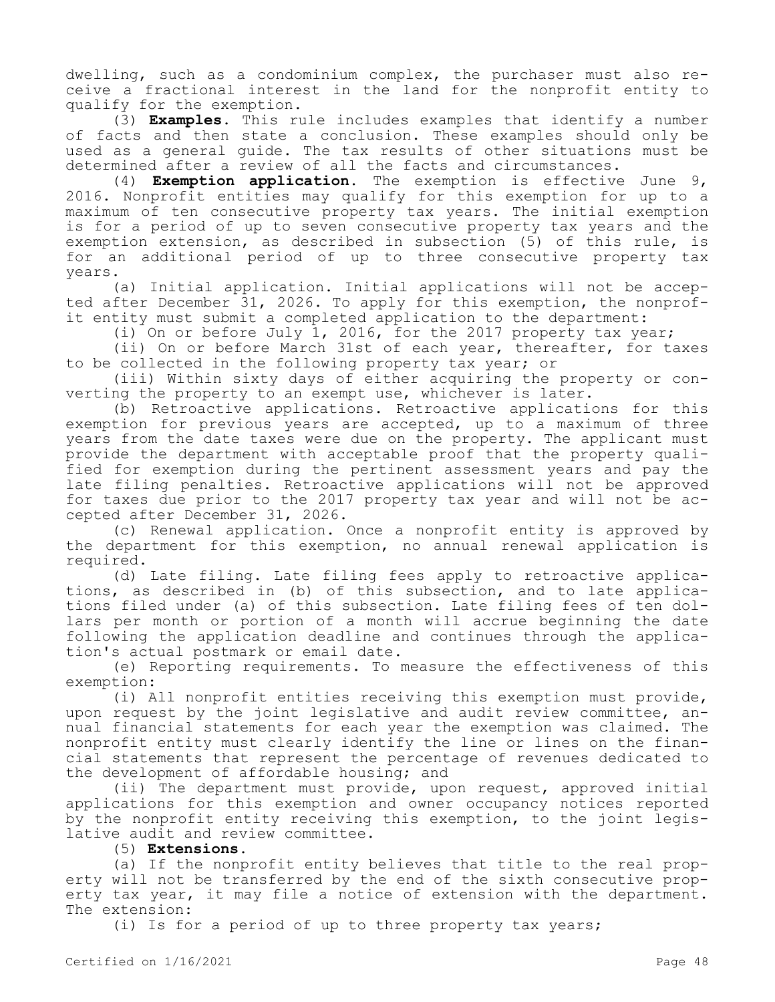dwelling, such as a condominium complex, the purchaser must also receive a fractional interest in the land for the nonprofit entity to qualify for the exemption.

(3) **Examples**. This rule includes examples that identify a number of facts and then state a conclusion. These examples should only be used as a general guide. The tax results of other situations must be determined after a review of all the facts and circumstances.

(4) **Exemption application.** The exemption is effective June 9, 2016. Nonprofit entities may qualify for this exemption for up to a maximum of ten consecutive property tax years. The initial exemption is for a period of up to seven consecutive property tax years and the exemption extension, as described in subsection (5) of this rule, is for an additional period of up to three consecutive property tax years.

(a) Initial application. Initial applications will not be accepted after December 31, 2026. To apply for this exemption, the nonprofit entity must submit a completed application to the department:

(i) On or before July 1, 2016, for the 2017 property tax year;

(ii) On or before March 31st of each year, thereafter, for taxes to be collected in the following property tax year; or

(iii) Within sixty days of either acquiring the property or converting the property to an exempt use, whichever is later.

(b) Retroactive applications. Retroactive applications for this exemption for previous years are accepted, up to a maximum of three years from the date taxes were due on the property. The applicant must provide the department with acceptable proof that the property qualified for exemption during the pertinent assessment years and pay the late filing penalties. Retroactive applications will not be approved for taxes due prior to the 2017 property tax year and will not be accepted after December 31, 2026.

(c) Renewal application. Once a nonprofit entity is approved by the department for this exemption, no annual renewal application is required.

(d) Late filing. Late filing fees apply to retroactive applications, as described in (b) of this subsection, and to late applications filed under (a) of this subsection. Late filing fees of ten dollars per month or portion of a month will accrue beginning the date following the application deadline and continues through the application's actual postmark or email date.

(e) Reporting requirements. To measure the effectiveness of this exemption:

(i) All nonprofit entities receiving this exemption must provide, upon request by the joint legislative and audit review committee, annual financial statements for each year the exemption was claimed. The nonprofit entity must clearly identify the line or lines on the financial statements that represent the percentage of revenues dedicated to the development of affordable housing; and

(ii) The department must provide, upon request, approved initial applications for this exemption and owner occupancy notices reported by the nonprofit entity receiving this exemption, to the joint legislative audit and review committee.

(5) **Extensions.**

(a) If the nonprofit entity believes that title to the real property will not be transferred by the end of the sixth consecutive property tax year, it may file a notice of extension with the department. The extension:

(i) Is for a period of up to three property tax years;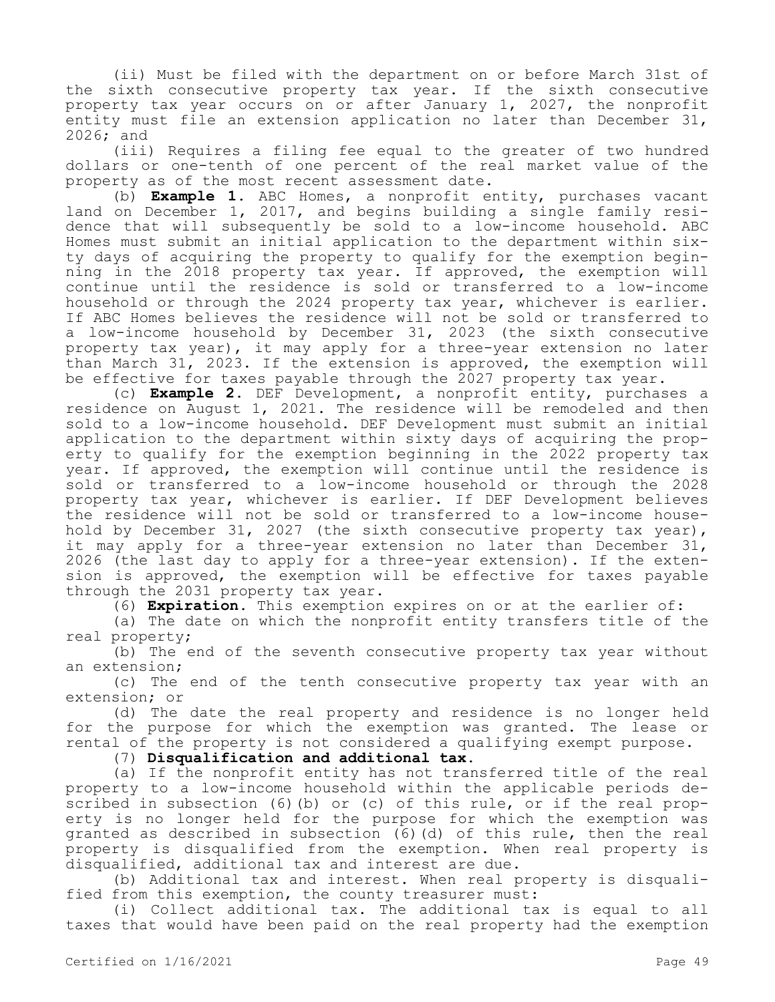(ii) Must be filed with the department on or before March 31st of the sixth consecutive property tax year. If the sixth consecutive property tax year occurs on or after January 1, 2027, the nonprofit entity must file an extension application no later than December 31, 2026; and

(iii) Requires a filing fee equal to the greater of two hundred dollars or one-tenth of one percent of the real market value of the property as of the most recent assessment date.

(b) **Example 1**. ABC Homes, a nonprofit entity, purchases vacant land on December 1, 2017, and begins building a single family residence that will subsequently be sold to a low-income household. ABC Homes must submit an initial application to the department within sixty days of acquiring the property to qualify for the exemption beginning in the 2018 property tax year. If approved, the exemption will continue until the residence is sold or transferred to a low-income household or through the 2024 property tax year, whichever is earlier. If ABC Homes believes the residence will not be sold or transferred to a low-income household by December 31, 2023 (the sixth consecutive property tax year), it may apply for a three-year extension no later than March 31, 2023. If the extension is approved, the exemption will be effective for taxes payable through the 2027 property tax year.

(c) **Example 2.** DEF Development, a nonprofit entity, purchases a residence on August 1, 2021. The residence will be remodeled and then sold to a low-income household. DEF Development must submit an initial application to the department within sixty days of acquiring the property to qualify for the exemption beginning in the 2022 property tax year. If approved, the exemption will continue until the residence is sold or transferred to a low-income household or through the 2028 property tax year, whichever is earlier. If DEF Development believes the residence will not be sold or transferred to a low-income household by December 31, 2027 (the sixth consecutive property tax year), it may apply for a three-year extension no later than December 31, 2026 (the last day to apply for a three-year extension). If the extension is approved, the exemption will be effective for taxes payable through the 2031 property tax year.

(6) **Expiration.** This exemption expires on or at the earlier of:

(a) The date on which the nonprofit entity transfers title of the real property;

(b) The end of the seventh consecutive property tax year without an extension;

(c) The end of the tenth consecutive property tax year with an extension; or

(d) The date the real property and residence is no longer held for the purpose for which the exemption was granted. The lease or rental of the property is not considered a qualifying exempt purpose.

(7) **Disqualification and additional tax.**

(a) If the nonprofit entity has not transferred title of the real property to a low-income household within the applicable periods described in subsection (6)(b) or (c) of this rule, or if the real property is no longer held for the purpose for which the exemption was granted as described in subsection (6)(d) of this rule, then the real property is disqualified from the exemption. When real property is disqualified, additional tax and interest are due.

(b) Additional tax and interest. When real property is disqualified from this exemption, the county treasurer must:

(i) Collect additional tax. The additional tax is equal to all taxes that would have been paid on the real property had the exemption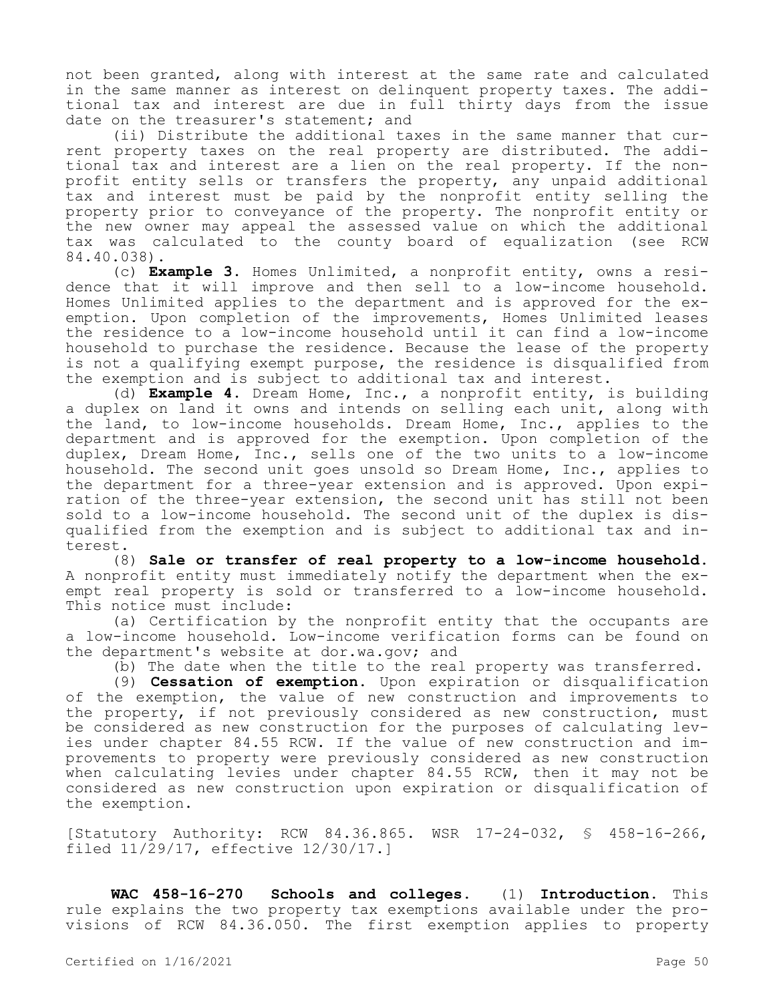not been granted, along with interest at the same rate and calculated in the same manner as interest on delinquent property taxes. The additional tax and interest are due in full thirty days from the issue date on the treasurer's statement; and

(ii) Distribute the additional taxes in the same manner that current property taxes on the real property are distributed. The additional tax and interest are a lien on the real property. If the nonprofit entity sells or transfers the property, any unpaid additional tax and interest must be paid by the nonprofit entity selling the property prior to conveyance of the property. The nonprofit entity or the new owner may appeal the assessed value on which the additional tax was calculated to the county board of equalization (see RCW 84.40.038).

(c) **Example 3**. Homes Unlimited, a nonprofit entity, owns a residence that it will improve and then sell to a low-income household. Homes Unlimited applies to the department and is approved for the exemption. Upon completion of the improvements, Homes Unlimited leases the residence to a low-income household until it can find a low-income household to purchase the residence. Because the lease of the property is not a qualifying exempt purpose, the residence is disqualified from the exemption and is subject to additional tax and interest.

(d) **Example 4**. Dream Home, Inc., a nonprofit entity, is building a duplex on land it owns and intends on selling each unit, along with the land, to low-income households. Dream Home, Inc., applies to the department and is approved for the exemption. Upon completion of the duplex, Dream Home, Inc., sells one of the two units to a low-income household. The second unit goes unsold so Dream Home, Inc., applies to the department for a three-year extension and is approved. Upon expiration of the three-year extension, the second unit has still not been sold to a low-income household. The second unit of the duplex is disqualified from the exemption and is subject to additional tax and interest.

(8) **Sale or transfer of real property to a low-income household**. A nonprofit entity must immediately notify the department when the exempt real property is sold or transferred to a low-income household. This notice must include:

(a) Certification by the nonprofit entity that the occupants are a low-income household. Low-income verification forms can be found on the department's website at dor.wa.gov; and

(b) The date when the title to the real property was transferred.

(9) **Cessation of exemption**. Upon expiration or disqualification of the exemption, the value of new construction and improvements to the property, if not previously considered as new construction, must be considered as new construction for the purposes of calculating levies under chapter 84.55 RCW. If the value of new construction and improvements to property were previously considered as new construction when calculating levies under chapter 84.55 RCW, then it may not be considered as new construction upon expiration or disqualification of the exemption.

[Statutory Authority: RCW 84.36.865. WSR 17-24-032, § 458-16-266, filed 11/29/17, effective 12/30/17.]

**WAC 458-16-270 Schools and colleges.** (1) **Introduction.** This rule explains the two property tax exemptions available under the provisions of RCW 84.36.050. The first exemption applies to property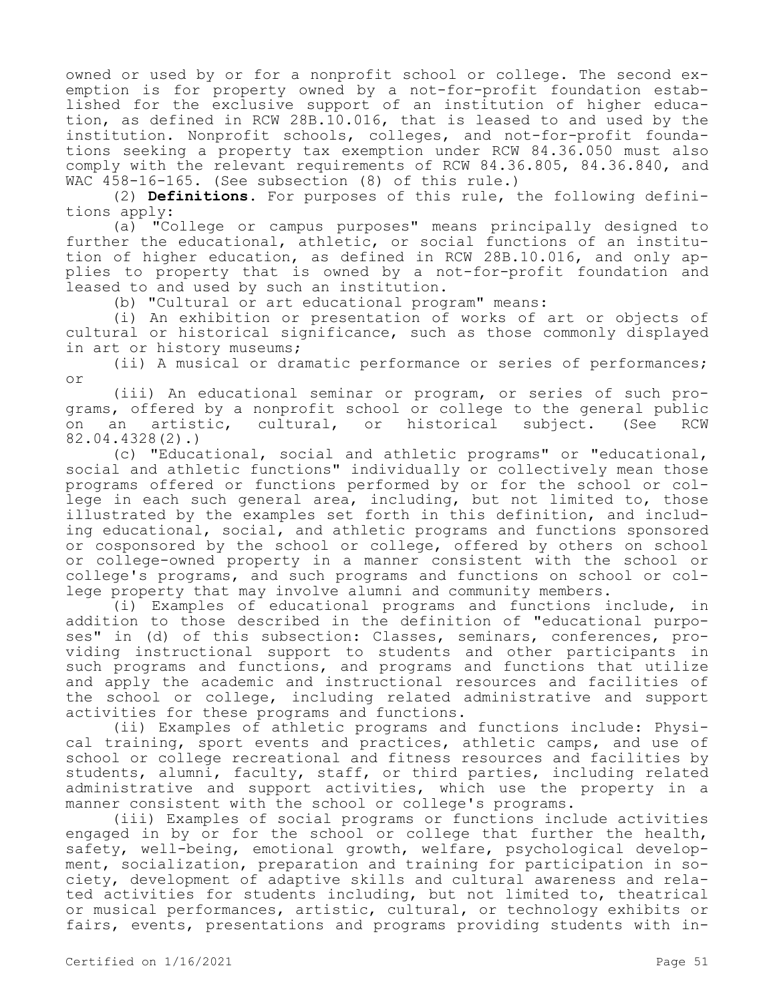owned or used by or for a nonprofit school or college. The second exemption is for property owned by a not-for-profit foundation established for the exclusive support of an institution of higher education, as defined in RCW 28B.10.016, that is leased to and used by the institution. Nonprofit schools, colleges, and not-for-profit foundations seeking a property tax exemption under RCW 84.36.050 must also comply with the relevant requirements of RCW 84.36.805, 84.36.840, and WAC 458-16-165. (See subsection (8) of this rule.)

(2) **Definitions.** For purposes of this rule, the following definitions apply:

(a) "College or campus purposes" means principally designed to further the educational, athletic, or social functions of an institution of higher education, as defined in RCW 28B.10.016, and only applies to property that is owned by a not-for-profit foundation and pites to proporty that an institution.

(b) "Cultural or art educational program" means:

(i) An exhibition or presentation of works of art or objects of cultural or historical significance, such as those commonly displayed in art or history museums;

(ii) A musical or dramatic performance or series of performances; or

(iii) An educational seminar or program, or series of such programs, offered by a nonprofit school or college to the general public on an artistic, cultural, or historical subject. (See RCW 82.04.4328(2).)

(c) "Educational, social and athletic programs" or "educational, social and athletic functions" individually or collectively mean those programs offered or functions performed by or for the school or college in each such general area, including, but not limited to, those illustrated by the examples set forth in this definition, and including educational, social, and athletic programs and functions sponsored or cosponsored by the school or college, offered by others on school or college-owned property in a manner consistent with the school or college's programs, and such programs and functions on school or college property that may involve alumni and community members.

(i) Examples of educational programs and functions include, in addition to those described in the definition of "educational purposes" in (d) of this subsection: Classes, seminars, conferences, providing instructional support to students and other participants in such programs and functions, and programs and functions that utilize and apply the academic and instructional resources and facilities of the school or college, including related administrative and support activities for these programs and functions.

(ii) Examples of athletic programs and functions include: Physical training, sport events and practices, athletic camps, and use of school or college recreational and fitness resources and facilities by students, alumni, faculty, staff, or third parties, including related administrative and support activities, which use the property in a manner consistent with the school or college's programs.

(iii) Examples of social programs or functions include activities engaged in by or for the school or college that further the health, safety, well-being, emotional growth, welfare, psychological development, socialization, preparation and training for participation in society, development of adaptive skills and cultural awareness and related activities for students including, but not limited to, theatrical or musical performances, artistic, cultural, or technology exhibits or fairs, events, presentations and programs providing students with in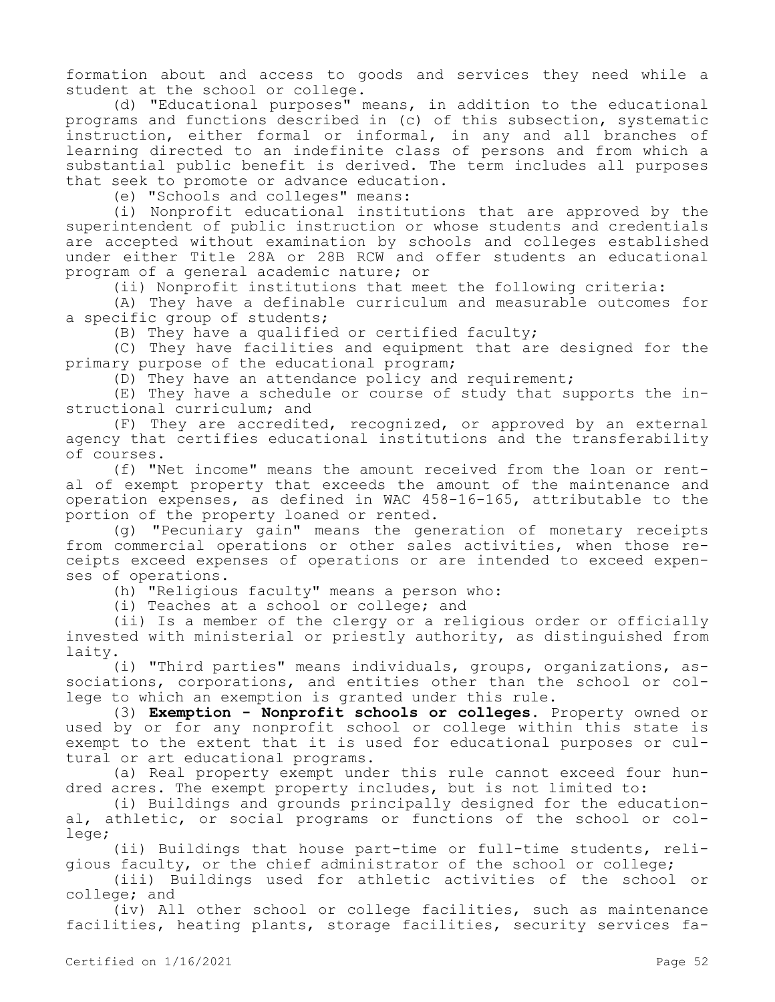formation about and access to goods and services they need while a student at the school or college.

(d) "Educational purposes" means, in addition to the educational programs and functions described in (c) of this subsection, systematic instruction, either formal or informal, in any and all branches of learning directed to an indefinite class of persons and from which a substantial public benefit is derived. The term includes all purposes that seek to promote or advance education.

(e) "Schools and colleges" means:

(i) Nonprofit educational institutions that are approved by the superintendent of public instruction or whose students and credentials are accepted without examination by schools and colleges established under either Title 28A or 28B RCW and offer students an educational program of a general academic nature; or

(ii) Nonprofit institutions that meet the following criteria:

(A) They have a definable curriculum and measurable outcomes for a specific group of students;

(B) They have a qualified or certified faculty;

(C) They have facilities and equipment that are designed for the primary purpose of the educational program;

(D) They have an attendance policy and requirement;

(E) They have a schedule or course of study that supports the instructional curriculum; and

(F) They are accredited, recognized, or approved by an external agency that certifies educational institutions and the transferability of courses.

(f) "Net income" means the amount received from the loan or rental of exempt property that exceeds the amount of the maintenance and operation expenses, as defined in WAC 458-16-165, attributable to the portion of the property loaned or rented.

(g) "Pecuniary gain" means the generation of monetary receipts from commercial operations or other sales activities, when those receipts exceed expenses of operations or are intended to exceed expenses of operations.

(h) "Religious faculty" means a person who:

(i) Teaches at a school or college; and

(ii) Is a member of the clergy or a religious order or officially invested with ministerial or priestly authority, as distinguished from laity.

(i) "Third parties" means individuals, groups, organizations, associations, corporations, and entities other than the school or college to which an exemption is granted under this rule.

(3) **Exemption - Nonprofit schools or colleges.** Property owned or used by or for any nonprofit school or college within this state is exempt to the extent that it is used for educational purposes or cultural or art educational programs.

(a) Real property exempt under this rule cannot exceed four hundred acres. The exempt property includes, but is not limited to:

(i) Buildings and grounds principally designed for the educational, athletic, or social programs or functions of the school or college;

(ii) Buildings that house part-time or full-time students, religious faculty, or the chief administrator of the school or college;

(iii) Buildings used for athletic activities of the school or college; and

(iv) All other school or college facilities, such as maintenance facilities, heating plants, storage facilities, security services fa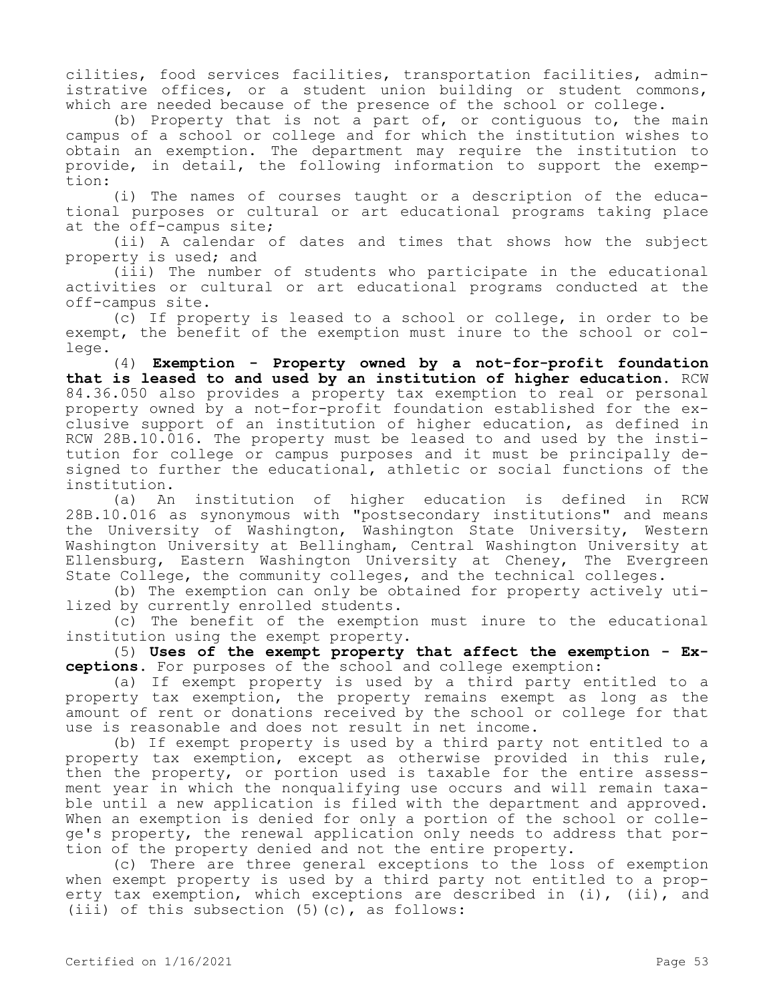cilities, food services facilities, transportation facilities, administrative offices, or a student union building or student commons, which are needed because of the presence of the school or college.

(b) Property that is not a part of, or contiguous to, the main campus of a school or college and for which the institution wishes to obtain an exemption. The department may require the institution to provide, in detail, the following information to support the exemption:

(i) The names of courses taught or a description of the educational purposes or cultural or art educational programs taking place at the off-campus site;

(ii) A calendar of dates and times that shows how the subject property is used; and

(iii) The number of students who participate in the educational activities or cultural or art educational programs conducted at the off-campus site.

(c) If property is leased to a school or college, in order to be exempt, the benefit of the exemption must inure to the school or college.

(4) **Exemption - Property owned by a not-for-profit foundation that is leased to and used by an institution of higher education.** RCW 84.36.050 also provides a property tax exemption to real or personal property owned by a not-for-profit foundation established for the exclusive support of an institution of higher education, as defined in RCW 28B.10.016. The property must be leased to and used by the institution for college or campus purposes and it must be principally designed to further the educational, athletic or social functions of the institution.

(a) An institution of higher education is defined in RCW 28B.10.016 as synonymous with "postsecondary institutions" and means the University of Washington, Washington State University, Western Washington University at Bellingham, Central Washington University at Ellensburg, Eastern Washington University at Cheney, The Evergreen State College, the community colleges, and the technical colleges.

(b) The exemption can only be obtained for property actively utilized by currently enrolled students.

(c) The benefit of the exemption must inure to the educational institution using the exempt property.

(5) **Uses of the exempt property that affect the exemption - Exceptions.** For purposes of the school and college exemption:

(a) If exempt property is used by a third party entitled to a property tax exemption, the property remains exempt as long as the amount of rent or donations received by the school or college for that use is reasonable and does not result in net income.

(b) If exempt property is used by a third party not entitled to a property tax exemption, except as otherwise provided in this rule, then the property, or portion used is taxable for the entire assessment year in which the nonqualifying use occurs and will remain taxable until a new application is filed with the department and approved. When an exemption is denied for only a portion of the school or college's property, the renewal application only needs to address that portion of the property denied and not the entire property.

(c) There are three general exceptions to the loss of exemption when exempt property is used by a third party not entitled to a property tax exemption, which exceptions are described in (i), (ii), and (iii) of this subsection  $(5)(c)$ , as follows: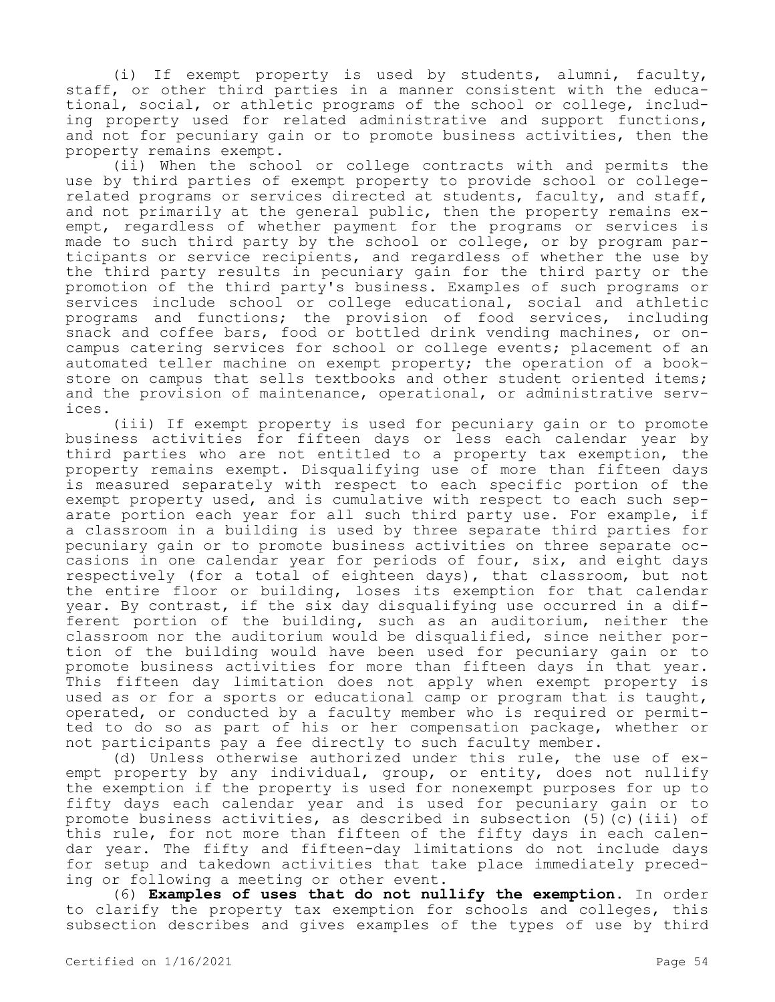(i) If exempt property is used by students, alumni, faculty, staff, or other third parties in a manner consistent with the educational, social, or athletic programs of the school or college, including property used for related administrative and support functions, and not for pecuniary gain or to promote business activities, then the property remains exempt.

(ii) When the school or college contracts with and permits the use by third parties of exempt property to provide school or collegerelated programs or services directed at students, faculty, and staff, and not primarily at the general public, then the property remains exempt, regardless of whether payment for the programs or services is made to such third party by the school or college, or by program participants or service recipients, and regardless of whether the use by the third party results in pecuniary gain for the third party or the promotion of the third party's business. Examples of such programs or services include school or college educational, social and athletic programs and functions; the provision of food services, including snack and coffee bars, food or bottled drink vending machines, or oncampus catering services for school or college events; placement of an automated teller machine on exempt property; the operation of a bookstore on campus that sells textbooks and other student oriented items; and the provision of maintenance, operational, or administrative services.

(iii) If exempt property is used for pecuniary gain or to promote business activities for fifteen days or less each calendar year by third parties who are not entitled to a property tax exemption, the property remains exempt. Disqualifying use of more than fifteen days is measured separately with respect to each specific portion of the exempt property used, and is cumulative with respect to each such separate portion each year for all such third party use. For example, if a classroom in a building is used by three separate third parties for pecuniary gain or to promote business activities on three separate occasions in one calendar year for periods of four, six, and eight days respectively (for a total of eighteen days), that classroom, but not the entire floor or building, loses its exemption for that calendar year. By contrast, if the six day disqualifying use occurred in a different portion of the building, such as an auditorium, neither the classroom nor the auditorium would be disqualified, since neither portion of the building would have been used for pecuniary gain or to promote business activities for more than fifteen days in that year. This fifteen day limitation does not apply when exempt property is used as or for a sports or educational camp or program that is taught, operated, or conducted by a faculty member who is required or permitted to do so as part of his or her compensation package, whether or not participants pay a fee directly to such faculty member.

(d) Unless otherwise authorized under this rule, the use of exempt property by any individual, group, or entity, does not nullify the exemption if the property is used for nonexempt purposes for up to fifty days each calendar year and is used for pecuniary gain or to promote business activities, as described in subsection (5)(c)(iii) of this rule, for not more than fifteen of the fifty days in each calendar year. The fifty and fifteen-day limitations do not include days for setup and takedown activities that take place immediately preceding or following a meeting or other event.

(6) **Examples of uses that do not nullify the exemption.** In order to clarify the property tax exemption for schools and colleges, this subsection describes and gives examples of the types of use by third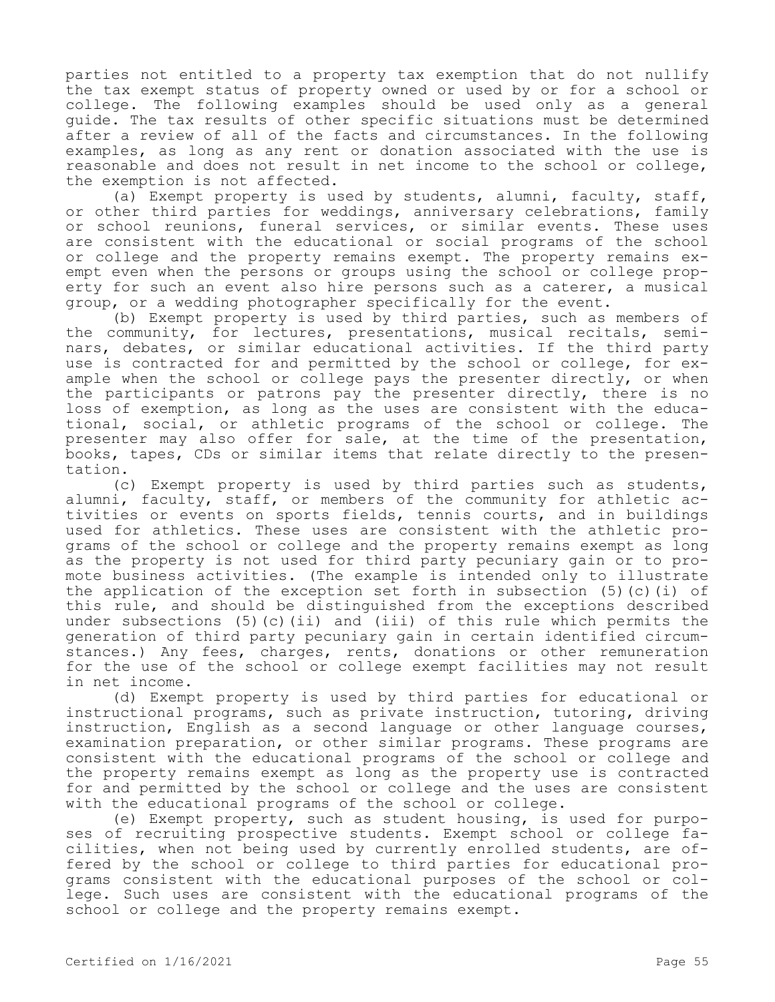parties not entitled to a property tax exemption that do not nullify the tax exempt status of property owned or used by or for a school or college. The following examples should be used only as a general guide. The tax results of other specific situations must be determined after a review of all of the facts and circumstances. In the following examples, as long as any rent or donation associated with the use is reasonable and does not result in net income to the school or college, the exemption is not affected.

(a) Exempt property is used by students, alumni, faculty, staff, or other third parties for weddings, anniversary celebrations, family or school reunions, funeral services, or similar events. These uses are consistent with the educational or social programs of the school or college and the property remains exempt. The property remains exempt even when the persons or groups using the school or college property for such an event also hire persons such as a caterer, a musical group, or a wedding photographer specifically for the event.

(b) Exempt property is used by third parties, such as members of the community, for lectures, presentations, musical recitals, seminars, debates, or similar educational activities. If the third party use is contracted for and permitted by the school or college, for example when the school or college pays the presenter directly, or when the participants or patrons pay the presenter directly, there is no loss of exemption, as long as the uses are consistent with the educational, social, or athletic programs of the school or college. The presenter may also offer for sale, at the time of the presentation, books, tapes, CDs or similar items that relate directly to the presentation.

(c) Exempt property is used by third parties such as students, alumni, faculty, staff, or members of the community for athletic activities or events on sports fields, tennis courts, and in buildings used for athletics. These uses are consistent with the athletic programs of the school or college and the property remains exempt as long as the property is not used for third party pecuniary gain or to promote business activities. (The example is intended only to illustrate the application of the exception set forth in subsection  $(5)(c)(i)$  of this rule, and should be distinguished from the exceptions described under subsections  $(5)(c)(ii)$  and  $(iii)$  of this rule which permits the generation of third party pecuniary gain in certain identified circumstances.) Any fees, charges, rents, donations or other remuneration for the use of the school or college exempt facilities may not result in net income.

(d) Exempt property is used by third parties for educational or instructional programs, such as private instruction, tutoring, driving instruction, English as a second language or other language courses, examination preparation, or other similar programs. These programs are consistent with the educational programs of the school or college and the property remains exempt as long as the property use is contracted for and permitted by the school or college and the uses are consistent with the educational programs of the school or college.

(e) Exempt property, such as student housing, is used for purposes of recruiting prospective students. Exempt school or college facilities, when not being used by currently enrolled students, are offered by the school or college to third parties for educational programs consistent with the educational purposes of the school or college. Such uses are consistent with the educational programs of the school or college and the property remains exempt.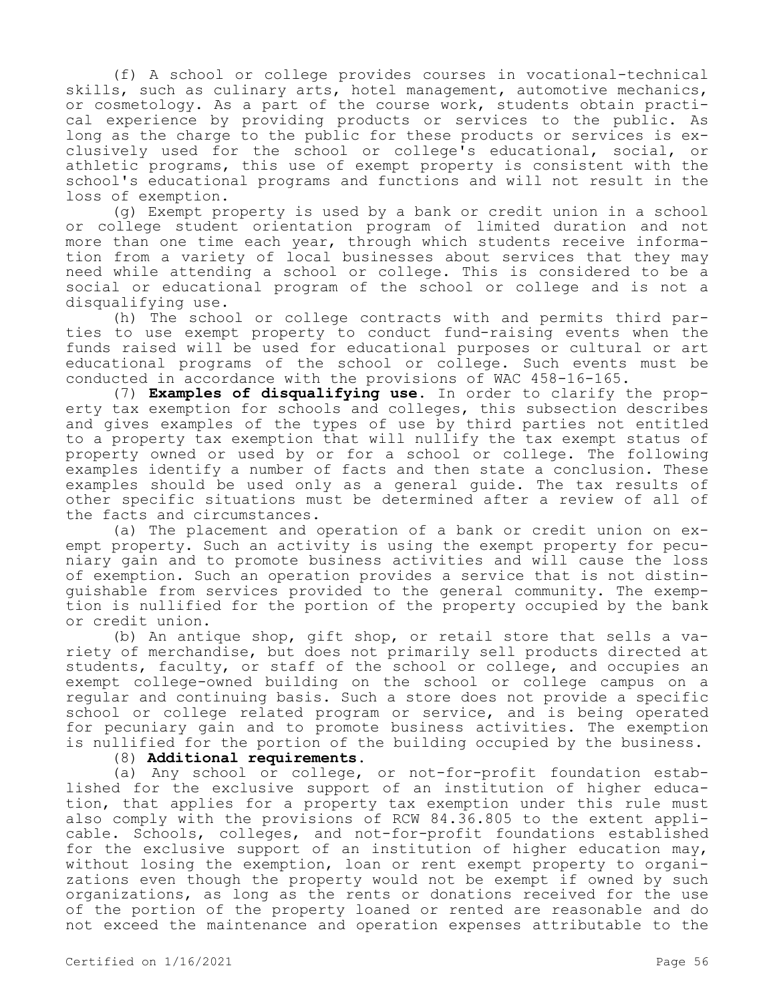(f) A school or college provides courses in vocational-technical skills, such as culinary arts, hotel management, automotive mechanics, or cosmetology. As a part of the course work, students obtain practical experience by providing products or services to the public. As long as the charge to the public for these products or services is exclusively used for the school or college's educational, social, or athletic programs, this use of exempt property is consistent with the school's educational programs and functions and will not result in the loss of exemption.

(g) Exempt property is used by a bank or credit union in a school or college student orientation program of limited duration and not more than one time each year, through which students receive information from a variety of local businesses about services that they may need while attending a school or college. This is considered to be a social or educational program of the school or college and is not a disqualifying use.

(h) The school or college contracts with and permits third parties to use exempt property to conduct fund-raising events when the funds raised will be used for educational purposes or cultural or art educational programs of the school or college. Such events must be conducted in accordance with the provisions of WAC 458-16-165.

(7) **Examples of disqualifying use.** In order to clarify the property tax exemption for schools and colleges, this subsection describes and gives examples of the types of use by third parties not entitled to a property tax exemption that will nullify the tax exempt status of property owned or used by or for a school or college. The following examples identify a number of facts and then state a conclusion. These examples should be used only as a general guide. The tax results of other specific situations must be determined after a review of all of the facts and circumstances.

(a) The placement and operation of a bank or credit union on exempt property. Such an activity is using the exempt property for pecuniary gain and to promote business activities and will cause the loss of exemption. Such an operation provides a service that is not distinguishable from services provided to the general community. The exemption is nullified for the portion of the property occupied by the bank or credit union.

(b) An antique shop, gift shop, or retail store that sells a variety of merchandise, but does not primarily sell products directed at students, faculty, or staff of the school or college, and occupies an exempt college-owned building on the school or college campus on a regular and continuing basis. Such a store does not provide a specific school or college related program or service, and is being operated for pecuniary gain and to promote business activities. The exemption is nullified for the portion of the building occupied by the business.

## (8) **Additional requirements.**

(a) Any school or college, or not-for-profit foundation established for the exclusive support of an institution of higher education, that applies for a property tax exemption under this rule must also comply with the provisions of RCW 84.36.805 to the extent applicable. Schools, colleges, and not-for-profit foundations established for the exclusive support of an institution of higher education may, without losing the exemption, loan or rent exempt property to organizations even though the property would not be exempt if owned by such organizations, as long as the rents or donations received for the use of the portion of the property loaned or rented are reasonable and do not exceed the maintenance and operation expenses attributable to the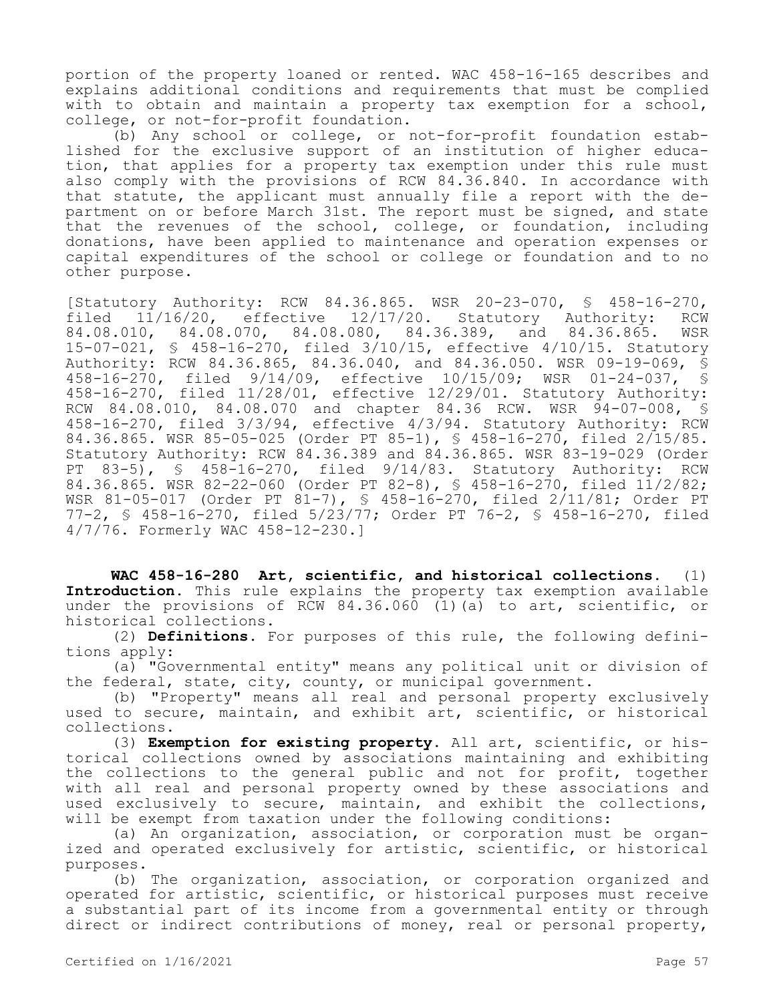portion of the property loaned or rented. WAC 458-16-165 describes and explains additional conditions and requirements that must be complied with to obtain and maintain a property tax exemption for a school, college, or not-for-profit foundation.

(b) Any school or college, or not-for-profit foundation established for the exclusive support of an institution of higher education, that applies for a property tax exemption under this rule must also comply with the provisions of RCW 84.36.840. In accordance with that statute, the applicant must annually file a report with the department on or before March 31st. The report must be signed, and state that the revenues of the school, college, or foundation, including donations, have been applied to maintenance and operation expenses or capital expenditures of the school or college or foundation and to no other purpose.

[Statutory Authority: RCW 84.36.865. WSR 20-23-070, § 458-16-270, filed 11/16/20, effective 12/17/20. Statutory Authority: RCW 84.08.010, 84.08.070, 84.08.080, 84.36.389, and 84.36.865. WSR 15-07-021, § 458-16-270, filed 3/10/15, effective 4/10/15. Statutory Authority: RCW 84.36.865, 84.36.040, and 84.36.050. WSR 09-19-069, § 458-16-270, filed 9/14/09, effective 10/15/09; WSR 01-24-037, § 458-16-270, filed 11/28/01, effective 12/29/01. Statutory Authority: RCW 84.08.010, 84.08.070 and chapter 84.36 RCW. WSR 94-07-008, § 458-16-270, filed 3/3/94, effective 4/3/94. Statutory Authority: RCW 84.36.865. WSR 85-05-025 (Order PT 85-1), § 458-16-270, filed 2/15/85. Statutory Authority: RCW 84.36.389 and 84.36.865. WSR 83-19-029 (Order PT 83-5), § 458-16-270, filed 9/14/83. Statutory Authority: RCW 84.36.865. WSR 82-22-060 (Order PT 82-8), § 458-16-270, filed 11/2/82; WSR 81-05-017 (Order PT 81-7), § 458-16-270, filed 2/11/81; Order PT 77-2, § 458-16-270, filed 5/23/77; Order PT 76-2, § 458-16-270, filed 4/7/76. Formerly WAC 458-12-230.]

**WAC 458-16-280 Art, scientific, and historical collections.** (1) **Introduction.** This rule explains the property tax exemption available under the provisions of RCW 84.36.060 (1)(a) to art, scientific, or historical collections.

(2) **Definitions.** For purposes of this rule, the following definitions apply:

(a) "Governmental entity" means any political unit or division of the federal, state, city, county, or municipal government.

(b) "Property" means all real and personal property exclusively used to secure, maintain, and exhibit art, scientific, or historical collections.

(3) **Exemption for existing property.** All art, scientific, or historical collections owned by associations maintaining and exhibiting the collections to the general public and not for profit, together with all real and personal property owned by these associations and used exclusively to secure, maintain, and exhibit the collections, will be exempt from taxation under the following conditions:

(a) An organization, association, or corporation must be organized and operated exclusively for artistic, scientific, or historical purposes.

(b) The organization, association, or corporation organized and operated for artistic, scientific, or historical purposes must receive a substantial part of its income from a governmental entity or through direct or indirect contributions of money, real or personal property,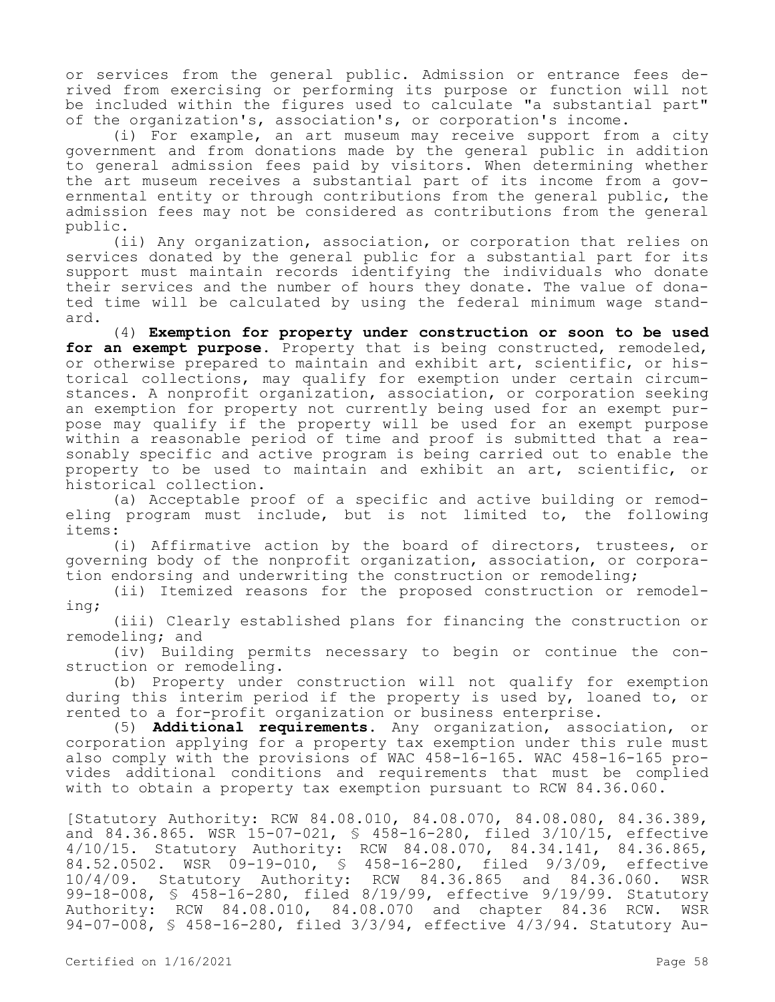or services from the general public. Admission or entrance fees derived from exercising or performing its purpose or function will not be included within the figures used to calculate "a substantial part" of the organization's, association's, or corporation's income.

(i) For example, an art museum may receive support from a city government and from donations made by the general public in addition to general admission fees paid by visitors. When determining whether the art museum receives a substantial part of its income from a governmental entity or through contributions from the general public, the admission fees may not be considered as contributions from the general public.

(ii) Any organization, association, or corporation that relies on services donated by the general public for a substantial part for its support must maintain records identifying the individuals who donate their services and the number of hours they donate. The value of donated time will be calculated by using the federal minimum wage standard.

(4) **Exemption for property under construction or soon to be used**  for an exempt purpose. Property that is being constructed, remodeled, or otherwise prepared to maintain and exhibit art, scientific, or historical collections, may qualify for exemption under certain circumstances. A nonprofit organization, association, or corporation seeking an exemption for property not currently being used for an exempt purpose may qualify if the property will be used for an exempt purpose within a reasonable period of time and proof is submitted that a reasonably specific and active program is being carried out to enable the property to be used to maintain and exhibit an art, scientific, or historical collection.

(a) Acceptable proof of a specific and active building or remodeling program must include, but is not limited to, the following items:

(i) Affirmative action by the board of directors, trustees, or governing body of the nonprofit organization, association, or corporation endorsing and underwriting the construction or remodeling;

(ii) Itemized reasons for the proposed construction or remodeling;

(iii) Clearly established plans for financing the construction or remodeling; and

(iv) Building permits necessary to begin or continue the construction or remodeling.

(b) Property under construction will not qualify for exemption during this interim period if the property is used by, loaned to, or rented to a for-profit organization or business enterprise.

(5) **Additional requirements.** Any organization, association, or corporation applying for a property tax exemption under this rule must also comply with the provisions of WAC 458-16-165. WAC 458-16-165 provides additional conditions and requirements that must be complied with to obtain a property tax exemption pursuant to RCW 84.36.060.

[Statutory Authority: RCW 84.08.010, 84.08.070, 84.08.080, 84.36.389, and 84.36.865. WSR 15-07-021, § 458-16-280, filed 3/10/15, effective 4/10/15. Statutory Authority: RCW 84.08.070, 84.34.141, 84.36.865, 84.52.0502. WSR 09-19-010, § 458-16-280, filed 9/3/09, effective 10/4/09. Statutory Authority: RCW 84.36.865 and 84.36.060. WSR 99-18-008, § 458-16-280, filed 8/19/99, effective 9/19/99. Statutory Authority: RCW 84.08.010, 84.08.070 and chapter 84.36 RCW. WSR 94-07-008, § 458-16-280, filed 3/3/94, effective 4/3/94. Statutory Au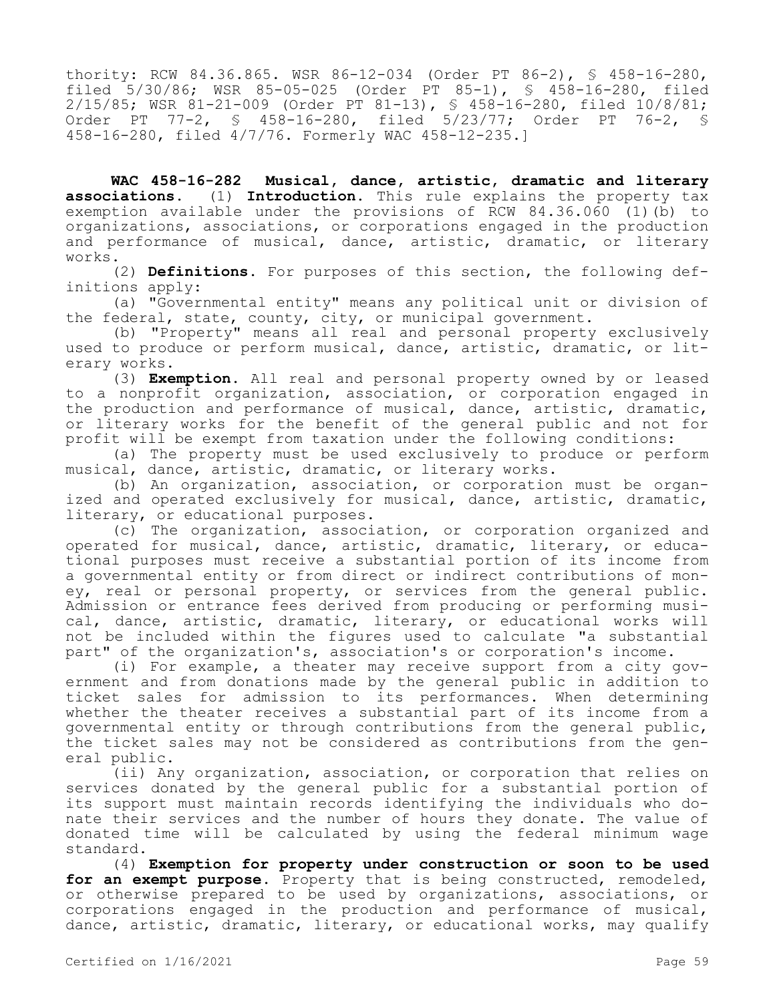thority: RCW 84.36.865. WSR 86-12-034 (Order PT 86-2), § 458-16-280, filed 5/30/86; WSR 85-05-025 (Order PT 85-1), § 458-16-280, filed 2/15/85; WSR 81-21-009 (Order PT 81-13), § 458-16-280, filed 10/8/81; Order PT 77-2, § 458-16-280, filed 5/23/77; Order PT 76-2, § 458-16-280, filed 4/7/76. Formerly WAC 458-12-235.]

**WAC 458-16-282 Musical, dance, artistic, dramatic and literary associations.** (1) **Introduction.** This rule explains the property tax exemption available under the provisions of RCW 84.36.060 (1)(b) to organizations, associations, or corporations engaged in the production and performance of musical, dance, artistic, dramatic, or literary works.

(2) **Definitions.** For purposes of this section, the following definitions apply:

(a) "Governmental entity" means any political unit or division of the federal, state, county, city, or municipal government.

(b) "Property" means all real and personal property exclusively used to produce or perform musical, dance, artistic, dramatic, or literary works.

(3) **Exemption.** All real and personal property owned by or leased to a nonprofit organization, association, or corporation engaged in the production and performance of musical, dance, artistic, dramatic, or literary works for the benefit of the general public and not for profit will be exempt from taxation under the following conditions:

(a) The property must be used exclusively to produce or perform musical, dance, artistic, dramatic, or literary works.

(b) An organization, association, or corporation must be organized and operated exclusively for musical, dance, artistic, dramatic, literary, or educational purposes.

(c) The organization, association, or corporation organized and operated for musical, dance, artistic, dramatic, literary, or educational purposes must receive a substantial portion of its income from a governmental entity or from direct or indirect contributions of money, real or personal property, or services from the general public. Admission or entrance fees derived from producing or performing musical, dance, artistic, dramatic, literary, or educational works will not be included within the figures used to calculate "a substantial part" of the organization's, association's or corporation's income.

(i) For example, a theater may receive support from a city government and from donations made by the general public in addition to ticket sales for admission to its performances. When determining whether the theater receives a substantial part of its income from a governmental entity or through contributions from the general public, the ticket sales may not be considered as contributions from the general public.

(ii) Any organization, association, or corporation that relies on services donated by the general public for a substantial portion of its support must maintain records identifying the individuals who donate their services and the number of hours they donate. The value of donated time will be calculated by using the federal minimum wage standard.

(4) **Exemption for property under construction or soon to be used**  for an exempt purpose. Property that is being constructed, remodeled, or otherwise prepared to be used by organizations, associations, or corporations engaged in the production and performance of musical, dance, artistic, dramatic, literary, or educational works, may qualify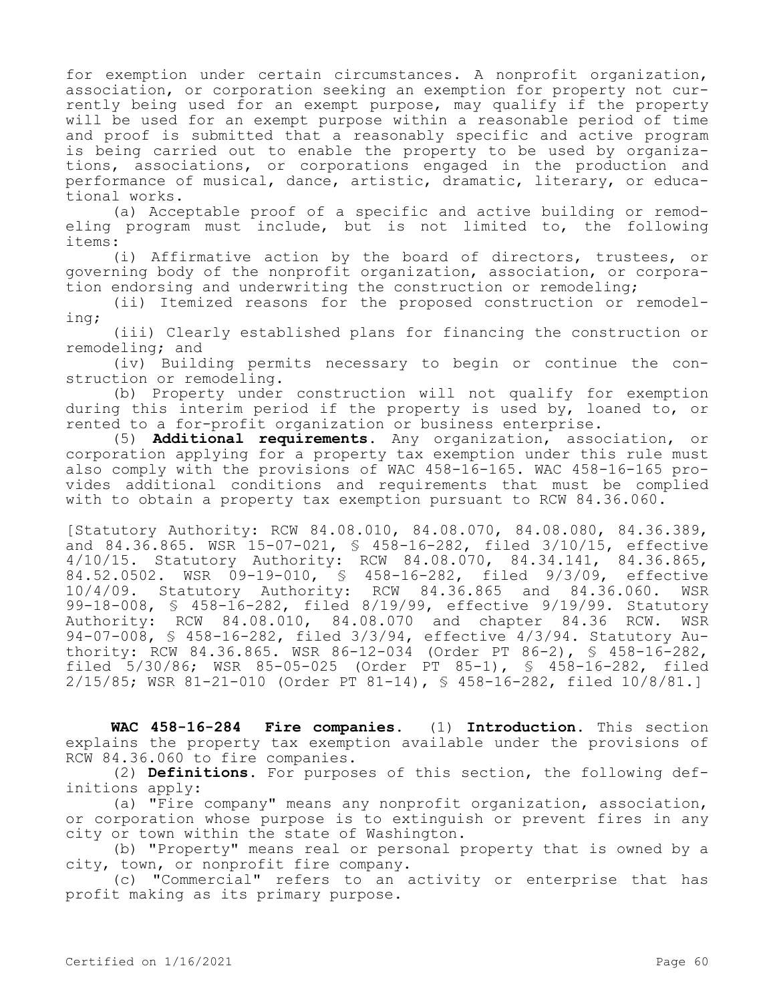for exemption under certain circumstances. A nonprofit organization, association, or corporation seeking an exemption for property not currently being used for an exempt purpose, may qualify if the property will be used for an exempt purpose within a reasonable period of time and proof is submitted that a reasonably specific and active program is being carried out to enable the property to be used by organizations, associations, or corporations engaged in the production and performance of musical, dance, artistic, dramatic, literary, or educational works.

(a) Acceptable proof of a specific and active building or remodeling program must include, but is not limited to, the following items:

(i) Affirmative action by the board of directors, trustees, or governing body of the nonprofit organization, association, or corporation endorsing and underwriting the construction or remodeling;

(ii) Itemized reasons for the proposed construction or remodeling;

(iii) Clearly established plans for financing the construction or remodeling; and

(iv) Building permits necessary to begin or continue the construction or remodeling.

(b) Property under construction will not qualify for exemption during this interim period if the property is used by, loaned to, or rented to a for-profit organization or business enterprise.

(5) **Additional requirements.** Any organization, association, or corporation applying for a property tax exemption under this rule must also comply with the provisions of WAC 458-16-165. WAC 458-16-165 provides additional conditions and requirements that must be complied with to obtain a property tax exemption pursuant to RCW 84.36.060.

[Statutory Authority: RCW 84.08.010, 84.08.070, 84.08.080, 84.36.389, and 84.36.865. WSR 15-07-021, § 458-16-282, filed 3/10/15, effective 4/10/15. Statutory Authority: RCW 84.08.070, 84.34.141, 84.36.865, 84.52.0502. WSR 09-19-010, § 458-16-282, filed 9/3/09, effective 10/4/09. Statutory Authority: RCW 84.36.865 and 84.36.060. WSR 99-18-008, § 458-16-282, filed 8/19/99, effective 9/19/99. Statutory Authority: RCW 84.08.010, 84.08.070 and chapter 84.36 RCW. WSR 94-07-008, § 458-16-282, filed 3/3/94, effective 4/3/94. Statutory Authority: RCW 84.36.865. WSR 86-12-034 (Order PT 86-2), § 458-16-282, filed 5/30/86; WSR 85-05-025 (Order PT 85-1), § 458-16-282, filed 2/15/85; WSR 81-21-010 (Order PT 81-14), § 458-16-282, filed 10/8/81.]

**WAC 458-16-284 Fire companies.** (1) **Introduction.** This section explains the property tax exemption available under the provisions of RCW 84.36.060 to fire companies.

(2) **Definitions.** For purposes of this section, the following definitions apply:

(a) "Fire company" means any nonprofit organization, association, or corporation whose purpose is to extinguish or prevent fires in any city or town within the state of Washington.

(b) "Property" means real or personal property that is owned by a city, town, or nonprofit fire company.

(c) "Commercial" refers to an activity or enterprise that has profit making as its primary purpose.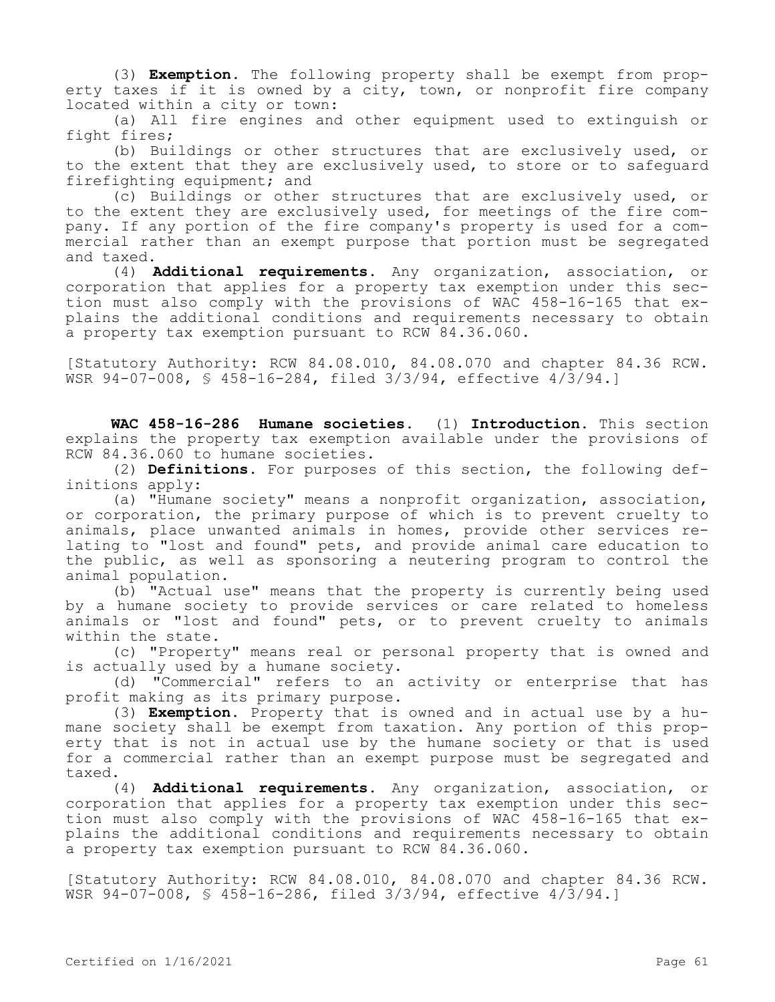(3) **Exemption.** The following property shall be exempt from property taxes if it is owned by a city, town, or nonprofit fire company located within a city or town:

(a) All fire engines and other equipment used to extinguish or fight fires;

(b) Buildings or other structures that are exclusively used, or to the extent that they are exclusively used, to store or to safeguard firefighting equipment; and

(c) Buildings or other structures that are exclusively used, or to the extent they are exclusively used, for meetings of the fire company. If any portion of the fire company's property is used for a commercial rather than an exempt purpose that portion must be segregated and taxed.

(4) **Additional requirements.** Any organization, association, or corporation that applies for a property tax exemption under this section must also comply with the provisions of WAC 458-16-165 that explains the additional conditions and requirements necessary to obtain a property tax exemption pursuant to RCW 84.36.060.

[Statutory Authority: RCW 84.08.010, 84.08.070 and chapter 84.36 RCW. WSR 94-07-008, § 458-16-284, filed 3/3/94, effective 4/3/94.]

**WAC 458-16-286 Humane societies.** (1) **Introduction.** This section explains the property tax exemption available under the provisions of RCW 84.36.060 to humane societies.

(2) **Definitions.** For purposes of this section, the following definitions apply:

(a) "Humane society" means a nonprofit organization, association, or corporation, the primary purpose of which is to prevent cruelty to animals, place unwanted animals in homes, provide other services relating to "lost and found" pets, and provide animal care education to the public, as well as sponsoring a neutering program to control the animal population.

(b) "Actual use" means that the property is currently being used by a humane society to provide services or care related to homeless animals or "lost and found" pets, or to prevent cruelty to animals within the state.

(c) "Property" means real or personal property that is owned and is actually used by a humane society.

(d) "Commercial" refers to an activity or enterprise that has profit making as its primary purpose.

(3) **Exemption.** Property that is owned and in actual use by a humane society shall be exempt from taxation. Any portion of this property that is not in actual use by the humane society or that is used for a commercial rather than an exempt purpose must be segregated and taxed.

(4) **Additional requirements.** Any organization, association, or corporation that applies for a property tax exemption under this section must also comply with the provisions of WAC 458-16-165 that explains the additional conditions and requirements necessary to obtain a property tax exemption pursuant to RCW 84.36.060.

[Statutory Authority: RCW 84.08.010, 84.08.070 and chapter 84.36 RCW. WSR 94-07-008, § 458-16-286, filed 3/3/94, effective 4/3/94.]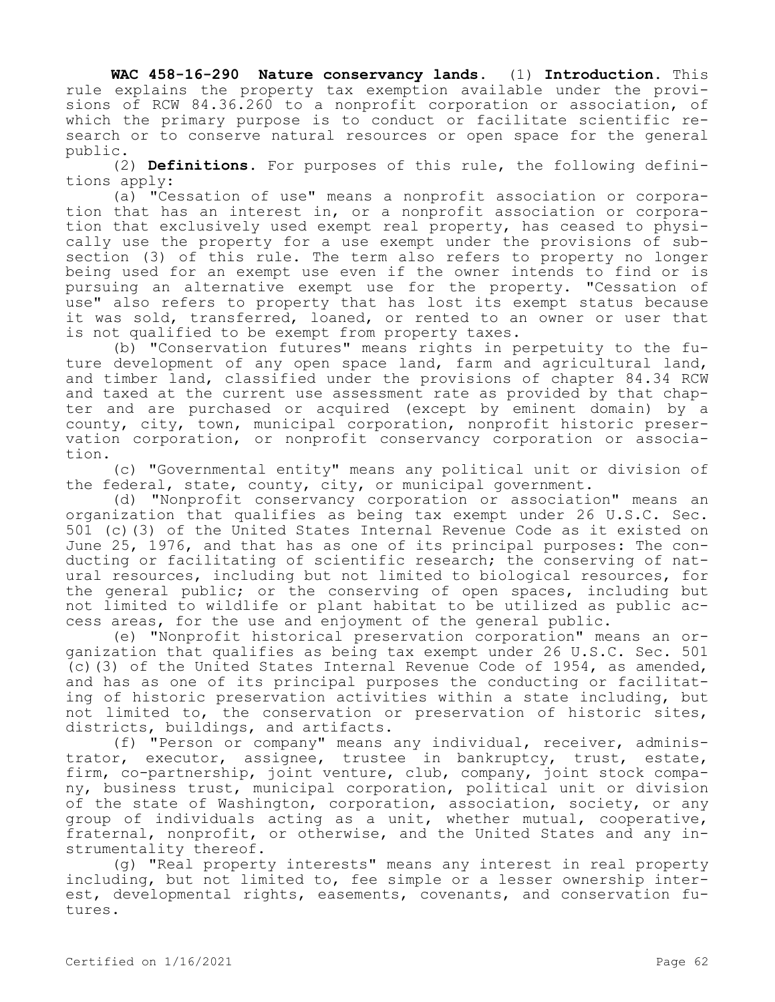**WAC 458-16-290 Nature conservancy lands.** (1) **Introduction.** This rule explains the property tax exemption available under the provisions of RCW 84.36.260 to a nonprofit corporation or association, of which the primary purpose is to conduct or facilitate scientific research or to conserve natural resources or open space for the general public.

(2) **Definitions.** For purposes of this rule, the following definitions apply:

(a) "Cessation of use" means a nonprofit association or corporation that has an interest in, or a nonprofit association or corporation that exclusively used exempt real property, has ceased to physically use the property for a use exempt under the provisions of subsection (3) of this rule. The term also refers to property no longer being used for an exempt use even if the owner intends to find or is pursuing an alternative exempt use for the property. "Cessation of use" also refers to property that has lost its exempt status because it was sold, transferred, loaned, or rented to an owner or user that is not qualified to be exempt from property taxes.

(b) "Conservation futures" means rights in perpetuity to the future development of any open space land, farm and agricultural land, and timber land, classified under the provisions of chapter 84.34 RCW and taxed at the current use assessment rate as provided by that chapter and are purchased or acquired (except by eminent domain) by a county, city, town, municipal corporation, nonprofit historic preservation corporation, or nonprofit conservancy corporation or association.

(c) "Governmental entity" means any political unit or division of the federal, state, county, city, or municipal government.

(d) "Nonprofit conservancy corporation or association" means an organization that qualifies as being tax exempt under 26 U.S.C. Sec. 501 (c)(3) of the United States Internal Revenue Code as it existed on June 25, 1976, and that has as one of its principal purposes: The conducting or facilitating of scientific research; the conserving of natural resources, including but not limited to biological resources, for the general public; or the conserving of open spaces, including but not limited to wildlife or plant habitat to be utilized as public access areas, for the use and enjoyment of the general public.

(e) "Nonprofit historical preservation corporation" means an organization that qualifies as being tax exempt under 26 U.S.C. Sec. 501 (c)(3) of the United States Internal Revenue Code of 1954, as amended, and has as one of its principal purposes the conducting or facilitating of historic preservation activities within a state including, but not limited to, the conservation or preservation of historic sites, districts, buildings, and artifacts.

(f) "Person or company" means any individual, receiver, administrator, executor, assignee, trustee in bankruptcy, trust, estate, firm, co-partnership, joint venture, club, company, joint stock company, business trust, municipal corporation, political unit or division of the state of Washington, corporation, association, society, or any group of individuals acting as a unit, whether mutual, cooperative, fraternal, nonprofit, or otherwise, and the United States and any instrumentality thereof.

(g) "Real property interests" means any interest in real property including, but not limited to, fee simple or a lesser ownership interest, developmental rights, easements, covenants, and conservation futures.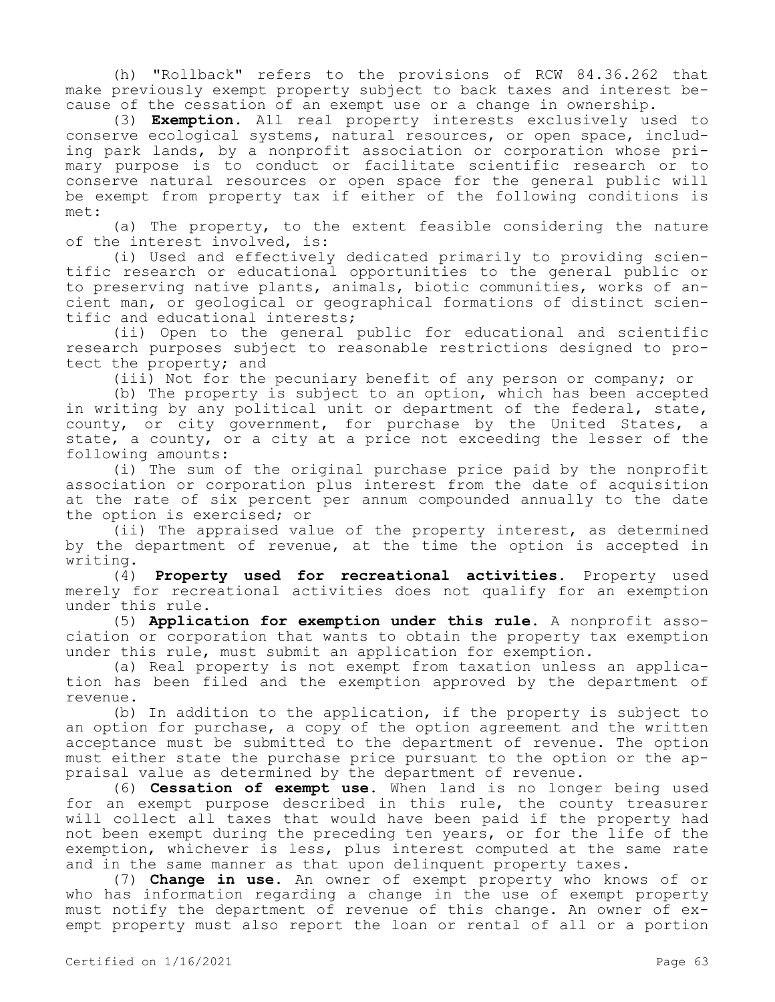(h) "Rollback" refers to the provisions of RCW 84.36.262 that make previously exempt property subject to back taxes and interest because of the cessation of an exempt use or a change in ownership.

(3) **Exemption.** All real property interests exclusively used to conserve ecological systems, natural resources, or open space, including park lands, by a nonprofit association or corporation whose primary purpose is to conduct or facilitate scientific research or to conserve natural resources or open space for the general public will be exempt from property tax if either of the following conditions is met:

(a) The property, to the extent feasible considering the nature of the interest involved, is:

(i) Used and effectively dedicated primarily to providing scientific research or educational opportunities to the general public or to preserving native plants, animals, biotic communities, works of ancient man, or geological or geographical formations of distinct scientific and educational interests;

(ii) Open to the general public for educational and scientific research purposes subject to reasonable restrictions designed to protect the property; and

(iii) Not for the pecuniary benefit of any person or company; or

(b) The property is subject to an option, which has been accepted in writing by any political unit or department of the federal, state, county, or city government, for purchase by the United States, a state, a county, or a city at a price not exceeding the lesser of the following amounts:

(i) The sum of the original purchase price paid by the nonprofit association or corporation plus interest from the date of acquisition at the rate of six percent per annum compounded annually to the date the option is exercised; or

(ii) The appraised value of the property interest, as determined by the department of revenue, at the time the option is accepted in writing.

(4) **Property used for recreational activities.** Property used merely for recreational activities does not qualify for an exemption under this rule.

(5) **Application for exemption under this rule.** A nonprofit association or corporation that wants to obtain the property tax exemption under this rule, must submit an application for exemption.

(a) Real property is not exempt from taxation unless an application has been filed and the exemption approved by the department of revenue.

(b) In addition to the application, if the property is subject to an option for purchase, a copy of the option agreement and the written acceptance must be submitted to the department of revenue. The option must either state the purchase price pursuant to the option or the appraisal value as determined by the department of revenue.

(6) **Cessation of exempt use.** When land is no longer being used for an exempt purpose described in this rule, the county treasurer will collect all taxes that would have been paid if the property had not been exempt during the preceding ten years, or for the life of the exemption, whichever is less, plus interest computed at the same rate and in the same manner as that upon delinquent property taxes.

(7) **Change in use.** An owner of exempt property who knows of or who has information regarding a change in the use of exempt property must notify the department of revenue of this change. An owner of exempt property must also report the loan or rental of all or a portion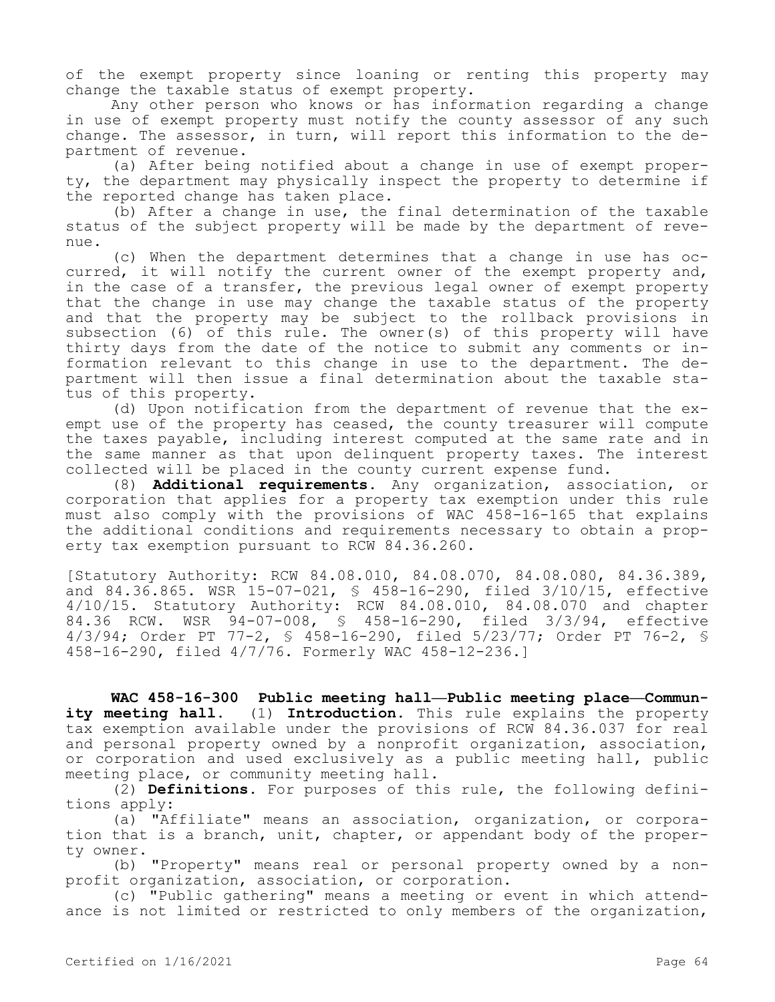of the exempt property since loaning or renting this property may change the taxable status of exempt property.

Any other person who knows or has information regarding a change in use of exempt property must notify the county assessor of any such change. The assessor, in turn, will report this information to the department of revenue.

(a) After being notified about a change in use of exempt property, the department may physically inspect the property to determine if the reported change has taken place.

(b) After a change in use, the final determination of the taxable status of the subject property will be made by the department of revenue.

(c) When the department determines that a change in use has occurred, it will notify the current owner of the exempt property and, in the case of a transfer, the previous legal owner of exempt property that the change in use may change the taxable status of the property and that the property may be subject to the rollback provisions in subsection (6) of this rule. The owner(s) of this property will have thirty days from the date of the notice to submit any comments or information relevant to this change in use to the department. The department will then issue a final determination about the taxable status of this property.

(d) Upon notification from the department of revenue that the exempt use of the property has ceased, the county treasurer will compute the taxes payable, including interest computed at the same rate and in the same manner as that upon delinquent property taxes. The interest collected will be placed in the county current expense fund.

(8) **Additional requirements.** Any organization, association, or corporation that applies for a property tax exemption under this rule must also comply with the provisions of WAC 458-16-165 that explains the additional conditions and requirements necessary to obtain a property tax exemption pursuant to RCW 84.36.260.

[Statutory Authority: RCW 84.08.010, 84.08.070, 84.08.080, 84.36.389, and 84.36.865. WSR 15-07-021, § 458-16-290, filed 3/10/15, effective 4/10/15. Statutory Authority: RCW 84.08.010, 84.08.070 and chapter 84.36 RCW. WSR 94-07-008, § 458-16-290, filed 3/3/94, effective 4/3/94; Order PT 77-2, § 458-16-290, filed 5/23/77; Order PT 76-2, § 458-16-290, filed 4/7/76. Formerly WAC 458-12-236.]

**WAC 458-16-300 Public meeting hall—Public meeting place—Community meeting hall.** (1) **Introduction.** This rule explains the property tax exemption available under the provisions of RCW 84.36.037 for real and personal property owned by a nonprofit organization, association, or corporation and used exclusively as a public meeting hall, public meeting place, or community meeting hall.

(2) **Definitions.** For purposes of this rule, the following definitions apply:

(a) "Affiliate" means an association, organization, or corporation that is a branch, unit, chapter, or appendant body of the property owner.

(b) "Property" means real or personal property owned by a nonprofit organization, association, or corporation.

(c) "Public gathering" means a meeting or event in which attendance is not limited or restricted to only members of the organization,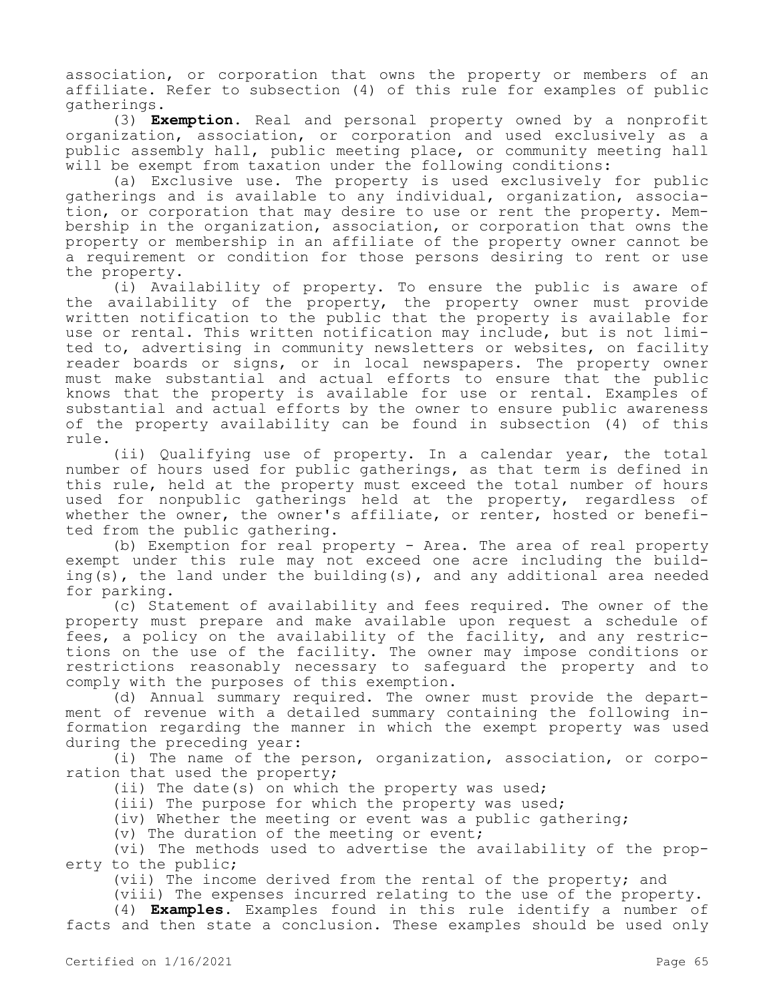association, or corporation that owns the property or members of an affiliate. Refer to subsection (4) of this rule for examples of public gatherings.

(3) **Exemption.** Real and personal property owned by a nonprofit organization, association, or corporation and used exclusively as a public assembly hall, public meeting place, or community meeting hall will be exempt from taxation under the following conditions:

(a) Exclusive use. The property is used exclusively for public gatherings and is available to any individual, organization, association, or corporation that may desire to use or rent the property. Membership in the organization, association, or corporation that owns the property or membership in an affiliate of the property owner cannot be a requirement or condition for those persons desiring to rent or use the property.

(i) Availability of property. To ensure the public is aware of the availability of the property, the property owner must provide written notification to the public that the property is available for use or rental. This written notification may include, but is not limited to, advertising in community newsletters or websites, on facility reader boards or signs, or in local newspapers. The property owner must make substantial and actual efforts to ensure that the public knows that the property is available for use or rental. Examples of substantial and actual efforts by the owner to ensure public awareness of the property availability can be found in subsection (4) of this rule.

(ii) Qualifying use of property. In a calendar year, the total number of hours used for public gatherings, as that term is defined in this rule, held at the property must exceed the total number of hours used for nonpublic gatherings held at the property, regardless of whether the owner, the owner's affiliate, or renter, hosted or benefited from the public gathering.

(b) Exemption for real property - Area. The area of real property exempt under this rule may not exceed one acre including the building(s), the land under the building(s), and any additional area needed for parking.

(c) Statement of availability and fees required. The owner of the property must prepare and make available upon request a schedule of fees, a policy on the availability of the facility, and any restrictions on the use of the facility. The owner may impose conditions or restrictions reasonably necessary to safeguard the property and to comply with the purposes of this exemption.

(d) Annual summary required. The owner must provide the department of revenue with a detailed summary containing the following information regarding the manner in which the exempt property was used during the preceding year:

(i) The name of the person, organization, association, or corporation that used the property;

(ii) The date(s) on which the property was used;

(iii) The purpose for which the property was used;

(iv) Whether the meeting or event was a public gathering;

(v) The duration of the meeting or event;

(vi) The methods used to advertise the availability of the property to the public;

(vii) The income derived from the rental of the property; and

(viii) The expenses incurred relating to the use of the property. (4) **Examples.** Examples found in this rule identify a number of

facts and then state a conclusion. These examples should be used only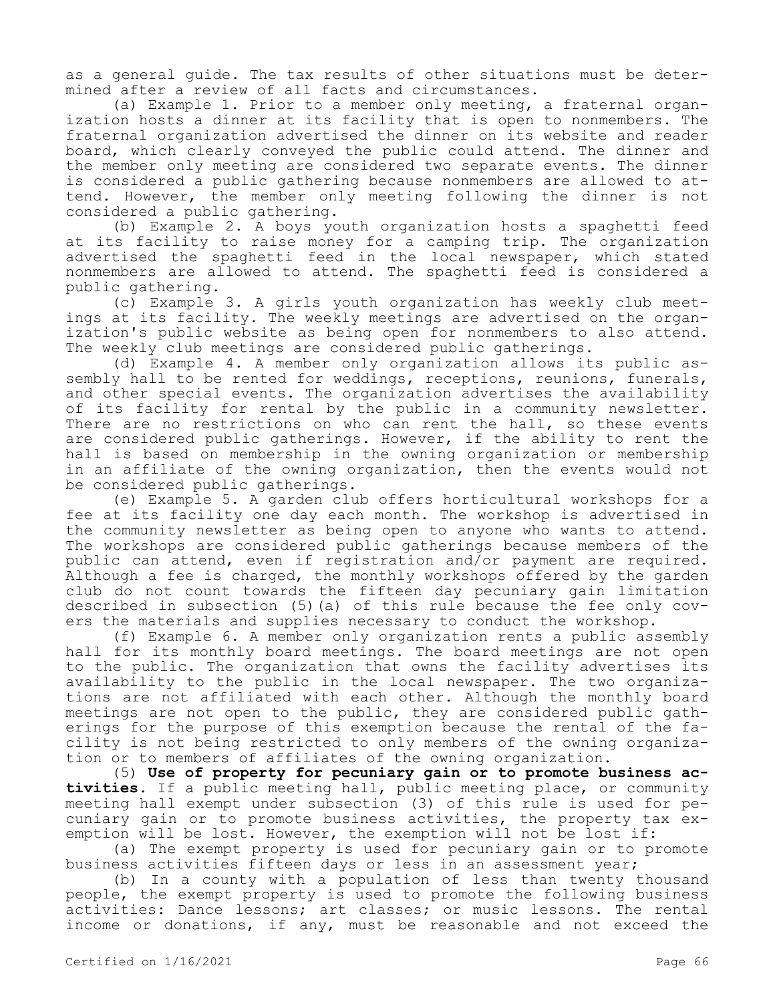as a general guide. The tax results of other situations must be determined after a review of all facts and circumstances.

(a) Example 1. Prior to a member only meeting, a fraternal organization hosts a dinner at its facility that is open to nonmembers. The fraternal organization advertised the dinner on its website and reader board, which clearly conveyed the public could attend. The dinner and the member only meeting are considered two separate events. The dinner is considered a public gathering because nonmembers are allowed to attend. However, the member only meeting following the dinner is not considered a public gathering.

(b) Example 2. A boys youth organization hosts a spaghetti feed at its facility to raise money for a camping trip. The organization advertised the spaghetti feed in the local newspaper, which stated nonmembers are allowed to attend. The spaghetti feed is considered a public gathering.

(c) Example 3. A girls youth organization has weekly club meetings at its facility. The weekly meetings are advertised on the organization's public website as being open for nonmembers to also attend. The weekly club meetings are considered public gatherings.

(d) Example 4. A member only organization allows its public assembly hall to be rented for weddings, receptions, reunions, funerals, and other special events. The organization advertises the availability of its facility for rental by the public in a community newsletter. There are no restrictions on who can rent the hall, so these events are considered public gatherings. However, if the ability to rent the hall is based on membership in the owning organization or membership in an affiliate of the owning organization, then the events would not be considered public gatherings.

(e) Example 5. A garden club offers horticultural workshops for a fee at its facility one day each month. The workshop is advertised in the community newsletter as being open to anyone who wants to attend. The workshops are considered public gatherings because members of the public can attend, even if registration and/or payment are required. Although a fee is charged, the monthly workshops offered by the garden club do not count towards the fifteen day pecuniary gain limitation described in subsection (5)(a) of this rule because the fee only covers the materials and supplies necessary to conduct the workshop.

(f) Example 6. A member only organization rents a public assembly hall for its monthly board meetings. The board meetings are not open to the public. The organization that owns the facility advertises its availability to the public in the local newspaper. The two organizations are not affiliated with each other. Although the monthly board meetings are not open to the public, they are considered public gatherings for the purpose of this exemption because the rental of the facility is not being restricted to only members of the owning organization or to members of affiliates of the owning organization.

(5) **Use of property for pecuniary gain or to promote business activities.** If a public meeting hall, public meeting place, or community meeting hall exempt under subsection (3) of this rule is used for pecuniary gain or to promote business activities, the property tax exemption will be lost. However, the exemption will not be lost if:

(a) The exempt property is used for pecuniary gain or to promote business activities fifteen days or less in an assessment year;

(b) In a county with a population of less than twenty thousand people, the exempt property is used to promote the following business activities: Dance lessons; art classes; or music lessons. The rental income or donations, if any, must be reasonable and not exceed the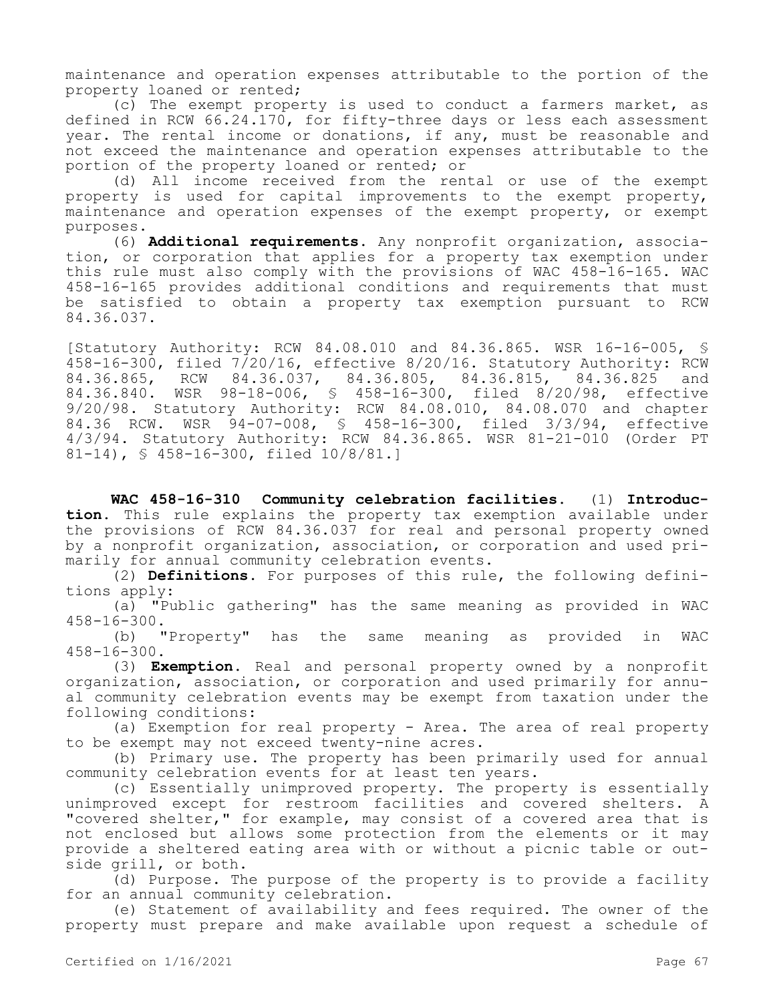maintenance and operation expenses attributable to the portion of the property loaned or rented;

(c) The exempt property is used to conduct a farmers market, as defined in RCW 66.24.170, for fifty-three days or less each assessment year. The rental income or donations, if any, must be reasonable and not exceed the maintenance and operation expenses attributable to the portion of the property loaned or rented; or

(d) All income received from the rental or use of the exempt property is used for capital improvements to the exempt property, maintenance and operation expenses of the exempt property, or exempt purposes.

(6) **Additional requirements.** Any nonprofit organization, association, or corporation that applies for a property tax exemption under this rule must also comply with the provisions of WAC 458-16-165. WAC 458-16-165 provides additional conditions and requirements that must be satisfied to obtain a property tax exemption pursuant to RCW 84.36.037.

[Statutory Authority: RCW 84.08.010 and 84.36.865. WSR 16-16-005, § 458-16-300, filed 7/20/16, effective 8/20/16. Statutory Authority: RCW 84.36.865, RCW 84.36.037, 84.36.805, 84.36.815, 84.36.825 and 84.36.840. WSR 98-18-006, § 458-16-300, filed 8/20/98, effective 9/20/98. Statutory Authority: RCW 84.08.010, 84.08.070 and chapter 84.36 RCW. WSR 94-07-008, § 458-16-300, filed 3/3/94, effective 4/3/94. Statutory Authority: RCW 84.36.865. WSR 81-21-010 (Order PT 81-14), § 458-16-300, filed 10/8/81.]

**WAC 458-16-310 Community celebration facilities.** (1) **Introduction.** This rule explains the property tax exemption available under the provisions of RCW 84.36.037 for real and personal property owned by a nonprofit organization, association, or corporation and used primarily for annual community celebration events.

(2) **Definitions.** For purposes of this rule, the following definitions apply:

(a) "Public gathering" has the same meaning as provided in WAC 458-16-300.

(b) "Property" has the same meaning as provided in WAC 458-16-300.

(3) **Exemption.** Real and personal property owned by a nonprofit organization, association, or corporation and used primarily for annual community celebration events may be exempt from taxation under the following conditions:

(a) Exemption for real property - Area. The area of real property to be exempt may not exceed twenty-nine acres.

(b) Primary use. The property has been primarily used for annual community celebration events for at least ten years.

(c) Essentially unimproved property. The property is essentially unimproved except for restroom facilities and covered shelters. A "covered shelter," for example, may consist of a covered area that is not enclosed but allows some protection from the elements or it may provide a sheltered eating area with or without a picnic table or outside grill, or both.

(d) Purpose. The purpose of the property is to provide a facility for an annual community celebration.

(e) Statement of availability and fees required. The owner of the property must prepare and make available upon request a schedule of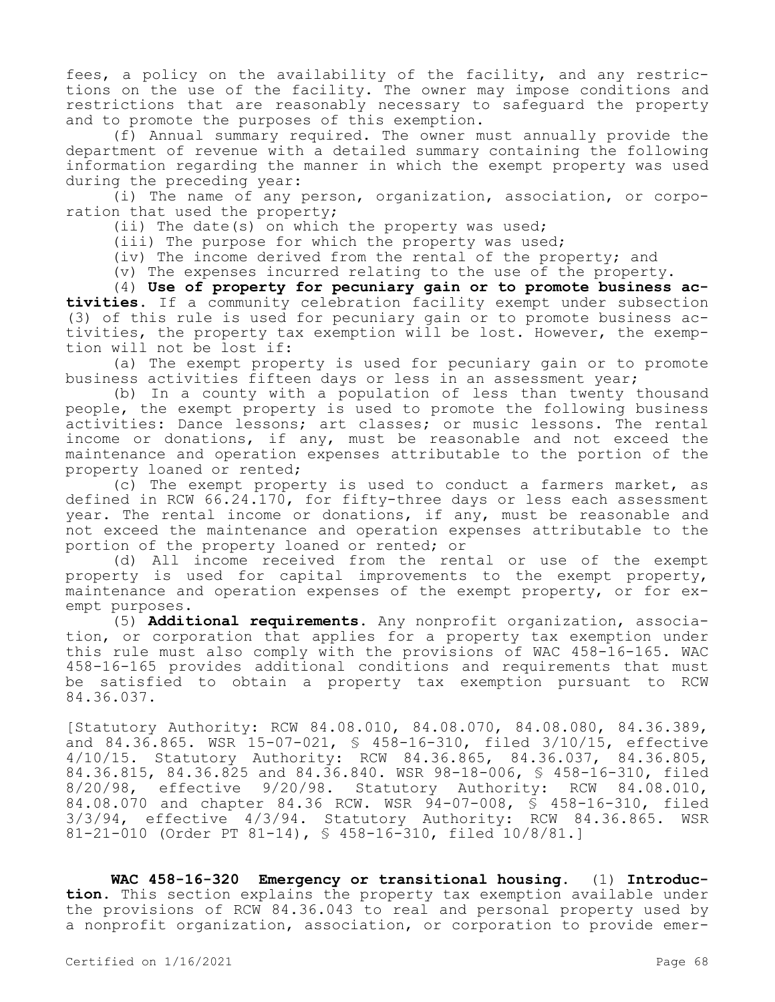fees, a policy on the availability of the facility, and any restrictions on the use of the facility. The owner may impose conditions and restrictions that are reasonably necessary to safeguard the property and to promote the purposes of this exemption.

(f) Annual summary required. The owner must annually provide the department of revenue with a detailed summary containing the following information regarding the manner in which the exempt property was used during the preceding year:

(i) The name of any person, organization, association, or corporation that used the property;

(ii) The date(s) on which the property was used;

(iii) The purpose for which the property was used;

(iv) The income derived from the rental of the property; and

(v) The expenses incurred relating to the use of the property.

(4) **Use of property for pecuniary gain or to promote business activities.** If a community celebration facility exempt under subsection (3) of this rule is used for pecuniary gain or to promote business activities, the property tax exemption will be lost. However, the exemption will not be lost if:

(a) The exempt property is used for pecuniary gain or to promote business activities fifteen days or less in an assessment year;

(b) In a county with a population of less than twenty thousand people, the exempt property is used to promote the following business activities: Dance lessons; art classes; or music lessons. The rental income or donations, if any, must be reasonable and not exceed the maintenance and operation expenses attributable to the portion of the property loaned or rented;

(c) The exempt property is used to conduct a farmers market, as defined in RCW 66.24.170, for fifty-three days or less each assessment year. The rental income or donations, if any, must be reasonable and not exceed the maintenance and operation expenses attributable to the portion of the property loaned or rented; or

(d) All income received from the rental or use of the exempt property is used for capital improvements to the exempt property, maintenance and operation expenses of the exempt property, or for exempt purposes.

(5) **Additional requirements.** Any nonprofit organization, association, or corporation that applies for a property tax exemption under this rule must also comply with the provisions of WAC 458-16-165. WAC 458-16-165 provides additional conditions and requirements that must be satisfied to obtain a property tax exemption pursuant to RCW 84.36.037.

[Statutory Authority: RCW 84.08.010, 84.08.070, 84.08.080, 84.36.389, and 84.36.865. WSR 15-07-021, § 458-16-310, filed 3/10/15, effective 4/10/15. Statutory Authority: RCW 84.36.865, 84.36.037, 84.36.805, 84.36.815, 84.36.825 and 84.36.840. WSR 98-18-006, § 458-16-310, filed 8/20/98, effective 9/20/98. Statutory Authority: RCW 84.08.010, 84.08.070 and chapter 84.36 RCW. WSR 94-07-008, § 458-16-310, filed 3/3/94, effective 4/3/94. Statutory Authority: RCW 84.36.865. WSR 81-21-010 (Order PT 81-14), § 458-16-310, filed 10/8/81.]

**WAC 458-16-320 Emergency or transitional housing.** (1) **Introduction.** This section explains the property tax exemption available under the provisions of RCW 84.36.043 to real and personal property used by a nonprofit organization, association, or corporation to provide emer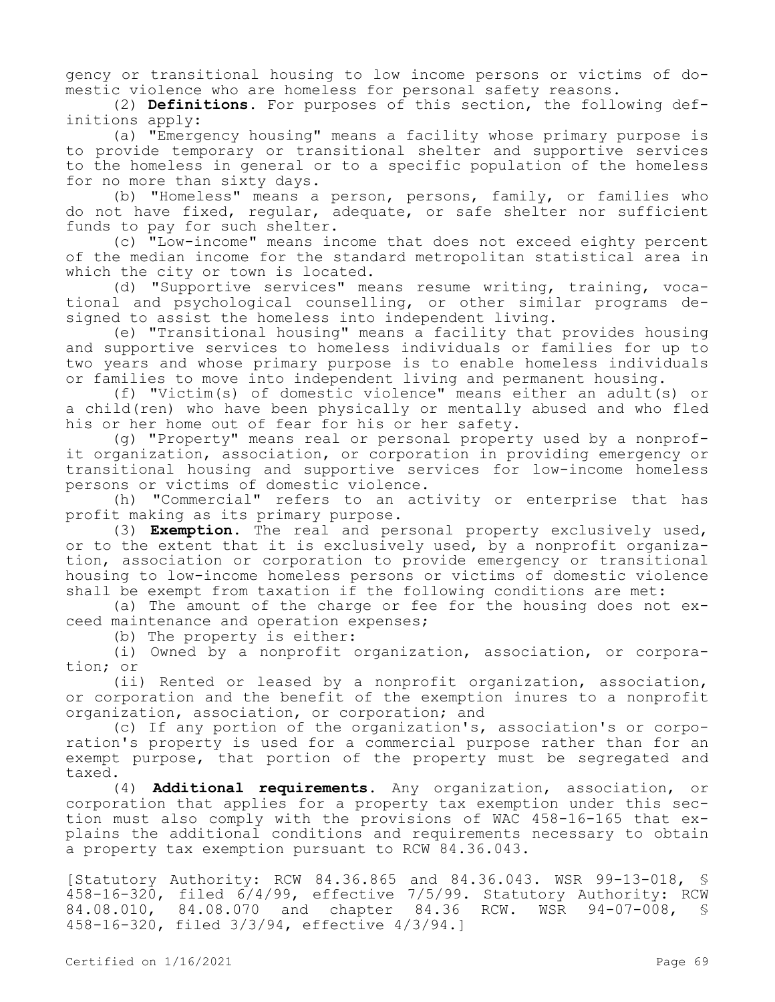gency or transitional housing to low income persons or victims of domestic violence who are homeless for personal safety reasons.

(2) **Definitions.** For purposes of this section, the following definitions apply:

(a) "Emergency housing" means a facility whose primary purpose is to provide temporary or transitional shelter and supportive services to the homeless in general or to a specific population of the homeless for no more than sixty days.

(b) "Homeless" means a person, persons, family, or families who do not have fixed, regular, adequate, or safe shelter nor sufficient funds to pay for such shelter.

(c) "Low-income" means income that does not exceed eighty percent of the median income for the standard metropolitan statistical area in which the city or town is located.

(d) "Supportive services" means resume writing, training, vocational and psychological counselling, or other similar programs designed to assist the homeless into independent living.

(e) "Transitional housing" means a facility that provides housing and supportive services to homeless individuals or families for up to two years and whose primary purpose is to enable homeless individuals or families to move into independent living and permanent housing.

(f) "Victim(s) of domestic violence" means either an adult(s) or a child(ren) who have been physically or mentally abused and who fled his or her home out of fear for his or her safety.

(g) "Property" means real or personal property used by a nonprofit organization, association, or corporation in providing emergency or transitional housing and supportive services for low-income homeless persons or victims of domestic violence.

(h) "Commercial" refers to an activity or enterprise that has profit making as its primary purpose.

(3) **Exemption.** The real and personal property exclusively used, or to the extent that it is exclusively used, by a nonprofit organization, association or corporation to provide emergency or transitional housing to low-income homeless persons or victims of domestic violence shall be exempt from taxation if the following conditions are met:

(a) The amount of the charge or fee for the housing does not exceed maintenance and operation expenses;

(b) The property is either:

(i) Owned by a nonprofit organization, association, or corporation; or

(ii) Rented or leased by a nonprofit organization, association, or corporation and the benefit of the exemption inures to a nonprofit organization, association, or corporation; and

(c) If any portion of the organization's, association's or corporation's property is used for a commercial purpose rather than for an exempt purpose, that portion of the property must be segregated and taxed.

(4) **Additional requirements.** Any organization, association, or corporation that applies for a property tax exemption under this section must also comply with the provisions of WAC 458-16-165 that explains the additional conditions and requirements necessary to obtain a property tax exemption pursuant to RCW 84.36.043.

[Statutory Authority: RCW 84.36.865 and 84.36.043. WSR 99-13-018, §  $458-16-320$ , filed  $6/4/99$ , effective 7/5/99. Statutory Authority: RCW 84.08.010, 84.08.070 and chapter 84.36 RCW. WSR 94-07-008, § 458-16-320, filed 3/3/94, effective 4/3/94.]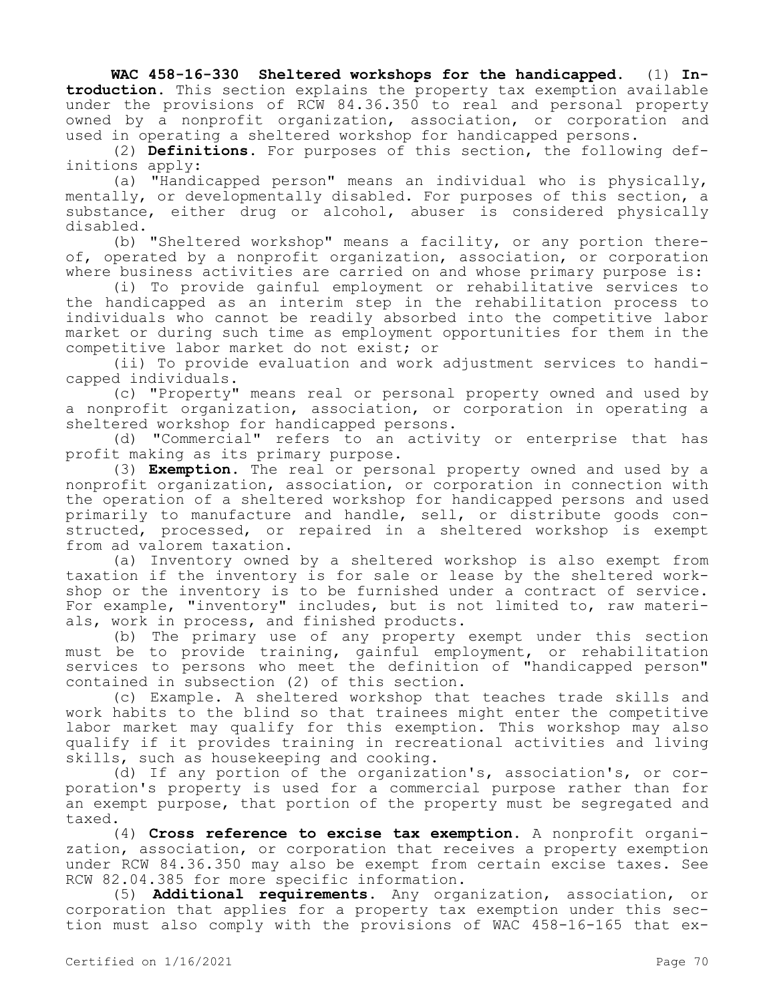**WAC 458-16-330 Sheltered workshops for the handicapped.** (1) **Introduction.** This section explains the property tax exemption available under the provisions of RCW 84.36.350 to real and personal property owned by a nonprofit organization, association, or corporation and used in operating a sheltered workshop for handicapped persons.

(2) **Definitions.** For purposes of this section, the following definitions apply:

(a) "Handicapped person" means an individual who is physically, mentally, or developmentally disabled. For purposes of this section, a substance, either drug or alcohol, abuser is considered physically disabled.

(b) "Sheltered workshop" means a facility, or any portion thereof, operated by a nonprofit organization, association, or corporation where business activities are carried on and whose primary purpose is:

(i) To provide gainful employment or rehabilitative services to the handicapped as an interim step in the rehabilitation process to individuals who cannot be readily absorbed into the competitive labor market or during such time as employment opportunities for them in the competitive labor market do not exist; or

(ii) To provide evaluation and work adjustment services to handicapped individuals.

(c) "Property" means real or personal property owned and used by a nonprofit organization, association, or corporation in operating a sheltered workshop for handicapped persons.

(d) "Commercial" refers to an activity or enterprise that has profit making as its primary purpose.

(3) **Exemption.** The real or personal property owned and used by a nonprofit organization, association, or corporation in connection with the operation of a sheltered workshop for handicapped persons and used primarily to manufacture and handle, sell, or distribute goods constructed, processed, or repaired in a sheltered workshop is exempt from ad valorem taxation.

(a) Inventory owned by a sheltered workshop is also exempt from taxation if the inventory is for sale or lease by the sheltered workshop or the inventory is to be furnished under a contract of service. For example, "inventory" includes, but is not limited to, raw materials, work in process, and finished products.

(b) The primary use of any property exempt under this section must be to provide training, gainful employment, or rehabilitation services to persons who meet the definition of "handicapped person" contained in subsection (2) of this section.

(c) Example. A sheltered workshop that teaches trade skills and work habits to the blind so that trainees might enter the competitive labor market may qualify for this exemption. This workshop may also qualify if it provides training in recreational activities and living skills, such as housekeeping and cooking.

(d) If any portion of the organization's, association's, or corporation's property is used for a commercial purpose rather than for an exempt purpose, that portion of the property must be segregated and taxed.

(4) **Cross reference to excise tax exemption.** A nonprofit organization, association, or corporation that receives a property exemption under RCW 84.36.350 may also be exempt from certain excise taxes. See RCW 82.04.385 for more specific information.

(5) **Additional requirements.** Any organization, association, or corporation that applies for a property tax exemption under this section must also comply with the provisions of WAC 458-16-165 that ex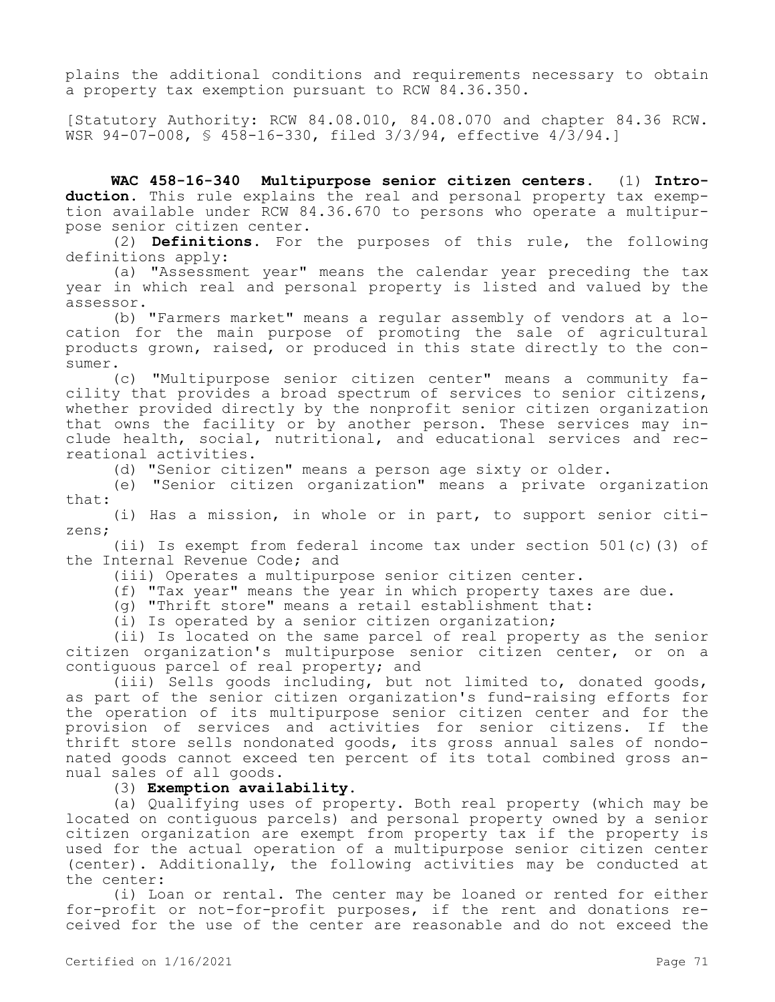plains the additional conditions and requirements necessary to obtain a property tax exemption pursuant to RCW 84.36.350.

[Statutory Authority: RCW 84.08.010, 84.08.070 and chapter 84.36 RCW. WSR 94-07-008, § 458-16-330, filed 3/3/94, effective 4/3/94.]

**WAC 458-16-340 Multipurpose senior citizen centers.** (1) **Introduction.** This rule explains the real and personal property tax exemption available under RCW 84.36.670 to persons who operate a multipurpose senior citizen center.

(2) **Definitions.** For the purposes of this rule, the following definitions apply:

(a) "Assessment year" means the calendar year preceding the tax year in which real and personal property is listed and valued by the assessor.

(b) "Farmers market" means a regular assembly of vendors at a location for the main purpose of promoting the sale of agricultural products grown, raised, or produced in this state directly to the consumer.

(c) "Multipurpose senior citizen center" means a community facility that provides a broad spectrum of services to senior citizens, whether provided directly by the nonprofit senior citizen organization that owns the facility or by another person. These services may include health, social, nutritional, and educational services and recreational activities.

(d) "Senior citizen" means a person age sixty or older.

(e) "Senior citizen organization" means a private organization that:

(i) Has a mission, in whole or in part, to support senior citizens;

(ii) Is exempt from federal income tax under section 501(c)(3) of the Internal Revenue Code; and

(iii) Operates a multipurpose senior citizen center.

(f) "Tax year" means the year in which property taxes are due.

(g) "Thrift store" means a retail establishment that:

(i) Is operated by a senior citizen organization;

(ii) Is located on the same parcel of real property as the senior citizen organization's multipurpose senior citizen center, or on a contiguous parcel of real property; and

(iii) Sells goods including, but not limited to, donated goods, as part of the senior citizen organization's fund-raising efforts for the operation of its multipurpose senior citizen center and for the provision of services and activities for senior citizens. If the thrift store sells nondonated goods, its gross annual sales of nondonated goods cannot exceed ten percent of its total combined gross annual sales of all goods.

## (3) **Exemption availability.**

(a) Qualifying uses of property. Both real property (which may be located on contiguous parcels) and personal property owned by a senior citizen organization are exempt from property tax if the property is used for the actual operation of a multipurpose senior citizen center (center). Additionally, the following activities may be conducted at the center:

(i) Loan or rental. The center may be loaned or rented for either for-profit or not-for-profit purposes, if the rent and donations received for the use of the center are reasonable and do not exceed the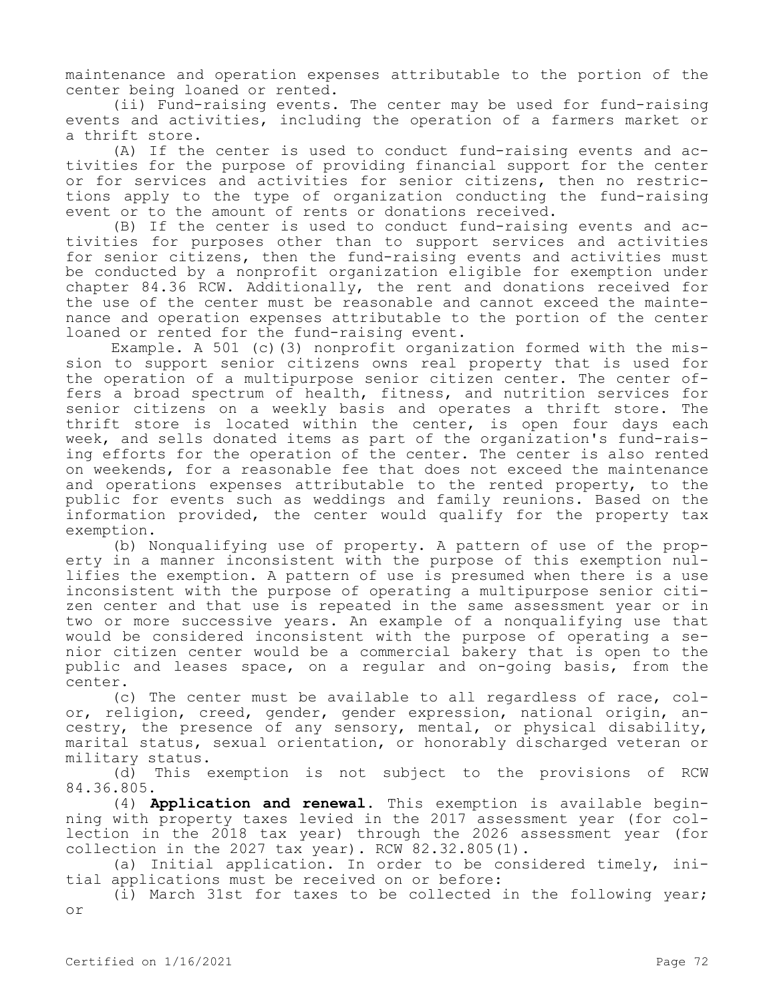maintenance and operation expenses attributable to the portion of the center being loaned or rented.

(ii) Fund-raising events. The center may be used for fund-raising events and activities, including the operation of a farmers market or a thrift store.

(A) If the center is used to conduct fund-raising events and activities for the purpose of providing financial support for the center or for services and activities for senior citizens, then no restrictions apply to the type of organization conducting the fund-raising event or to the amount of rents or donations received.

(B) If the center is used to conduct fund-raising events and activities for purposes other than to support services and activities for senior citizens, then the fund-raising events and activities must be conducted by a nonprofit organization eligible for exemption under chapter 84.36 RCW. Additionally, the rent and donations received for the use of the center must be reasonable and cannot exceed the maintenance and operation expenses attributable to the portion of the center loaned or rented for the fund-raising event.

Example. A 501 (c)(3) nonprofit organization formed with the mission to support senior citizens owns real property that is used for the operation of a multipurpose senior citizen center. The center offers a broad spectrum of health, fitness, and nutrition services for senior citizens on a weekly basis and operates a thrift store. The thrift store is located within the center, is open four days each week, and sells donated items as part of the organization's fund-raising efforts for the operation of the center. The center is also rented on weekends, for a reasonable fee that does not exceed the maintenance and operations expenses attributable to the rented property, to the public for events such as weddings and family reunions. Based on the information provided, the center would qualify for the property tax exemption.

(b) Nonqualifying use of property. A pattern of use of the property in a manner inconsistent with the purpose of this exemption nullifies the exemption. A pattern of use is presumed when there is a use inconsistent with the purpose of operating a multipurpose senior citizen center and that use is repeated in the same assessment year or in two or more successive years. An example of a nonqualifying use that would be considered inconsistent with the purpose of operating a senior citizen center would be a commercial bakery that is open to the public and leases space, on a regular and on-going basis, from the center.

(c) The center must be available to all regardless of race, color, religion, creed, gender, gender expression, national origin, ancestry, the presence of any sensory, mental, or physical disability, marital status, sexual orientation, or honorably discharged veteran or

military status.<br>(d) This  $\epsilon$ This exemption is not subject to the provisions of RCW 84.36.805.

(4) **Application and renewal.** This exemption is available beginning with property taxes levied in the 2017 assessment year (for collection in the 2018 tax year) through the 2026 assessment year (for collection in the 2027 tax year). RCW 82.32.805(1).

(a) Initial application. In order to be considered timely, initial applications must be received on or before:

(i) March 31st for taxes to be collected in the following year; or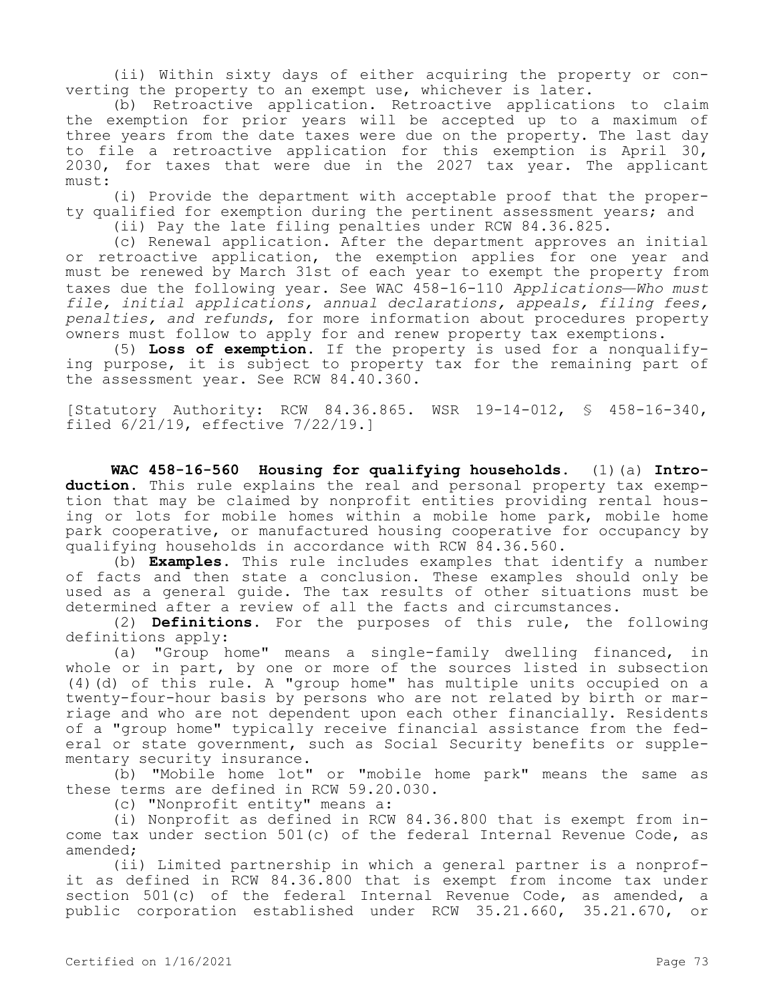(ii) Within sixty days of either acquiring the property or converting the property to an exempt use, whichever is later.

(b) Retroactive application. Retroactive applications to claim the exemption for prior years will be accepted up to a maximum of three years from the date taxes were due on the property. The last day to file a retroactive application for this exemption is April 30, 2030, for taxes that were due in the 2027 tax year. The applicant must:

(i) Provide the department with acceptable proof that the property qualified for exemption during the pertinent assessment years; and

(ii) Pay the late filing penalties under RCW 84.36.825.

(c) Renewal application. After the department approves an initial or retroactive application, the exemption applies for one year and must be renewed by March 31st of each year to exempt the property from taxes due the following year. See WAC 458-16-110 *Applications—Who must file, initial applications, annual declarations, appeals, filing fees, penalties, and refunds*, for more information about procedures property owners must follow to apply for and renew property tax exemptions.

(5) **Loss of exemption.** If the property is used for a nonqualifying purpose, it is subject to property tax for the remaining part of the assessment year. See RCW 84.40.360.

[Statutory Authority: RCW 84.36.865. WSR 19-14-012, § 458-16-340, filed 6/21/19, effective 7/22/19.]

**WAC 458-16-560 Housing for qualifying households.** (1)(a) **Introduction.** This rule explains the real and personal property tax exemption that may be claimed by nonprofit entities providing rental housing or lots for mobile homes within a mobile home park, mobile home park cooperative, or manufactured housing cooperative for occupancy by qualifying households in accordance with RCW 84.36.560.

(b) **Examples.** This rule includes examples that identify a number of facts and then state a conclusion. These examples should only be used as a general guide. The tax results of other situations must be determined after a review of all the facts and circumstances.

(2) **Definitions.** For the purposes of this rule, the following definitions apply:

(a) "Group home" means a single-family dwelling financed, in whole or in part, by one or more of the sources listed in subsection (4)(d) of this rule. A "group home" has multiple units occupied on a twenty-four-hour basis by persons who are not related by birth or marriage and who are not dependent upon each other financially. Residents of a "group home" typically receive financial assistance from the federal or state government, such as Social Security benefits or supplementary security insurance.

(b) "Mobile home lot" or "mobile home park" means the same as these terms are defined in RCW 59.20.030.

(c) "Nonprofit entity" means a:

(i) Nonprofit as defined in RCW 84.36.800 that is exempt from income tax under section 501(c) of the federal Internal Revenue Code, as amended;

(ii) Limited partnership in which a general partner is a nonprofit as defined in RCW 84.36.800 that is exempt from income tax under section 501(c) of the federal Internal Revenue Code, as amended, a public corporation established under RCW 35.21.660, 35.21.670, or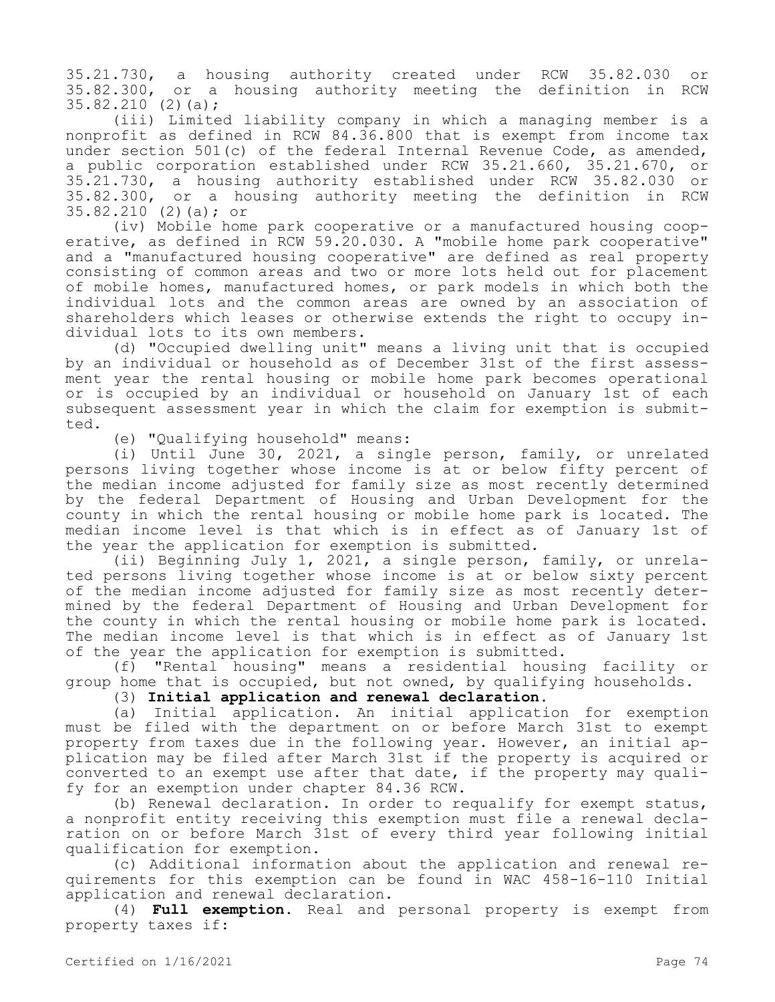35.21.730, a housing authority created under RCW 35.82.030 or 35.82.300, or a housing authority meeting the definition in RCW 35.82.210 (2)(a);

(iii) Limited liability company in which a managing member is a nonprofit as defined in RCW 84.36.800 that is exempt from income tax under section 501(c) of the federal Internal Revenue Code, as amended, a public corporation established under RCW 35.21.660, 35.21.670, or 35.21.730, a housing authority established under RCW 35.82.030 or 35.82.300, or a housing authority meeting the definition in RCW 35.82.210 (2)(a); or

(iv) Mobile home park cooperative or a manufactured housing cooperative, as defined in RCW 59.20.030. A "mobile home park cooperative" and a "manufactured housing cooperative" are defined as real property consisting of common areas and two or more lots held out for placement of mobile homes, manufactured homes, or park models in which both the individual lots and the common areas are owned by an association of shareholders which leases or otherwise extends the right to occupy individual lots to its own members.

(d) "Occupied dwelling unit" means a living unit that is occupied by an individual or household as of December 31st of the first assessment year the rental housing or mobile home park becomes operational or is occupied by an individual or household on January 1st of each subsequent assessment year in which the claim for exemption is submitted.

(e) "Qualifying household" means:

(i) Until June 30, 2021, a single person, family, or unrelated persons living together whose income is at or below fifty percent of the median income adjusted for family size as most recently determined by the federal Department of Housing and Urban Development for the county in which the rental housing or mobile home park is located. The median income level is that which is in effect as of January 1st of the year the application for exemption is submitted.

(ii) Beginning July 1, 2021, a single person, family, or unrelated persons living together whose income is at or below sixty percent of the median income adjusted for family size as most recently determined by the federal Department of Housing and Urban Development for the county in which the rental housing or mobile home park is located. The median income level is that which is in effect as of January 1st of the year the application for exemption is submitted.

(f) "Rental housing" means a residential housing facility or group home that is occupied, but not owned, by qualifying households.

(3) **Initial application and renewal declaration.**

(a) Initial application. An initial application for exemption must be filed with the department on or before March 31st to exempt property from taxes due in the following year. However, an initial application may be filed after March 31st if the property is acquired or converted to an exempt use after that date, if the property may qualify for an exemption under chapter 84.36 RCW.

(b) Renewal declaration. In order to requalify for exempt status, a nonprofit entity receiving this exemption must file a renewal declaration on or before March 31st of every third year following initial qualification for exemption.

(c) Additional information about the application and renewal requirements for this exemption can be found in WAC 458-16-110 Initial application and renewal declaration.

(4) **Full exemption.** Real and personal property is exempt from property taxes if: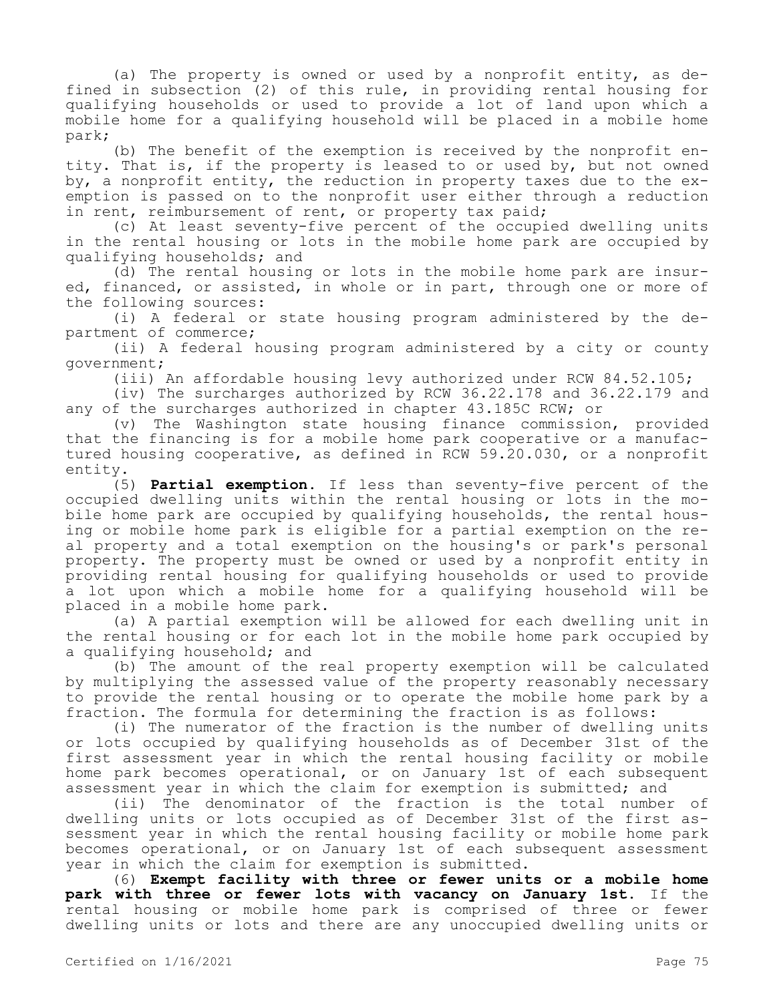(a) The property is owned or used by a nonprofit entity, as defined in subsection (2) of this rule, in providing rental housing for qualifying households or used to provide a lot of land upon which a mobile home for a qualifying household will be placed in a mobile home park;

(b) The benefit of the exemption is received by the nonprofit entity. That is, if the property is leased to or used by, but not owned by, a nonprofit entity, the reduction in property taxes due to the exemption is passed on to the nonprofit user either through a reduction in rent, reimbursement of rent, or property tax paid;

(c) At least seventy-five percent of the occupied dwelling units in the rental housing or lots in the mobile home park are occupied by qualifying households; and

(d) The rental housing or lots in the mobile home park are insured, financed, or assisted, in whole or in part, through one or more of the following sources:

(i) A federal or state housing program administered by the department of commerce;

(ii) A federal housing program administered by a city or county government;

(iii) An affordable housing levy authorized under RCW 84.52.105;

(iv) The surcharges authorized by RCW 36.22.178 and 36.22.179 and any of the surcharges authorized in chapter 43.185C RCW; or

(v) The Washington state housing finance commission, provided that the financing is for a mobile home park cooperative or a manufactured housing cooperative, as defined in RCW 59.20.030, or a nonprofit entity.

(5) **Partial exemption.** If less than seventy-five percent of the occupied dwelling units within the rental housing or lots in the mobile home park are occupied by qualifying households, the rental housing or mobile home park is eligible for a partial exemption on the real property and a total exemption on the housing's or park's personal property. The property must be owned or used by a nonprofit entity in providing rental housing for qualifying households or used to provide a lot upon which a mobile home for a qualifying household will be placed in a mobile home park.

(a) A partial exemption will be allowed for each dwelling unit in the rental housing or for each lot in the mobile home park occupied by a qualifying household; and

(b) The amount of the real property exemption will be calculated by multiplying the assessed value of the property reasonably necessary to provide the rental housing or to operate the mobile home park by a fraction. The formula for determining the fraction is as follows:

(i) The numerator of the fraction is the number of dwelling units or lots occupied by qualifying households as of December 31st of the first assessment year in which the rental housing facility or mobile home park becomes operational, or on January 1st of each subsequent assessment year in which the claim for exemption is submitted; and

(ii) The denominator of the fraction is the total number of dwelling units or lots occupied as of December 31st of the first assessment year in which the rental housing facility or mobile home park becomes operational, or on January 1st of each subsequent assessment year in which the claim for exemption is submitted.

(6) **Exempt facility with three or fewer units or a mobile home park with three or fewer lots with vacancy on January 1st.** If the rental housing or mobile home park is comprised of three or fewer dwelling units or lots and there are any unoccupied dwelling units or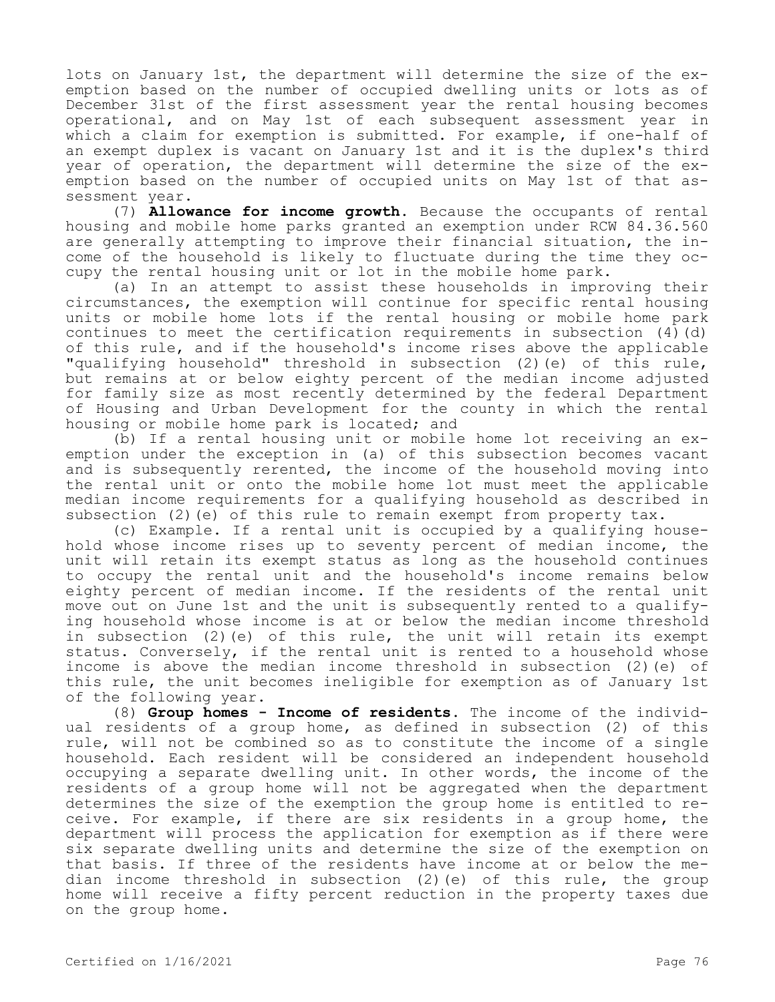lots on January 1st, the department will determine the size of the exemption based on the number of occupied dwelling units or lots as of December 31st of the first assessment year the rental housing becomes operational, and on May 1st of each subsequent assessment year in which a claim for exemption is submitted. For example, if one-half of an exempt duplex is vacant on January 1st and it is the duplex's third year of operation, the department will determine the size of the exemption based on the number of occupied units on May 1st of that assessment year.

(7) **Allowance for income growth.** Because the occupants of rental housing and mobile home parks granted an exemption under RCW 84.36.560 are generally attempting to improve their financial situation, the income of the household is likely to fluctuate during the time they occupy the rental housing unit or lot in the mobile home park.

(a) In an attempt to assist these households in improving their circumstances, the exemption will continue for specific rental housing units or mobile home lots if the rental housing or mobile home park continues to meet the certification requirements in subsection  $(4)(d)$ of this rule, and if the household's income rises above the applicable "qualifying household" threshold in subsection (2)(e) of this rule, but remains at or below eighty percent of the median income adjusted for family size as most recently determined by the federal Department of Housing and Urban Development for the county in which the rental housing or mobile home park is located; and

(b) If a rental housing unit or mobile home lot receiving an exemption under the exception in (a) of this subsection becomes vacant and is subsequently rerented, the income of the household moving into the rental unit or onto the mobile home lot must meet the applicable median income requirements for a qualifying household as described in subsection (2)(e) of this rule to remain exempt from property tax.

(c) Example. If a rental unit is occupied by a qualifying household whose income rises up to seventy percent of median income, the unit will retain its exempt status as long as the household continues to occupy the rental unit and the household's income remains below eighty percent of median income. If the residents of the rental unit move out on June 1st and the unit is subsequently rented to a qualifying household whose income is at or below the median income threshold in subsection (2)(e) of this rule, the unit will retain its exempt status. Conversely, if the rental unit is rented to a household whose income is above the median income threshold in subsection (2)(e) of this rule, the unit becomes ineligible for exemption as of January 1st of the following year.

(8) **Group homes - Income of residents.** The income of the individual residents of a group home, as defined in subsection (2) of this rule, will not be combined so as to constitute the income of a single household. Each resident will be considered an independent household occupying a separate dwelling unit. In other words, the income of the residents of a group home will not be aggregated when the department determines the size of the exemption the group home is entitled to receive. For example, if there are six residents in a group home, the department will process the application for exemption as if there were six separate dwelling units and determine the size of the exemption on that basis. If three of the residents have income at or below the median income threshold in subsection (2)(e) of this rule, the group home will receive a fifty percent reduction in the property taxes due on the group home.